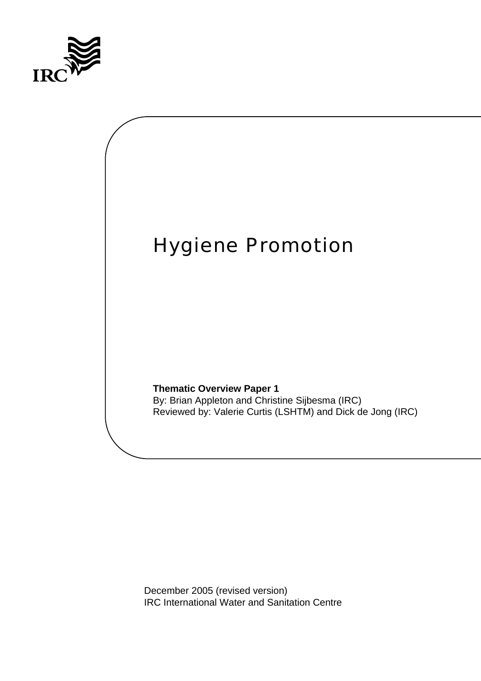



December 2005 (revised version) IRC International Water and Sanitation Centre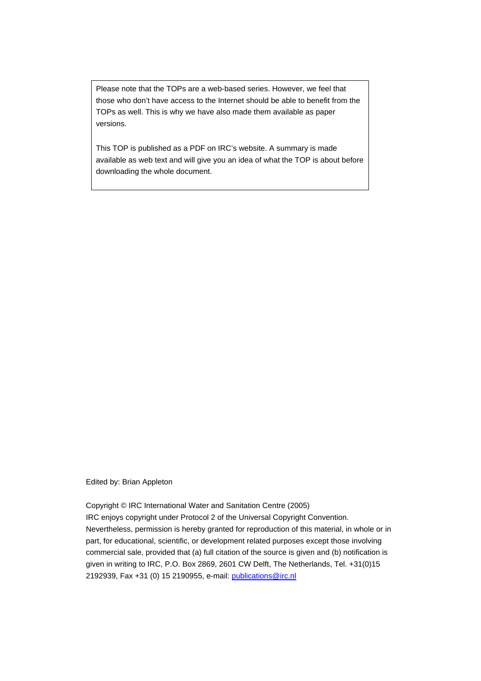Please note that the TOPs are a web-based series. However, we feel that those who don't have access to the Internet should be able to benefit from the TOPs as well. This is why we have also made them available as paper versions.

This TOP is published as a PDF on IRC's website. A summary is made available as web text and will give you an idea of what the TOP is about before downloading the whole document.

Edited by: Brian Appleton

Copyright © IRC International Water and Sanitation Centre (2005) IRC enjoys copyright under Protocol 2 of the Universal Copyright Convention. Nevertheless, permission is hereby granted for reproduction of this material, in whole or in part, for educational, scientific, or development related purposes except those involving commercial sale, provided that (a) full citation of the source is given and (b) notification is given in writing to IRC, P.O. Box 2869, 2601 CW Delft, The Netherlands, Tel. +31(0)15 2192939, Fax +31 (0) 15 2190955, e-mail: [publications@irc.nl](mailto:publications@irc.nl)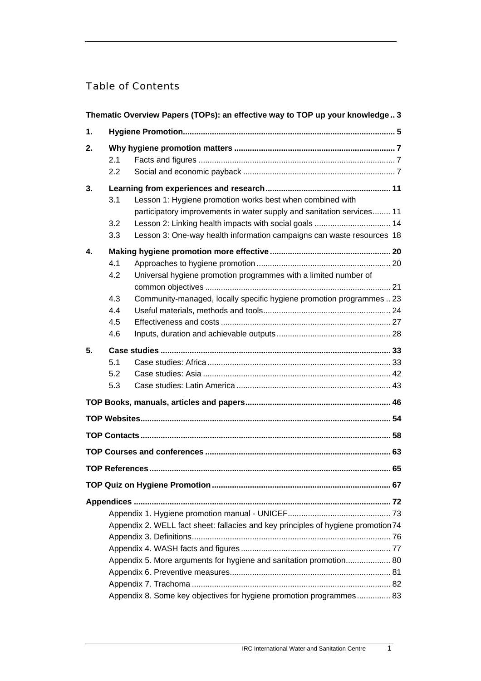# Table of Contents

| Thematic Overview Papers (TOPs): an effective way to TOP up your knowledge 3 |                                                                                                                                                                                                                                                                                            |  |  |  |  |
|------------------------------------------------------------------------------|--------------------------------------------------------------------------------------------------------------------------------------------------------------------------------------------------------------------------------------------------------------------------------------------|--|--|--|--|
| 1.                                                                           |                                                                                                                                                                                                                                                                                            |  |  |  |  |
| 2.                                                                           | 2.1<br>2.2                                                                                                                                                                                                                                                                                 |  |  |  |  |
| 3.                                                                           | 3.1<br>Lesson 1: Hygiene promotion works best when combined with<br>participatory improvements in water supply and sanitation services 11<br>3.2<br>Lesson 2: Linking health impacts with social goals  14<br>Lesson 3: One-way health information campaigns can waste resources 18<br>3.3 |  |  |  |  |
| 4.                                                                           | 4.1<br>Universal hygiene promotion programmes with a limited number of<br>4.2<br>4.3<br>Community-managed, locally specific hygiene promotion programmes  23<br>4.4<br>4.5<br>4.6                                                                                                          |  |  |  |  |
| 5.                                                                           | 5.1<br>5.2<br>5.3                                                                                                                                                                                                                                                                          |  |  |  |  |
|                                                                              |                                                                                                                                                                                                                                                                                            |  |  |  |  |
|                                                                              |                                                                                                                                                                                                                                                                                            |  |  |  |  |
|                                                                              |                                                                                                                                                                                                                                                                                            |  |  |  |  |
|                                                                              |                                                                                                                                                                                                                                                                                            |  |  |  |  |
|                                                                              |                                                                                                                                                                                                                                                                                            |  |  |  |  |
|                                                                              | Appendix 2. WELL fact sheet: fallacies and key principles of hygiene promotion 74<br>Appendix 5. More arguments for hygiene and sanitation promotion 80<br>Appendix 8. Some key objectives for hygiene promotion programmes 83                                                             |  |  |  |  |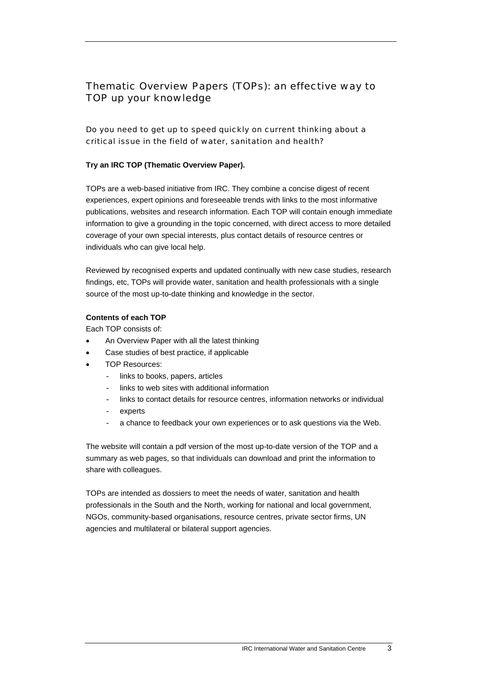# <span id="page-4-0"></span>Thematic Overview Papers (TOPs): an effective way to TOP up your knowledge

## Do you need to get up to speed quickly on current thinking about a critical issue in the field of water, sanitation and health?

### **Try an IRC TOP (Thematic Overview Paper).**

TOPs are a web-based initiative from IRC. They combine a concise digest of recent experiences, expert opinions and foreseeable trends with links to the most informative publications, websites and research information. Each TOP will contain enough immediate information to give a grounding in the topic concerned, with direct access to more detailed coverage of your own special interests, plus contact details of resource centres or individuals who can give local help.

Reviewed by recognised experts and updated continually with new case studies, research findings, etc, TOPs will provide water, sanitation and health professionals with a single source of the most up-to-date thinking and knowledge in the sector.

### **Contents of each TOP**

Each TOP consists of:

- An Overview Paper with all the latest thinking
- Case studies of best practice, if applicable
- TOP Resources:
	- links to books, papers, articles
	- links to web sites with additional information
	- links to contact details for resource centres, information networks or individual
	- experts
	- a chance to feedback your own experiences or to ask questions via the Web.

The website will contain a pdf version of the most up-to-date version of the TOP and a summary as web pages, so that individuals can download and print the information to share with colleagues.

TOPs are intended as dossiers to meet the needs of water, sanitation and health professionals in the South and the North, working for national and local government, NGOs, community-based organisations, resource centres, private sector firms, UN agencies and multilateral or bilateral support agencies.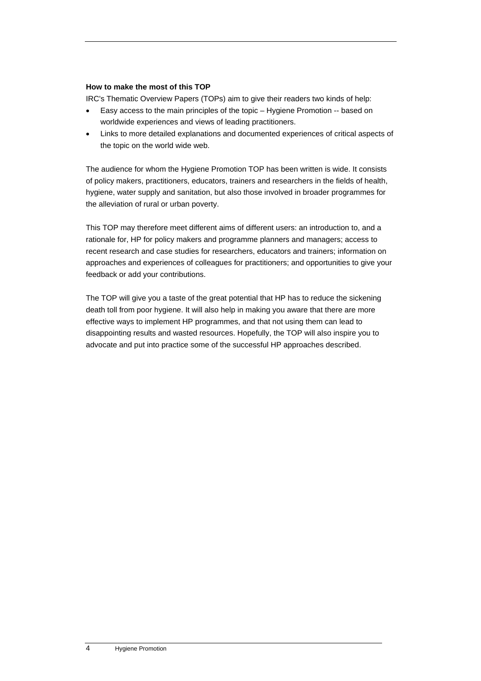#### **How to make the most of this TOP**

IRC's Thematic Overview Papers (TOPs) aim to give their readers two kinds of help:

- Easy access to the main principles of the topic Hygiene Promotion -- based on worldwide experiences and views of leading practitioners.
- Links to more detailed explanations and documented experiences of critical aspects of the topic on the world wide web.

The audience for whom the Hygiene Promotion TOP has been written is wide. It consists of policy makers, practitioners, educators, trainers and researchers in the fields of health, hygiene, water supply and sanitation, but also those involved in broader programmes for the alleviation of rural or urban poverty.

This TOP may therefore meet different aims of different users: an introduction to, and a rationale for, HP for policy makers and programme planners and managers; access to recent research and case studies for researchers, educators and trainers; information on approaches and experiences of colleagues for practitioners; and opportunities to give your feedback or add your contributions.

The TOP will give you a taste of the great potential that HP has to reduce the sickening death toll from poor hygiene. It will also help in making you aware that there are more effective ways to implement HP programmes, and that not using them can lead to disappointing results and wasted resources. Hopefully, the TOP will also inspire you to advocate and put into practice some of the successful HP approaches described.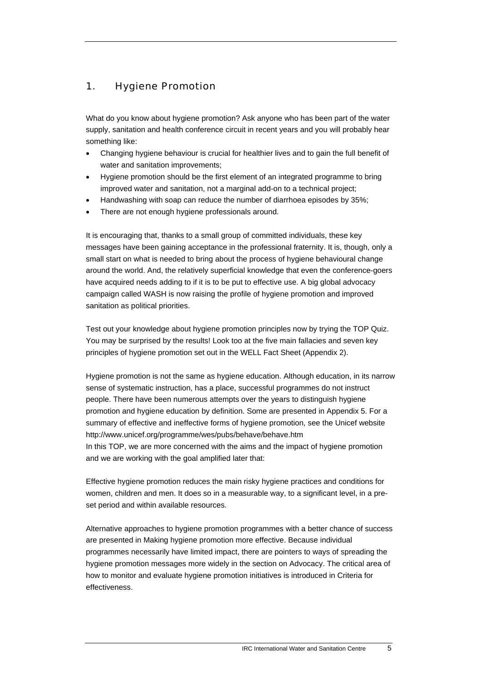# <span id="page-6-0"></span>1. Hygiene Promotion

What do you know about hygiene promotion? Ask anyone who has been part of the water supply, sanitation and health conference circuit in recent years and you will probably hear something like:

- Changing hygiene behaviour is crucial for healthier lives and to gain the full benefit of water and sanitation improvements;
- Hygiene promotion should be the first element of an integrated programme to bring improved water and sanitation, not a marginal add-on to a technical project;
- Handwashing with soap can reduce the number of diarrhoea episodes by 35%;
- There are not enough hygiene professionals around.

It is encouraging that, thanks to a small group of committed individuals, these key messages have been gaining acceptance in the professional fraternity. It is, though, only a small start on what is needed to bring about the process of hygiene behavioural change around the world. And, the relatively superficial knowledge that even the conference-goers have acquired needs adding to if it is to be put to effective use. A big global advocacy campaign called WASH is now raising the profile of hygiene promotion and improved sanitation as political priorities.

Test out your knowledge about hygiene promotion principles now by trying the TOP Quiz. You may be surprised by the results! Look too at the five main fallacies and seven key principles of hygiene promotion set out in the WELL Fact Sheet (Appendix 2).

Hygiene promotion is not the same as hygiene education. Although education, in its narrow sense of systematic instruction, has a place, successful programmes do not instruct people. There have been numerous attempts over the years to distinguish hygiene promotion and hygiene education by definition. Some are presented in Appendix 5. For a summary of effective and ineffective forms of hygiene promotion, see the Unicef website http://www.unicef.org/programme/wes/pubs/behave/behave.htm In this TOP, we are more concerned with the aims and the impact of hygiene promotion and we are working with the goal amplified later that:

Effective hygiene promotion reduces the main risky hygiene practices and conditions for women, children and men. It does so in a measurable way, to a significant level, in a preset period and within available resources.

Alternative approaches to hygiene promotion programmes with a better chance of success are presented in Making hygiene promotion more effective. Because individual programmes necessarily have limited impact, there are pointers to ways of spreading the hygiene promotion messages more widely in the section on Advocacy. The critical area of how to monitor and evaluate hygiene promotion initiatives is introduced in Criteria for effectiveness.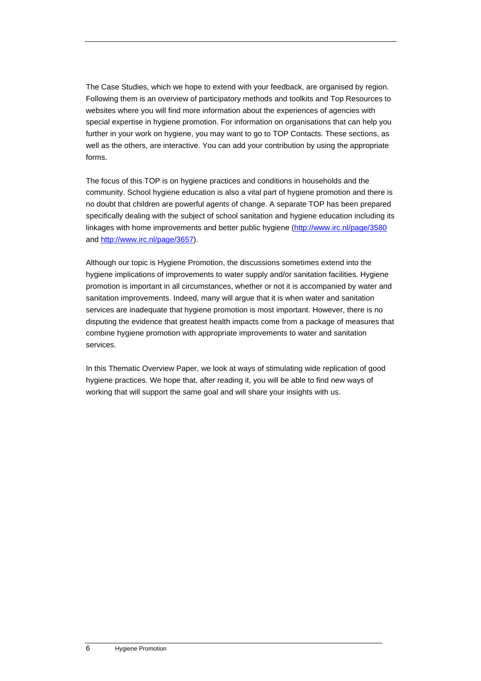The Case Studies, which we hope to extend with your feedback, are organised by region. Following them is an overview of participatory methods and toolkits and Top Resources to websites where you will find more information about the experiences of agencies with special expertise in hygiene promotion. For information on organisations that can help you further in your work on hygiene, you may want to go to TOP Contacts. These sections, as well as the others, are interactive. You can add your contribution by using the appropriate forms.

The focus of this TOP is on hygiene practices and conditions in households and the community. School hygiene education is also a vital part of hygiene promotion and there is no doubt that children are powerful agents of change. A separate TOP has been prepared specifically dealing with the subject of school sanitation and hygiene education including its linkages with home improvements and better public hygiene (<http://www.irc.nl/page/3580> and <http://www.irc.nl/page/3657>).

Although our topic is Hygiene Promotion, the discussions sometimes extend into the hygiene implications of improvements to water supply and/or sanitation facilities. Hygiene promotion is important in all circumstances, whether or not it is accompanied by water and sanitation improvements. Indeed, many will argue that it is when water and sanitation services are inadequate that hygiene promotion is most important. However, there is no disputing the evidence that greatest health impacts come from a package of measures that combine hygiene promotion with appropriate improvements to water and sanitation services.

In this Thematic Overview Paper, we look at ways of stimulating wide replication of good hygiene practices. We hope that, after reading it, you will be able to find new ways of working that will support the same goal and will share your insights with us.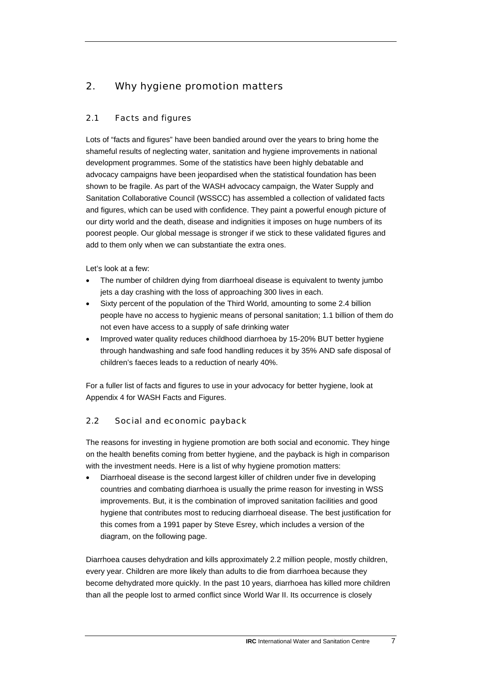# <span id="page-8-0"></span>2. Why hygiene promotion matters

# 2.1 Facts and figures

Lots of "facts and figures" have been bandied around over the years to bring home the shameful results of neglecting water, sanitation and hygiene improvements in national development programmes. Some of the statistics have been highly debatable and advocacy campaigns have been jeopardised when the statistical foundation has been shown to be fragile. As part of the WASH advocacy campaign, the Water Supply and Sanitation Collaborative Council (WSSCC) has assembled a collection of validated facts and figures, which can be used with confidence. They paint a powerful enough picture of our dirty world and the death, disease and indignities it imposes on huge numbers of its poorest people. Our global message is stronger if we stick to these validated figures and add to them only when we can substantiate the extra ones.

Let's look at a few:

- The number of children dying from diarrhoeal disease is equivalent to twenty jumbo jets a day crashing with the loss of approaching 300 lives in each.
- Sixty percent of the population of the Third World, amounting to some 2.4 billion people have no access to hygienic means of personal sanitation; 1.1 billion of them do not even have access to a supply of safe drinking water
- Improved water quality reduces childhood diarrhoea by 15-20% BUT better hygiene through handwashing and safe food handling reduces it by 35% AND safe disposal of children's faeces leads to a reduction of nearly 40%.

For a fuller list of facts and figures to use in your advocacy for better hygiene, look at Appendix 4 for WASH Facts and Figures.

# 2.2 Social and economic payback

The reasons for investing in hygiene promotion are both social and economic. They hinge on the health benefits coming from better hygiene, and the payback is high in comparison with the investment needs. Here is a list of why hygiene promotion matters:

• Diarrhoeal disease is the second largest killer of children under five in developing countries and combating diarrhoea is usually the prime reason for investing in WSS improvements. But, it is the combination of improved sanitation facilities and good hygiene that contributes most to reducing diarrhoeal disease. The best justification for this comes from a 1991 paper by Steve Esrey, which includes a version of the diagram, on the following page.

Diarrhoea causes dehydration and kills approximately 2.2 million people, mostly children, every year. Children are more likely than adults to die from diarrhoea because they become dehydrated more quickly. In the past 10 years, diarrhoea has killed more children than all the people lost to armed conflict since World War II. Its occurrence is closely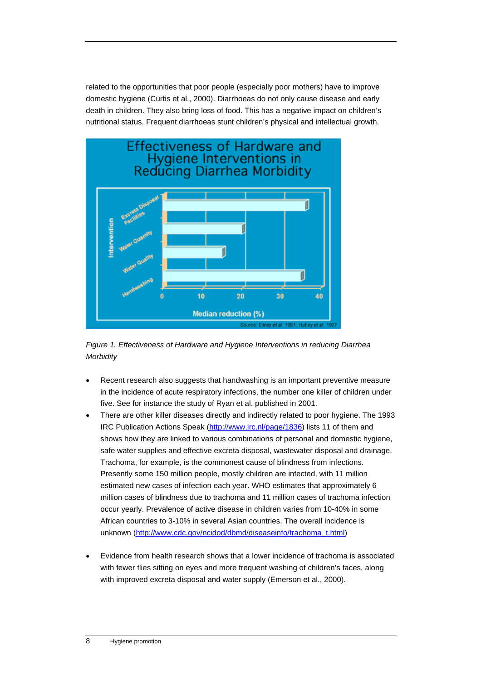related to the opportunities that poor people (especially poor mothers) have to improve domestic hygiene (Curtis et al., 2000). Diarrhoeas do not only cause disease and early death in children. They also bring loss of food. This has a negative impact on children's nutritional status. Frequent diarrhoeas stunt children's physical and intellectual growth.



*Figure 1. Effectiveness of Hardware and Hygiene Interventions in reducing Diarrhea Morbidity* 

- Recent research also suggests that handwashing is an important preventive measure in the incidence of acute respiratory infections, the number one killer of children under five. See for instance the study of Ryan et al. published in 2001.
- There are other killer diseases directly and indirectly related to poor hygiene. The 1993 IRC Publication Actions Speak ([http://www.irc.nl/page/1836\)](http://www.irc.nl/page/1836) lists 11 of them and shows how they are linked to various combinations of personal and domestic hygiene, safe water supplies and effective excreta disposal, wastewater disposal and drainage. Trachoma, for example, is the commonest cause of blindness from infections. Presently some 150 million people, mostly children are infected, with 11 million estimated new cases of infection each year. WHO estimates that approximately 6 million cases of blindness due to trachoma and 11 million cases of trachoma infection occur yearly. Prevalence of active disease in children varies from 10-40% in some African countries to 3-10% in several Asian countries. The overall incidence is unknown [\(http://www.cdc.gov/ncidod/dbmd/diseaseinfo/trachoma\\_t.html](http://www.cdc.gov/ncidod/dbmd/diseaseinfo/trachoma_t.html))
- Evidence from health research shows that a lower incidence of trachoma is associated with fewer flies sitting on eyes and more frequent washing of children's faces, along with improved excreta disposal and water supply (Emerson et al., 2000).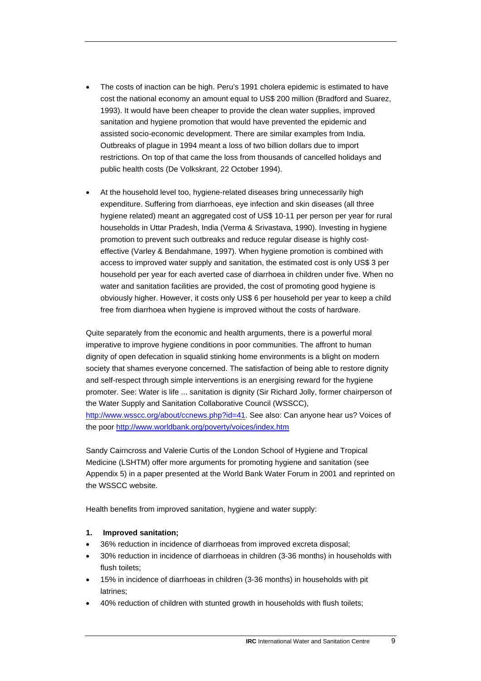- The costs of inaction can be high. Peru's 1991 cholera epidemic is estimated to have cost the national economy an amount equal to US\$ 200 million (Bradford and Suarez, 1993). It would have been cheaper to provide the clean water supplies, improved sanitation and hygiene promotion that would have prevented the epidemic and assisted socio-economic development. There are similar examples from India. Outbreaks of plague in 1994 meant a loss of two billion dollars due to import restrictions. On top of that came the loss from thousands of cancelled holidays and public health costs (De Volkskrant, 22 October 1994).
- At the household level too, hygiene-related diseases bring unnecessarily high expenditure. Suffering from diarrhoeas, eye infection and skin diseases (all three hygiene related) meant an aggregated cost of US\$ 10-11 per person per year for rural households in Uttar Pradesh, India (Verma & Srivastava, 1990). Investing in hygiene promotion to prevent such outbreaks and reduce regular disease is highly costeffective (Varley & Bendahmane, 1997). When hygiene promotion is combined with access to improved water supply and sanitation, the estimated cost is only US\$ 3 per household per year for each averted case of diarrhoea in children under five. When no water and sanitation facilities are provided, the cost of promoting good hygiene is obviously higher. However, it costs only US\$ 6 per household per year to keep a child free from diarrhoea when hygiene is improved without the costs of hardware.

Quite separately from the economic and health arguments, there is a powerful moral imperative to improve hygiene conditions in poor communities. The affront to human dignity of open defecation in squalid stinking home environments is a blight on modern society that shames everyone concerned. The satisfaction of being able to restore dignity and self-respect through simple interventions is an energising reward for the hygiene promoter. See: Water is life ... sanitation is dignity (Sir Richard Jolly, former chairperson of the Water Supply and Sanitation Collaborative Council (WSSCC), <http://www.wsscc.org/about/ccnews.php?id=41>. See also: Can anyone hear us? Voices of the poor <http://www.worldbank.org/poverty/voices/index.htm>

Sandy Cairncross and Valerie Curtis of the London School of Hygiene and Tropical Medicine (LSHTM) offer more arguments for promoting hygiene and sanitation (see Appendix 5) in a paper presented at the World Bank Water Forum in 2001 and reprinted on the WSSCC website.

Health benefits from improved sanitation, hygiene and water supply:

### **1. Improved sanitation;**

- 36% reduction in incidence of diarrhoeas from improved excreta disposal;
- 30% reduction in incidence of diarrhoeas in children (3-36 months) in households with flush toilets:
- 15% in incidence of diarrhoeas in children (3-36 months) in households with pit latrines;
- 40% reduction of children with stunted growth in households with flush toilets;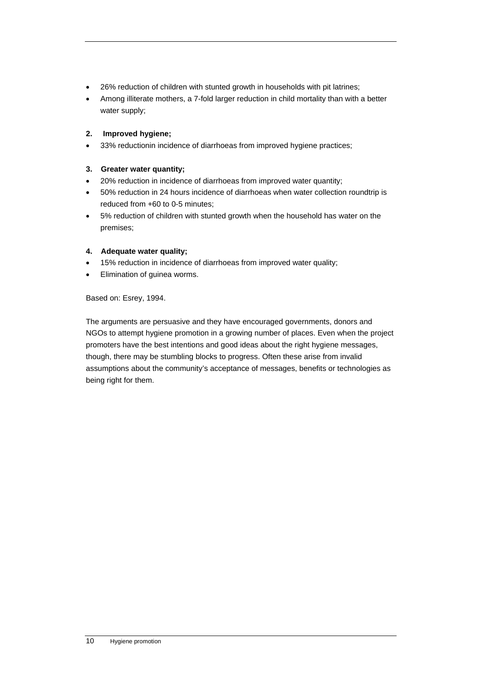- 26% reduction of children with stunted growth in households with pit latrines;
- Among illiterate mothers, a 7-fold larger reduction in child mortality than with a better water supply;

### **2. Improved hygiene;**

• 33% reductionin incidence of diarrhoeas from improved hygiene practices;

### **3. Greater water quantity;**

- 20% reduction in incidence of diarrhoeas from improved water quantity;
- 50% reduction in 24 hours incidence of diarrhoeas when water collection roundtrip is reduced from +60 to 0-5 minutes;
- 5% reduction of children with stunted growth when the household has water on the premises;

### **4. Adequate water quality;**

- 15% reduction in incidence of diarrhoeas from improved water quality;
- Elimination of guinea worms.

Based on: Esrey, 1994.

The arguments are persuasive and they have encouraged governments, donors and NGOs to attempt hygiene promotion in a growing number of places. Even when the project promoters have the best intentions and good ideas about the right hygiene messages, though, there may be stumbling blocks to progress. Often these arise from invalid assumptions about the community's acceptance of messages, benefits or technologies as being right for them.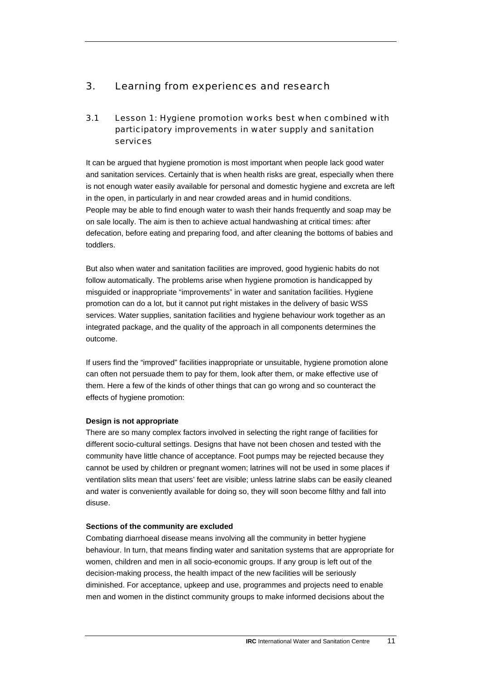# <span id="page-12-0"></span>3. Learning from experiences and research

# 3.1 Lesson 1: Hygiene promotion works best when combined with participatory improvements in water supply and sanitation services

It can be argued that hygiene promotion is most important when people lack good water and sanitation services. Certainly that is when health risks are great, especially when there is not enough water easily available for personal and domestic hygiene and excreta are left in the open, in particularly in and near crowded areas and in humid conditions. People may be able to find enough water to wash their hands frequently and soap may be on sale locally. The aim is then to achieve actual handwashing at critical times: after defecation, before eating and preparing food, and after cleaning the bottoms of babies and toddlers.

But also when water and sanitation facilities are improved, good hygienic habits do not follow automatically. The problems arise when hygiene promotion is handicapped by misguided or inappropriate "improvements" in water and sanitation facilities. Hygiene promotion can do a lot, but it cannot put right mistakes in the delivery of basic WSS services. Water supplies, sanitation facilities and hygiene behaviour work together as an integrated package, and the quality of the approach in all components determines the outcome.

If users find the "improved" facilities inappropriate or unsuitable, hygiene promotion alone can often not persuade them to pay for them, look after them, or make effective use of them. Here a few of the kinds of other things that can go wrong and so counteract the effects of hygiene promotion:

### **Design is not appropriate**

There are so many complex factors involved in selecting the right range of facilities for different socio-cultural settings. Designs that have not been chosen and tested with the community have little chance of acceptance. Foot pumps may be rejected because they cannot be used by children or pregnant women; latrines will not be used in some places if ventilation slits mean that users' feet are visible; unless latrine slabs can be easily cleaned and water is conveniently available for doing so, they will soon become filthy and fall into disuse.

### **Sections of the community are excluded**

Combating diarrhoeal disease means involving all the community in better hygiene behaviour. In turn, that means finding water and sanitation systems that are appropriate for women, children and men in all socio-economic groups. If any group is left out of the decision-making process, the health impact of the new facilities will be seriously diminished. For acceptance, upkeep and use, programmes and projects need to enable men and women in the distinct community groups to make informed decisions about the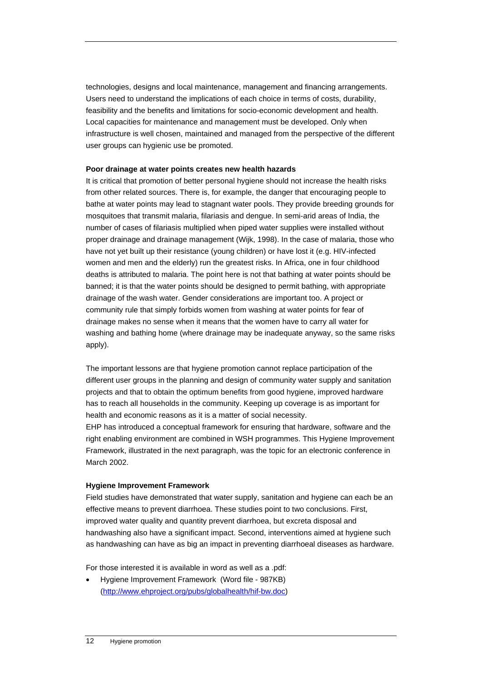technologies, designs and local maintenance, management and financing arrangements. Users need to understand the implications of each choice in terms of costs, durability, feasibility and the benefits and limitations for socio-economic development and health. Local capacities for maintenance and management must be developed. Only when infrastructure is well chosen, maintained and managed from the perspective of the different user groups can hygienic use be promoted.

#### **Poor drainage at water points creates new health hazards**

It is critical that promotion of better personal hygiene should not increase the health risks from other related sources. There is, for example, the danger that encouraging people to bathe at water points may lead to stagnant water pools. They provide breeding grounds for mosquitoes that transmit malaria, filariasis and dengue. In semi-arid areas of India, the number of cases of filariasis multiplied when piped water supplies were installed without proper drainage and drainage management (Wijk, 1998). In the case of malaria, those who have not yet built up their resistance (young children) or have lost it (e.g. HIV-infected women and men and the elderly) run the greatest risks. In Africa, one in four childhood deaths is attributed to malaria. The point here is not that bathing at water points should be banned; it is that the water points should be designed to permit bathing, with appropriate drainage of the wash water. Gender considerations are important too. A project or community rule that simply forbids women from washing at water points for fear of drainage makes no sense when it means that the women have to carry all water for washing and bathing home (where drainage may be inadequate anyway, so the same risks apply).

The important lessons are that hygiene promotion cannot replace participation of the different user groups in the planning and design of community water supply and sanitation projects and that to obtain the optimum benefits from good hygiene, improved hardware has to reach all households in the community. Keeping up coverage is as important for health and economic reasons as it is a matter of social necessity.

EHP has introduced a conceptual framework for ensuring that hardware, software and the right enabling environment are combined in WSH programmes. This Hygiene Improvement Framework, illustrated in the next paragraph, was the topic for an electronic conference in March 2002.

### **Hygiene Improvement Framework**

Field studies have demonstrated that water supply, sanitation and hygiene can each be an effective means to prevent diarrhoea. These studies point to two conclusions. First, improved water quality and quantity prevent diarrhoea, but excreta disposal and handwashing also have a significant impact. Second, interventions aimed at hygiene such as handwashing can have as big an impact in preventing diarrhoeal diseases as hardware.

For those interested it is available in word as well as a .pdf:

• Hygiene Improvement Framework (Word file - 987KB) ([http://www.ehproject.org/pubs/globalhealth/hif-bw.doc\)](http://www.ehproject.org/pubs/globalhealth/hif-bw.doc)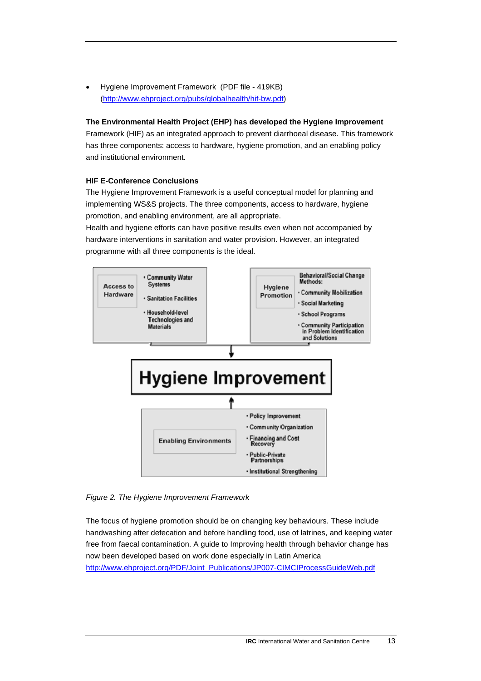• Hygiene Improvement Framework (PDF file - 419KB) ([http://www.ehproject.org/pubs/globalhealth/hif-bw.pdf\)](http://www.ehproject.org/pubs/globalhealth/hif-bw.pdf)

### **The Environmental Health Project (EHP) has developed the Hygiene Improvement**

Framework (HIF) as an integrated approach to prevent diarrhoeal disease. This framework has three components: access to hardware, hygiene promotion, and an enabling policy and institutional environment.

### **HIF E-Conference Conclusions**

The Hygiene Improvement Framework is a useful conceptual model for planning and implementing WS&S projects. The three components, access to hardware, hygiene promotion, and enabling environment, are all appropriate.

Health and hygiene efforts can have positive results even when not accompanied by hardware interventions in sanitation and water provision. However, an integrated programme with all three components is the ideal.



*Figure 2. The Hygiene Improvement Framework* 

The focus of hygiene promotion should be on changing key behaviours. These include handwashing after defecation and before handling food, use of latrines, and keeping water free from faecal contamination. A guide to Improving health through behavior change has now been developed based on work done especially in Latin America [http://www.ehproject.org/PDF/Joint\\_Publications/JP007-CIMCIProcessGuideWeb.pdf](http://www.ehproject.org/PDF/Joint_Publications/JP007-CIMCIProcessGuideWeb.pdf)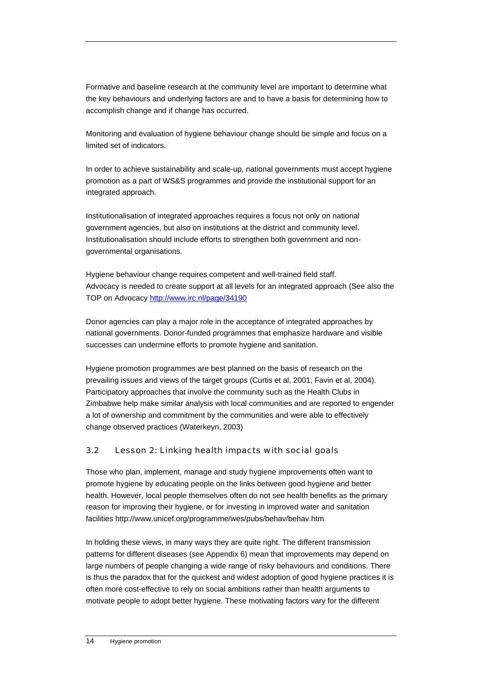<span id="page-15-0"></span>Formative and baseline research at the community level are important to determine what the key behaviours and underlying factors are and to have a basis for determining how to accomplish change and if change has occurred.

Monitoring and evaluation of hygiene behaviour change should be simple and focus on a limited set of indicators.

In order to achieve sustainability and scale-up, national governments must accept hygiene promotion as a part of WS&S programmes and provide the institutional support for an integrated approach.

Institutionalisation of integrated approaches requires a focus not only on national government agencies, but also on institutions at the district and community level. Institutionalisation should include efforts to strengthen both government and nongovernmental organisations.

Hygiene behaviour change requires competent and well-trained field staff. Advocacy is needed to create support at all levels for an integrated approach (See also the TOP on Advocacy<http://www.irc.nl/page/34190>

Donor agencies can play a major role in the acceptance of integrated approaches by national governments. Donor-funded programmes that emphasize hardware and visible successes can undermine efforts to promote hygiene and sanitation.

Hygiene promotion programmes are best planned on the basis of research on the prevailing issues and views of the target groups (Curtis et al, 2001, Favin et al, 2004). Participatory approaches that involve the community such as the Health Clubs in Zimbabwe help make similar analysis with local communities and are reported to engender a lot of ownership and commitment by the communities and were able to effectively change observed practices (Waterkeyn, 2003)

## 3.2 Lesson 2: Linking health impacts with social goals

Those who plan, implement, manage and study hygiene improvements often want to promote hygiene by educating people on the links between good hygiene and better health. However, local people themselves often do not see health benefits as the primary reason for improving their hygiene, or for investing in improved water and sanitation facilities http://www.unicef.org/programme/wes/pubs/behav/behav.htm

In holding these views, in many ways they are quite right. The different transmission patterns for different diseases (see Appendix 6) mean that improvements may depend on large numbers of people changing a wide range of risky behaviours and conditions. There is thus the paradox that for the quickest and widest adoption of good hygiene practices it is often more cost-effective to rely on social ambitions rather than health arguments to motivate people to adopt better hygiene. These motivating factors vary for the different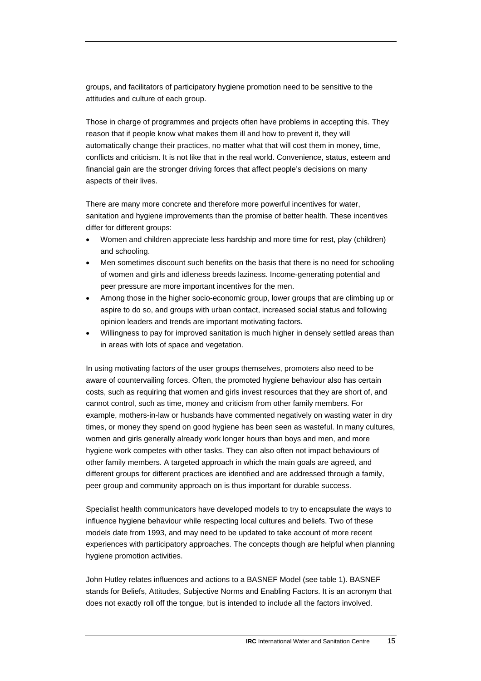groups, and facilitators of participatory hygiene promotion need to be sensitive to the attitudes and culture of each group.

Those in charge of programmes and projects often have problems in accepting this. They reason that if people know what makes them ill and how to prevent it, they will automatically change their practices, no matter what that will cost them in money, time, conflicts and criticism. It is not like that in the real world. Convenience, status, esteem and financial gain are the stronger driving forces that affect people's decisions on many aspects of their lives.

There are many more concrete and therefore more powerful incentives for water, sanitation and hygiene improvements than the promise of better health. These incentives differ for different groups:

- Women and children appreciate less hardship and more time for rest, play (children) and schooling.
- Men sometimes discount such benefits on the basis that there is no need for schooling of women and girls and idleness breeds laziness. Income-generating potential and peer pressure are more important incentives for the men.
- Among those in the higher socio-economic group, lower groups that are climbing up or aspire to do so, and groups with urban contact, increased social status and following opinion leaders and trends are important motivating factors.
- Willingness to pay for improved sanitation is much higher in densely settled areas than in areas with lots of space and vegetation.

In using motivating factors of the user groups themselves, promoters also need to be aware of countervailing forces. Often, the promoted hygiene behaviour also has certain costs, such as requiring that women and girls invest resources that they are short of, and cannot control, such as time, money and criticism from other family members. For example, mothers-in-law or husbands have commented negatively on wasting water in dry times, or money they spend on good hygiene has been seen as wasteful. In many cultures, women and girls generally already work longer hours than boys and men, and more hygiene work competes with other tasks. They can also often not impact behaviours of other family members. A targeted approach in which the main goals are agreed, and different groups for different practices are identified and are addressed through a family, peer group and community approach on is thus important for durable success.

Specialist health communicators have developed models to try to encapsulate the ways to influence hygiene behaviour while respecting local cultures and beliefs. Two of these models date from 1993, and may need to be updated to take account of more recent experiences with participatory approaches. The concepts though are helpful when planning hygiene promotion activities.

John Hutley relates influences and actions to a BASNEF Model (see table 1). BASNEF stands for Beliefs, Attitudes, Subjective Norms and Enabling Factors. It is an acronym that does not exactly roll off the tongue, but is intended to include all the factors involved.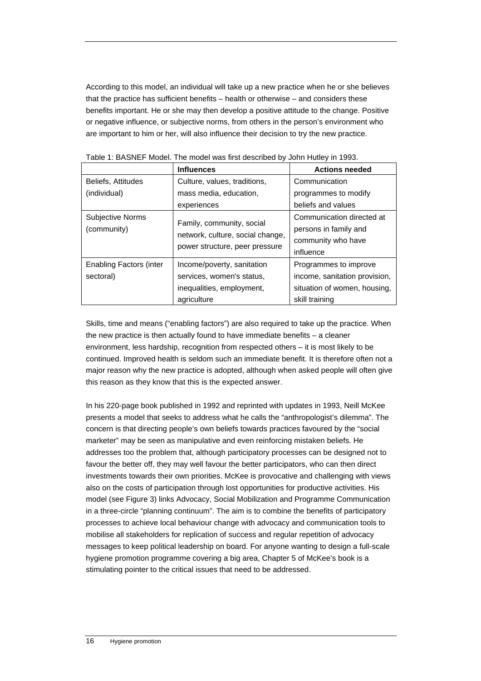According to this model, an individual will take up a new practice when he or she believes that the practice has sufficient benefits – health or otherwise – and considers these benefits important. He or she may then develop a positive attitude to the change. Positive or negative influence, or subjective norms, from others in the person's environment who are important to him or her, will also influence their decision to try the new practice.

|                                | <b>Influences</b>                                             | <b>Actions needed</b>         |
|--------------------------------|---------------------------------------------------------------|-------------------------------|
| Beliefs, Attitudes             | Culture, values, traditions,                                  | Communication                 |
| (individual)                   | mass media, education,                                        | programmes to modify          |
|                                | experiences                                                   | beliefs and values            |
| Subjective Norms               | Family, community, social<br>network, culture, social change, | Communication directed at     |
| (community)                    |                                                               | persons in family and         |
|                                |                                                               | community who have            |
|                                | power structure, peer pressure                                | influence                     |
| <b>Enabling Factors (inter</b> | Income/poverty, sanitation                                    | Programmes to improve         |
| sectoral)                      | services, women's status,                                     | income, sanitation provision, |
|                                | inequalities, employment,                                     | situation of women, housing,  |
|                                | agriculture                                                   | skill training                |

Skills, time and means ("enabling factors") are also required to take up the practice. When the new practice is then actually found to have immediate benefits – a cleaner environment, less hardship, recognition from respected others – it is most likely to be continued. Improved health is seldom such an immediate benefit. It is therefore often not a major reason why the new practice is adopted, although when asked people will often give this reason as they know that this is the expected answer.

In his 220-page book published in 1992 and reprinted with updates in 1993, Neill McKee presents a model that seeks to address what he calls the "anthropologist's dilemma". The concern is that directing people's own beliefs towards practices favoured by the "social marketer" may be seen as manipulative and even reinforcing mistaken beliefs. He addresses too the problem that, although participatory processes can be designed not to favour the better off, they may well favour the better participators, who can then direct investments towards their own priorities. McKee is provocative and challenging with views also on the costs of participation through lost opportunities for productive activities. His model (see Figure 3) links Advocacy, Social Mobilization and Programme Communication in a three-circle "planning continuum". The aim is to combine the benefits of participatory processes to achieve local behaviour change with advocacy and communication tools to mobilise all stakeholders for replication of success and regular repetition of advocacy messages to keep political leadership on board. For anyone wanting to design a full-scale hygiene promotion programme covering a big area, Chapter 5 of McKee's book is a stimulating pointer to the critical issues that need to be addressed.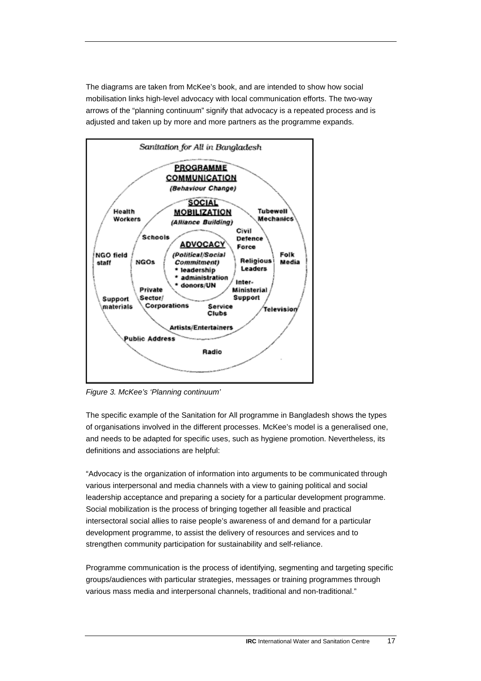The diagrams are taken from McKee's book, and are intended to show how social mobilisation links high-level advocacy with local communication efforts. The two-way arrows of the "planning continuum" signify that advocacy is a repeated process and is adjusted and taken up by more and more partners as the programme expands.



*Figure 3. McKee's 'Planning continuum'* 

The specific example of the Sanitation for All programme in Bangladesh shows the types of organisations involved in the different processes. McKee's model is a generalised one, and needs to be adapted for specific uses, such as hygiene promotion. Nevertheless, its definitions and associations are helpful:

"Advocacy is the organization of information into arguments to be communicated through various interpersonal and media channels with a view to gaining political and social leadership acceptance and preparing a society for a particular development programme. Social mobilization is the process of bringing together all feasible and practical intersectoral social allies to raise people's awareness of and demand for a particular development programme, to assist the delivery of resources and services and to strengthen community participation for sustainability and self-reliance.

Programme communication is the process of identifying, segmenting and targeting specific groups/audiences with particular strategies, messages or training programmes through various mass media and interpersonal channels, traditional and non-traditional."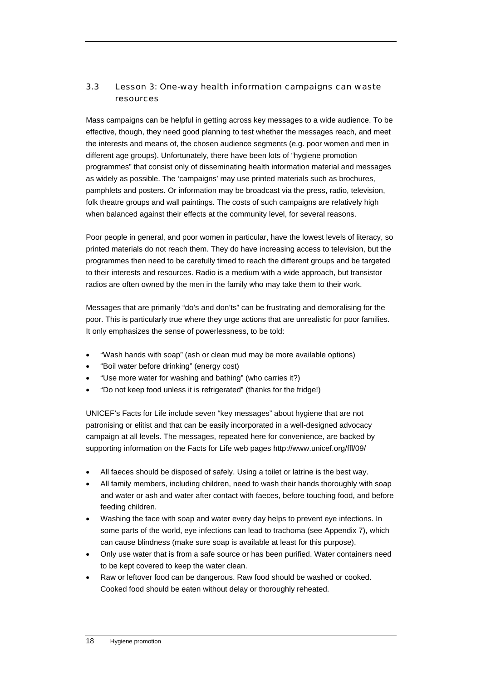# <span id="page-19-0"></span>3.3 Lesson 3: One-way health information campaigns can waste resources

Mass campaigns can be helpful in getting across key messages to a wide audience. To be effective, though, they need good planning to test whether the messages reach, and meet the interests and means of, the chosen audience segments (e.g. poor women and men in different age groups). Unfortunately, there have been lots of "hygiene promotion programmes" that consist only of disseminating health information material and messages as widely as possible. The 'campaigns' may use printed materials such as brochures, pamphlets and posters. Or information may be broadcast via the press, radio, television, folk theatre groups and wall paintings. The costs of such campaigns are relatively high when balanced against their effects at the community level, for several reasons.

Poor people in general, and poor women in particular, have the lowest levels of literacy, so printed materials do not reach them. They do have increasing access to television, but the programmes then need to be carefully timed to reach the different groups and be targeted to their interests and resources. Radio is a medium with a wide approach, but transistor radios are often owned by the men in the family who may take them to their work.

Messages that are primarily "do's and don'ts" can be frustrating and demoralising for the poor. This is particularly true where they urge actions that are unrealistic for poor families. It only emphasizes the sense of powerlessness, to be told:

- "Wash hands with soap" (ash or clean mud may be more available options)
- "Boil water before drinking" (energy cost)
- "Use more water for washing and bathing" (who carries it?)
- "Do not keep food unless it is refrigerated" (thanks for the fridge!)

UNICEF's Facts for Life include seven "key messages" about hygiene that are not patronising or elitist and that can be easily incorporated in a well-designed advocacy campaign at all levels. The messages, repeated here for convenience, are backed by supporting information on the Facts for Life web pages http://www.unicef.org/ffl/09/

- All faeces should be disposed of safely. Using a toilet or latrine is the best way.
- All family members, including children, need to wash their hands thoroughly with soap and water or ash and water after contact with faeces, before touching food, and before feeding children.
- Washing the face with soap and water every day helps to prevent eye infections. In some parts of the world, eye infections can lead to trachoma (see Appendix 7), which can cause blindness (make sure soap is available at least for this purpose).
- Only use water that is from a safe source or has been purified. Water containers need to be kept covered to keep the water clean.
- Raw or leftover food can be dangerous. Raw food should be washed or cooked. Cooked food should be eaten without delay or thoroughly reheated.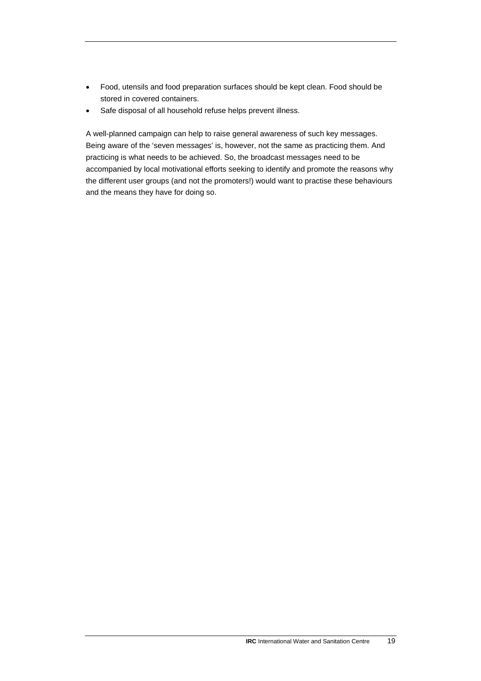- Food, utensils and food preparation surfaces should be kept clean. Food should be stored in covered containers.
- Safe disposal of all household refuse helps prevent illness.

A well-planned campaign can help to raise general awareness of such key messages. Being aware of the 'seven messages' is, however, not the same as practicing them. And practicing is what needs to be achieved. So, the broadcast messages need to be accompanied by local motivational efforts seeking to identify and promote the reasons why the different user groups (and not the promoters!) would want to practise these behaviours and the means they have for doing so.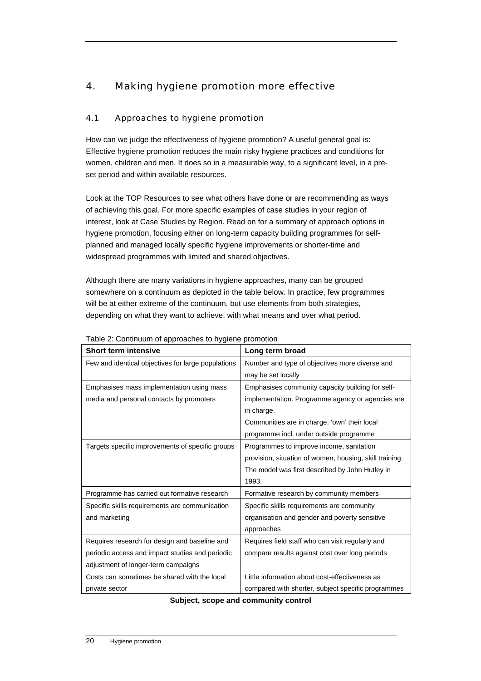# <span id="page-21-0"></span>4. Making hygiene promotion more effective

## 4.1 Approaches to hygiene promotion

How can we judge the effectiveness of hygiene promotion? A useful general goal is: Effective hygiene promotion reduces the main risky hygiene practices and conditions for women, children and men. It does so in a measurable way, to a significant level, in a preset period and within available resources.

Look at the TOP Resources to see what others have done or are recommending as ways of achieving this goal. For more specific examples of case studies in your region of interest, look at Case Studies by Region. Read on for a summary of approach options in hygiene promotion, focusing either on long-term capacity building programmes for selfplanned and managed locally specific hygiene improvements or shorter-time and widespread programmes with limited and shared objectives.

Although there are many variations in hygiene approaches, many can be grouped somewhere on a continuum as depicted in the table below. In practice, few programmes will be at either extreme of the continuum, but use elements from both strategies, depending on what they want to achieve, with what means and over what period.

| <b>Short term intensive</b>                        | Long term broad                                         |
|----------------------------------------------------|---------------------------------------------------------|
| Few and identical objectives for large populations | Number and type of objectives more diverse and          |
|                                                    | may be set locally                                      |
| Emphasises mass implementation using mass          | Emphasises community capacity building for self-        |
| media and personal contacts by promoters           | implementation. Programme agency or agencies are        |
|                                                    | in charge.                                              |
|                                                    | Communities are in charge, 'own' their local            |
|                                                    | programme incl. under outside programme                 |
| Targets specific improvements of specific groups   | Programmes to improve income, sanitation                |
|                                                    | provision, situation of women, housing, skill training. |
|                                                    | The model was first described by John Hutley in         |
|                                                    | 1993.                                                   |
| Programme has carried out formative research       | Formative research by community members                 |
| Specific skills requirements are communication     | Specific skills requirements are community              |
| and marketing                                      | organisation and gender and poverty sensitive           |
|                                                    | approaches                                              |
| Requires research for design and baseline and      | Requires field staff who can visit regularly and        |
| periodic access and impact studies and periodic    | compare results against cost over long periods          |
| adjustment of longer-term campaigns                |                                                         |
| Costs can sometimes be shared with the local       | Little information about cost-effectiveness as          |
| private sector                                     | compared with shorter, subject specific programmes      |

### Table 2: Continuum of approaches to hygiene promotion

**Subject, scope and community control**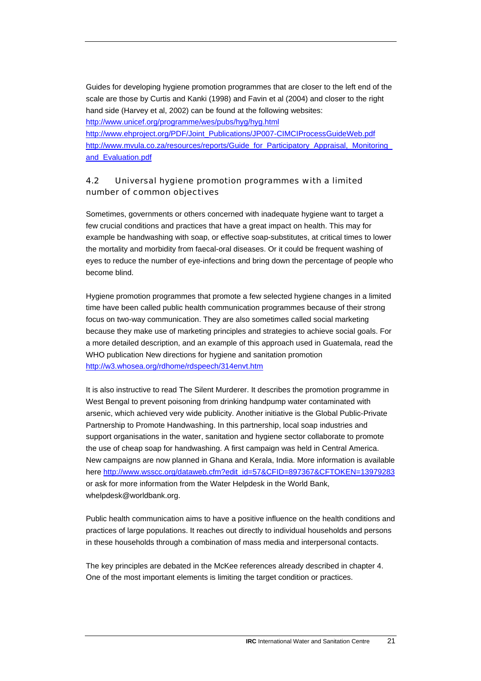<span id="page-22-0"></span>Guides for developing hygiene promotion programmes that are closer to the left end of the scale are those by Curtis and Kanki (1998) and Favin et al (2004) and closer to the right hand side (Harvey et al, 2002) can be found at the following websites: <http://www.unicef.org/programme/wes/pubs/hyg/hyg.html>

[http://www.ehproject.org/PDF/Joint\\_Publications/JP007-CIMCIProcessGuideWeb.pdf](http://www.ehproject.org/PDF/Joint_Publications/JP007-CIMCIProcessGuideWeb.pdf) [http://www.mvula.co.za/resources/reports/Guide\\_for\\_Participatory\\_Appraisal,\\_Monitoring\\_](http://www.mvula.co.za/resources/reports/Guide_for_Participatory_Appraisal,_Monitoring_and_Evaluation.pdf) [and\\_Evaluation.pdf](http://www.mvula.co.za/resources/reports/Guide_for_Participatory_Appraisal,_Monitoring_and_Evaluation.pdf) 

# 4.2 Universal hygiene promotion programmes with a limited number of common objectives

Sometimes, governments or others concerned with inadequate hygiene want to target a few crucial conditions and practices that have a great impact on health. This may for example be handwashing with soap, or effective soap-substitutes, at critical times to lower the mortality and morbidity from faecal-oral diseases. Or it could be frequent washing of eyes to reduce the number of eye-infections and bring down the percentage of people who become blind.

Hygiene promotion programmes that promote a few selected hygiene changes in a limited time have been called public health communication programmes because of their strong focus on two-way communication. They are also sometimes called social marketing because they make use of marketing principles and strategies to achieve social goals. For a more detailed description, and an example of this approach used in Guatemala, read the WHO publication New directions for hygiene and sanitation promotion <http://w3.whosea.org/rdhome/rdspeech/314envt.htm>

It is also instructive to read The Silent Murderer. It describes the promotion programme in West Bengal to prevent poisoning from drinking handpump water contaminated with arsenic, which achieved very wide publicity. Another initiative is the Global Public-Private Partnership to Promote Handwashing. In this partnership, local soap industries and support organisations in the water, sanitation and hygiene sector collaborate to promote the use of cheap soap for handwashing. A first campaign was held in Central America. New campaigns are now planned in Ghana and Kerala, India. More information is available here [http://www.wsscc.org/dataweb.cfm?edit\\_id=57&CFID=897367&CFTOKEN=13979283](http://www.wsscc.org/dataweb.cfm?edit_id=57&CFID=897367&CFTOKEN=13979283) or ask for more information from the Water Helpdesk in the World Bank, whelpdesk@worldbank.org.

Public health communication aims to have a positive influence on the health conditions and practices of large populations. It reaches out directly to individual households and persons in these households through a combination of mass media and interpersonal contacts.

The key principles are debated in the McKee references already described in chapter 4. One of the most important elements is limiting the target condition or practices.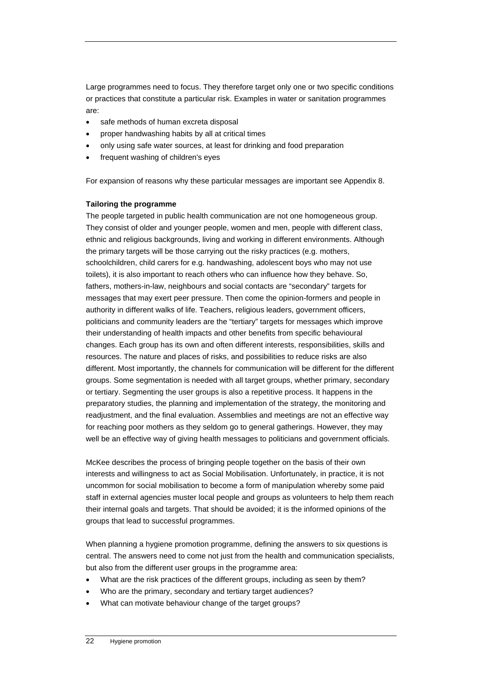Large programmes need to focus. They therefore target only one or two specific conditions or practices that constitute a particular risk. Examples in water or sanitation programmes are:

- safe methods of human excreta disposal
- proper handwashing habits by all at critical times
- only using safe water sources, at least for drinking and food preparation
- frequent washing of children's eyes

For expansion of reasons why these particular messages are important see Appendix 8.

#### **Tailoring the programme**

The people targeted in public health communication are not one homogeneous group. They consist of older and younger people, women and men, people with different class, ethnic and religious backgrounds, living and working in different environments. Although the primary targets will be those carrying out the risky practices (e.g. mothers, schoolchildren, child carers for e.g. handwashing, adolescent boys who may not use toilets), it is also important to reach others who can influence how they behave. So, fathers, mothers-in-law, neighbours and social contacts are "secondary" targets for messages that may exert peer pressure. Then come the opinion-formers and people in authority in different walks of life. Teachers, religious leaders, government officers, politicians and community leaders are the "tertiary" targets for messages which improve their understanding of health impacts and other benefits from specific behavioural changes. Each group has its own and often different interests, responsibilities, skills and resources. The nature and places of risks, and possibilities to reduce risks are also different. Most importantly, the channels for communication will be different for the different groups. Some segmentation is needed with all target groups, whether primary, secondary or tertiary. Segmenting the user groups is also a repetitive process. It happens in the preparatory studies, the planning and implementation of the strategy, the monitoring and readjustment, and the final evaluation. Assemblies and meetings are not an effective way for reaching poor mothers as they seldom go to general gatherings. However, they may well be an effective way of giving health messages to politicians and government officials.

McKee describes the process of bringing people together on the basis of their own interests and willingness to act as Social Mobilisation. Unfortunately, in practice, it is not uncommon for social mobilisation to become a form of manipulation whereby some paid staff in external agencies muster local people and groups as volunteers to help them reach their internal goals and targets. That should be avoided; it is the informed opinions of the groups that lead to successful programmes.

When planning a hygiene promotion programme, defining the answers to six questions is central. The answers need to come not just from the health and communication specialists, but also from the different user groups in the programme area:

- What are the risk practices of the different groups, including as seen by them?
- Who are the primary, secondary and tertiary target audiences?
- What can motivate behaviour change of the target groups?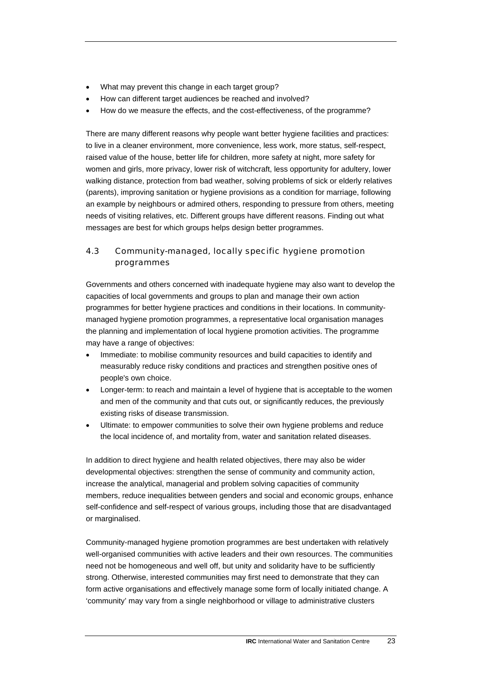- <span id="page-24-0"></span>• What may prevent this change in each target group?
- How can different target audiences be reached and involved?
- How do we measure the effects, and the cost-effectiveness, of the programme?

There are many different reasons why people want better hygiene facilities and practices: to live in a cleaner environment, more convenience, less work, more status, self-respect, raised value of the house, better life for children, more safety at night, more safety for women and girls, more privacy, lower risk of witchcraft, less opportunity for adultery, lower walking distance, protection from bad weather, solving problems of sick or elderly relatives (parents), improving sanitation or hygiene provisions as a condition for marriage, following an example by neighbours or admired others, responding to pressure from others, meeting needs of visiting relatives, etc. Different groups have different reasons. Finding out what messages are best for which groups helps design better programmes.

# 4.3 Community-managed, locally specific hygiene promotion programmes

Governments and others concerned with inadequate hygiene may also want to develop the capacities of local governments and groups to plan and manage their own action programmes for better hygiene practices and conditions in their locations. In communitymanaged hygiene promotion programmes, a representative local organisation manages the planning and implementation of local hygiene promotion activities. The programme may have a range of objectives:

- Immediate: to mobilise community resources and build capacities to identify and measurably reduce risky conditions and practices and strengthen positive ones of people's own choice.
- Longer-term: to reach and maintain a level of hygiene that is acceptable to the women and men of the community and that cuts out, or significantly reduces, the previously existing risks of disease transmission.
- Ultimate: to empower communities to solve their own hygiene problems and reduce the local incidence of, and mortality from, water and sanitation related diseases.

In addition to direct hygiene and health related objectives, there may also be wider developmental objectives: strengthen the sense of community and community action, increase the analytical, managerial and problem solving capacities of community members, reduce inequalities between genders and social and economic groups, enhance self-confidence and self-respect of various groups, including those that are disadvantaged or marginalised.

Community-managed hygiene promotion programmes are best undertaken with relatively well-organised communities with active leaders and their own resources. The communities need not be homogeneous and well off, but unity and solidarity have to be sufficiently strong. Otherwise, interested communities may first need to demonstrate that they can form active organisations and effectively manage some form of locally initiated change. A 'community' may vary from a single neighborhood or village to administrative clusters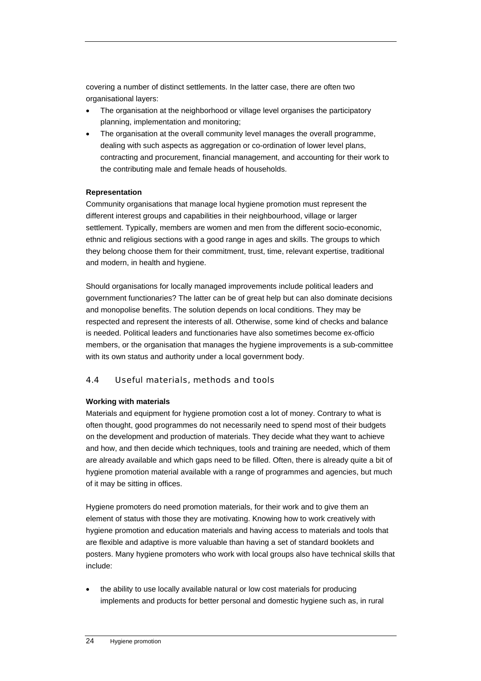<span id="page-25-0"></span>covering a number of distinct settlements. In the latter case, there are often two organisational layers:

- The organisation at the neighborhood or village level organises the participatory planning, implementation and monitoring;
- The organisation at the overall community level manages the overall programme, dealing with such aspects as aggregation or co-ordination of lower level plans, contracting and procurement, financial management, and accounting for their work to the contributing male and female heads of households.

### **Representation**

Community organisations that manage local hygiene promotion must represent the different interest groups and capabilities in their neighbourhood, village or larger settlement. Typically, members are women and men from the different socio-economic, ethnic and religious sections with a good range in ages and skills. The groups to which they belong choose them for their commitment, trust, time, relevant expertise, traditional and modern, in health and hygiene.

Should organisations for locally managed improvements include political leaders and government functionaries? The latter can be of great help but can also dominate decisions and monopolise benefits. The solution depends on local conditions. They may be respected and represent the interests of all. Otherwise, some kind of checks and balance is needed. Political leaders and functionaries have also sometimes become ex-officio members, or the organisation that manages the hygiene improvements is a sub-committee with its own status and authority under a local government body.

### 4.4 Useful materials, methods and tools

### **Working with materials**

Materials and equipment for hygiene promotion cost a lot of money. Contrary to what is often thought, good programmes do not necessarily need to spend most of their budgets on the development and production of materials. They decide what they want to achieve and how, and then decide which techniques, tools and training are needed, which of them are already available and which gaps need to be filled. Often, there is already quite a bit of hygiene promotion material available with a range of programmes and agencies, but much of it may be sitting in offices.

Hygiene promoters do need promotion materials, for their work and to give them an element of status with those they are motivating. Knowing how to work creatively with hygiene promotion and education materials and having access to materials and tools that are flexible and adaptive is more valuable than having a set of standard booklets and posters. Many hygiene promoters who work with local groups also have technical skills that include:

• the ability to use locally available natural or low cost materials for producing implements and products for better personal and domestic hygiene such as, in rural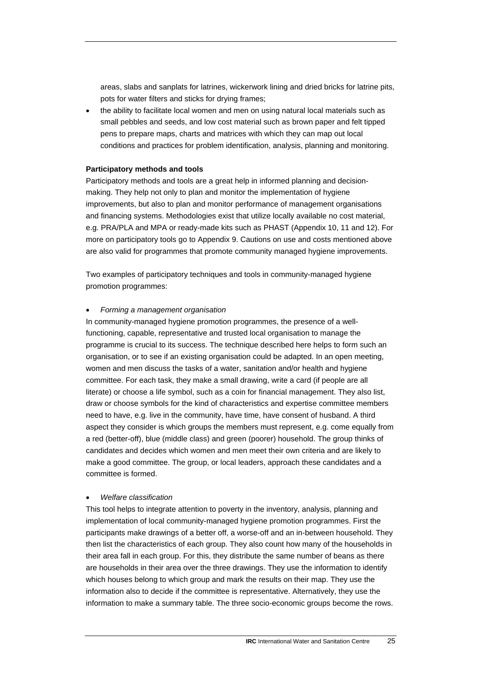areas, slabs and sanplats for latrines, wickerwork lining and dried bricks for latrine pits, pots for water filters and sticks for drying frames;

• the ability to facilitate local women and men on using natural local materials such as small pebbles and seeds, and low cost material such as brown paper and felt tipped pens to prepare maps, charts and matrices with which they can map out local conditions and practices for problem identification, analysis, planning and monitoring.

#### **Participatory methods and tools**

Participatory methods and tools are a great help in informed planning and decisionmaking. They help not only to plan and monitor the implementation of hygiene improvements, but also to plan and monitor performance of management organisations and financing systems. Methodologies exist that utilize locally available no cost material, e.g. PRA/PLA and MPA or ready-made kits such as PHAST (Appendix 10, 11 and 12). For more on participatory tools go to Appendix 9. Cautions on use and costs mentioned above are also valid for programmes that promote community managed hygiene improvements.

Two examples of participatory techniques and tools in community-managed hygiene promotion programmes:

#### • *Forming a management organisation*

In community-managed hygiene promotion programmes, the presence of a wellfunctioning, capable, representative and trusted local organisation to manage the programme is crucial to its success. The technique described here helps to form such an organisation, or to see if an existing organisation could be adapted. In an open meeting, women and men discuss the tasks of a water, sanitation and/or health and hygiene committee. For each task, they make a small drawing, write a card (if people are all literate) or choose a life symbol, such as a coin for financial management. They also list, draw or choose symbols for the kind of characteristics and expertise committee members need to have, e.g. live in the community, have time, have consent of husband. A third aspect they consider is which groups the members must represent, e.g. come equally from a red (better-off), blue (middle class) and green (poorer) household. The group thinks of candidates and decides which women and men meet their own criteria and are likely to make a good committee. The group, or local leaders, approach these candidates and a committee is formed.

#### • *Welfare classification*

This tool helps to integrate attention to poverty in the inventory, analysis, planning and implementation of local community-managed hygiene promotion programmes. First the participants make drawings of a better off, a worse-off and an in-between household. They then list the characteristics of each group. They also count how many of the households in their area fall in each group. For this, they distribute the same number of beans as there are households in their area over the three drawings. They use the information to identify which houses belong to which group and mark the results on their map. They use the information also to decide if the committee is representative. Alternatively, they use the information to make a summary table. The three socio-economic groups become the rows.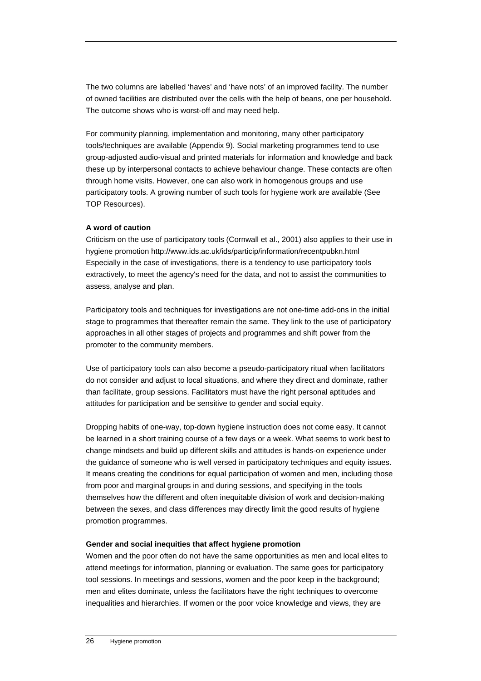The two columns are labelled 'haves' and 'have nots' of an improved facility. The number of owned facilities are distributed over the cells with the help of beans, one per household. The outcome shows who is worst-off and may need help.

For community planning, implementation and monitoring, many other participatory tools/techniques are available (Appendix 9). Social marketing programmes tend to use group-adjusted audio-visual and printed materials for information and knowledge and back these up by interpersonal contacts to achieve behaviour change. These contacts are often through home visits. However, one can also work in homogenous groups and use participatory tools. A growing number of such tools for hygiene work are available (See TOP Resources).

#### **A word of caution**

Criticism on the use of participatory tools (Cornwall et al., 2001) also applies to their use in hygiene promotion http://www.ids.ac.uk/ids/particip/information/recentpubkn.html Especially in the case of investigations, there is a tendency to use participatory tools extractively, to meet the agency's need for the data, and not to assist the communities to assess, analyse and plan.

Participatory tools and techniques for investigations are not one-time add-ons in the initial stage to programmes that thereafter remain the same. They link to the use of participatory approaches in all other stages of projects and programmes and shift power from the promoter to the community members.

Use of participatory tools can also become a pseudo-participatory ritual when facilitators do not consider and adjust to local situations, and where they direct and dominate, rather than facilitate, group sessions. Facilitators must have the right personal aptitudes and attitudes for participation and be sensitive to gender and social equity.

Dropping habits of one-way, top-down hygiene instruction does not come easy. It cannot be learned in a short training course of a few days or a week. What seems to work best to change mindsets and build up different skills and attitudes is hands-on experience under the guidance of someone who is well versed in participatory techniques and equity issues. It means creating the conditions for equal participation of women and men, including those from poor and marginal groups in and during sessions, and specifying in the tools themselves how the different and often inequitable division of work and decision-making between the sexes, and class differences may directly limit the good results of hygiene promotion programmes.

#### **Gender and social inequities that affect hygiene promotion**

Women and the poor often do not have the same opportunities as men and local elites to attend meetings for information, planning or evaluation. The same goes for participatory tool sessions. In meetings and sessions, women and the poor keep in the background; men and elites dominate, unless the facilitators have the right techniques to overcome inequalities and hierarchies. If women or the poor voice knowledge and views, they are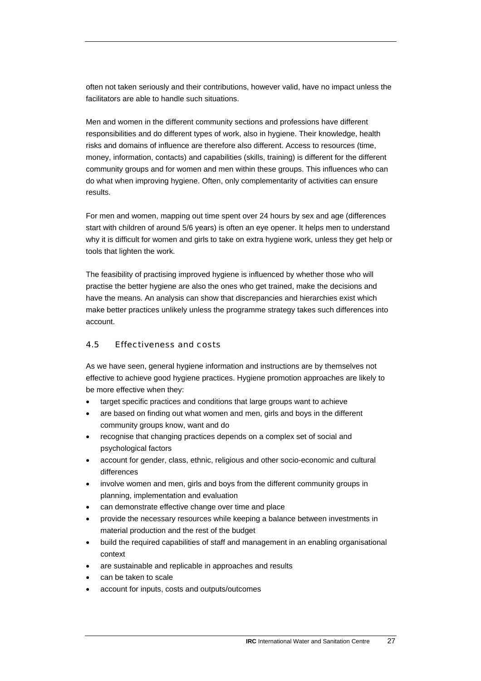<span id="page-28-0"></span>often not taken seriously and their contributions, however valid, have no impact unless the facilitators are able to handle such situations.

Men and women in the different community sections and professions have different responsibilities and do different types of work, also in hygiene. Their knowledge, health risks and domains of influence are therefore also different. Access to resources (time, money, information, contacts) and capabilities (skills, training) is different for the different community groups and for women and men within these groups. This influences who can do what when improving hygiene. Often, only complementarity of activities can ensure results.

For men and women, mapping out time spent over 24 hours by sex and age (differences start with children of around 5/6 years) is often an eye opener. It helps men to understand why it is difficult for women and girls to take on extra hygiene work, unless they get help or tools that lighten the work.

The feasibility of practising improved hygiene is influenced by whether those who will practise the better hygiene are also the ones who get trained, make the decisions and have the means. An analysis can show that discrepancies and hierarchies exist which make better practices unlikely unless the programme strategy takes such differences into account.

### 4.5 Effectiveness and costs

As we have seen, general hygiene information and instructions are by themselves not effective to achieve good hygiene practices. Hygiene promotion approaches are likely to be more effective when they:

- target specific practices and conditions that large groups want to achieve
- are based on finding out what women and men, girls and boys in the different community groups know, want and do
- recognise that changing practices depends on a complex set of social and psychological factors
- account for gender, class, ethnic, religious and other socio-economic and cultural differences
- involve women and men, girls and boys from the different community groups in planning, implementation and evaluation
- can demonstrate effective change over time and place
- provide the necessary resources while keeping a balance between investments in material production and the rest of the budget
- build the required capabilities of staff and management in an enabling organisational context
- are sustainable and replicable in approaches and results
- can be taken to scale
- account for inputs, costs and outputs/outcomes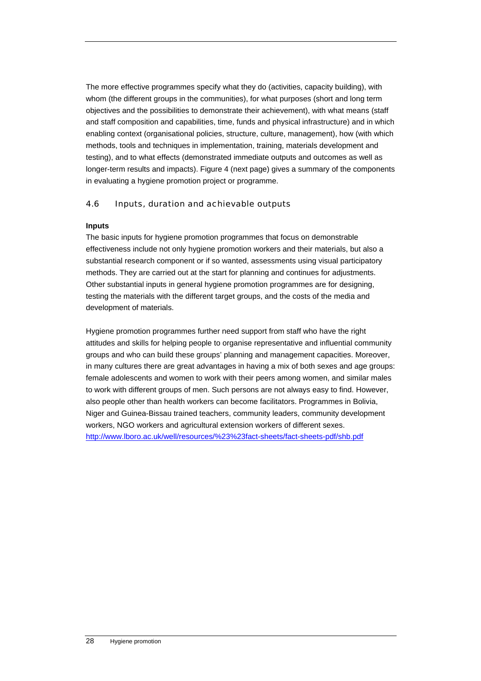<span id="page-29-0"></span>The more effective programmes specify what they do (activities, capacity building), with whom (the different groups in the communities), for what purposes (short and long term objectives and the possibilities to demonstrate their achievement), with what means (staff and staff composition and capabilities, time, funds and physical infrastructure) and in which enabling context (organisational policies, structure, culture, management), how (with which methods, tools and techniques in implementation, training, materials development and testing), and to what effects (demonstrated immediate outputs and outcomes as well as longer-term results and impacts). Figure 4 (next page) gives a summary of the components in evaluating a hygiene promotion project or programme.

## 4.6 Inputs, duration and achievable outputs

### **Inputs**

The basic inputs for hygiene promotion programmes that focus on demonstrable effectiveness include not only hygiene promotion workers and their materials, but also a substantial research component or if so wanted, assessments using visual participatory methods. They are carried out at the start for planning and continues for adjustments. Other substantial inputs in general hygiene promotion programmes are for designing, testing the materials with the different target groups, and the costs of the media and development of materials.

Hygiene promotion programmes further need support from staff who have the right attitudes and skills for helping people to organise representative and influential community groups and who can build these groups' planning and management capacities. Moreover, in many cultures there are great advantages in having a mix of both sexes and age groups: female adolescents and women to work with their peers among women, and similar males to work with different groups of men. Such persons are not always easy to find. However, also people other than health workers can become facilitators. Programmes in Bolivia, Niger and Guinea-Bissau trained teachers, community leaders, community development workers, NGO workers and agricultural extension workers of different sexes. <http://www.lboro.ac.uk/well/resources/%23%23fact-sheets/fact-sheets-pdf/shb.pdf>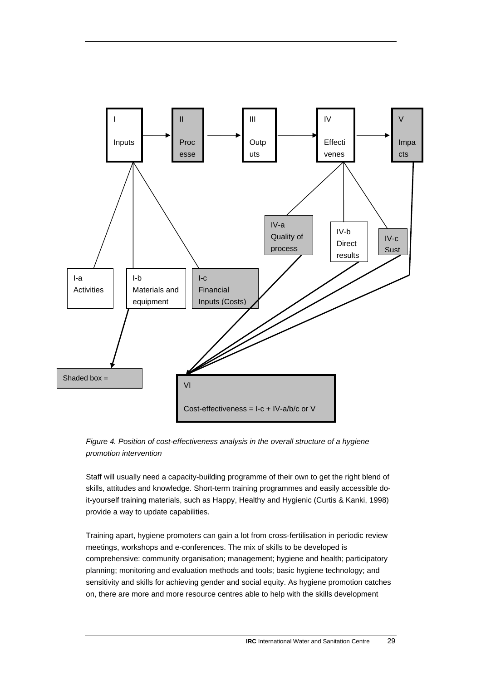

*Figure 4. Position of cost-effectiveness analysis in the overall structure of a hygiene promotion intervention* 

Staff will usually need a capacity-building programme of their own to get the right blend of skills, attitudes and knowledge. Short-term training programmes and easily accessible doit-yourself training materials, such as Happy, Healthy and Hygienic (Curtis & Kanki, 1998) provide a way to update capabilities.

Training apart, hygiene promoters can gain a lot from cross-fertilisation in periodic review meetings, workshops and e-conferences. The mix of skills to be developed is comprehensive: community organisation; management; hygiene and health; participatory planning; monitoring and evaluation methods and tools; basic hygiene technology; and sensitivity and skills for achieving gender and social equity. As hygiene promotion catches on, there are more and more resource centres able to help with the skills development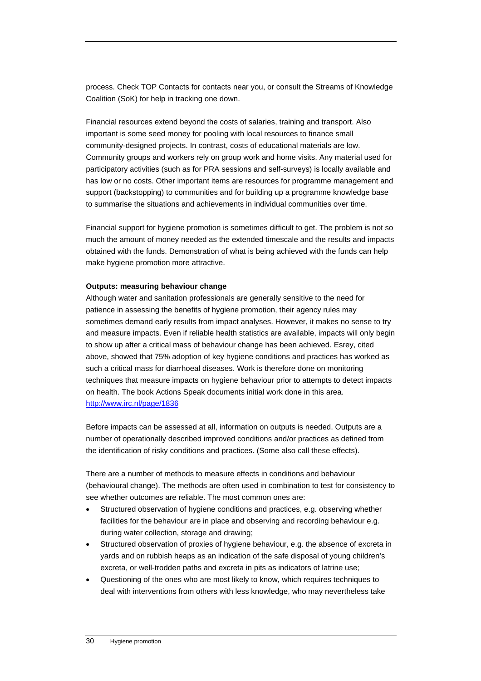process. Check TOP Contacts for contacts near you, or consult the Streams of Knowledge Coalition (SoK) for help in tracking one down.

Financial resources extend beyond the costs of salaries, training and transport. Also important is some seed money for pooling with local resources to finance small community-designed projects. In contrast, costs of educational materials are low. Community groups and workers rely on group work and home visits. Any material used for participatory activities (such as for PRA sessions and self-surveys) is locally available and has low or no costs. Other important items are resources for programme management and support (backstopping) to communities and for building up a programme knowledge base to summarise the situations and achievements in individual communities over time.

Financial support for hygiene promotion is sometimes difficult to get. The problem is not so much the amount of money needed as the extended timescale and the results and impacts obtained with the funds. Demonstration of what is being achieved with the funds can help make hygiene promotion more attractive.

#### **Outputs: measuring behaviour change**

Although water and sanitation professionals are generally sensitive to the need for patience in assessing the benefits of hygiene promotion, their agency rules may sometimes demand early results from impact analyses. However, it makes no sense to try and measure impacts. Even if reliable health statistics are available, impacts will only begin to show up after a critical mass of behaviour change has been achieved. Esrey, cited above, showed that 75% adoption of key hygiene conditions and practices has worked as such a critical mass for diarrhoeal diseases. Work is therefore done on monitoring techniques that measure impacts on hygiene behaviour prior to attempts to detect impacts on health. The book Actions Speak documents initial work done in this area. <http://www.irc.nl/page/1836>

Before impacts can be assessed at all, information on outputs is needed. Outputs are a number of operationally described improved conditions and/or practices as defined from the identification of risky conditions and practices. (Some also call these effects).

There are a number of methods to measure effects in conditions and behaviour (behavioural change). The methods are often used in combination to test for consistency to see whether outcomes are reliable. The most common ones are:

- Structured observation of hygiene conditions and practices, e.g. observing whether facilities for the behaviour are in place and observing and recording behaviour e.g. during water collection, storage and drawing;
- Structured observation of proxies of hygiene behaviour, e.g. the absence of excreta in yards and on rubbish heaps as an indication of the safe disposal of young children's excreta, or well-trodden paths and excreta in pits as indicators of latrine use;
- Questioning of the ones who are most likely to know, which requires techniques to deal with interventions from others with less knowledge, who may nevertheless take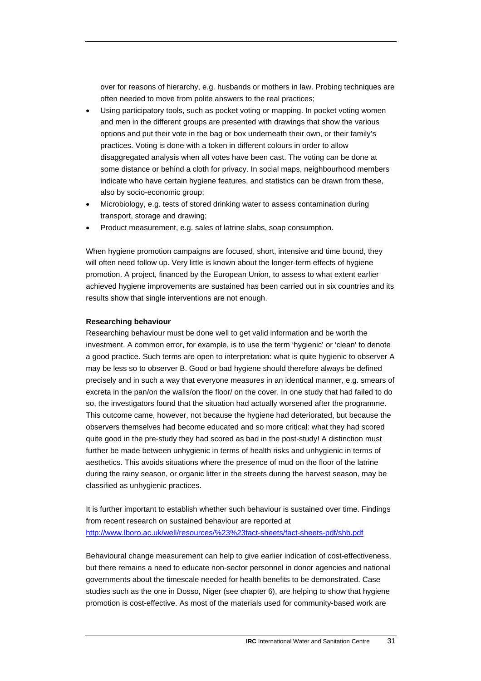over for reasons of hierarchy, e.g. husbands or mothers in law. Probing techniques are often needed to move from polite answers to the real practices;

- Using participatory tools, such as pocket voting or mapping. In pocket voting women and men in the different groups are presented with drawings that show the various options and put their vote in the bag or box underneath their own, or their family's practices. Voting is done with a token in different colours in order to allow disaggregated analysis when all votes have been cast. The voting can be done at some distance or behind a cloth for privacy. In social maps, neighbourhood members indicate who have certain hygiene features, and statistics can be drawn from these, also by socio-economic group;
- Microbiology, e.g. tests of stored drinking water to assess contamination during transport, storage and drawing;
- Product measurement, e.g. sales of latrine slabs, soap consumption.

When hygiene promotion campaigns are focused, short, intensive and time bound, they will often need follow up. Very little is known about the longer-term effects of hygiene promotion. A project, financed by the European Union, to assess to what extent earlier achieved hygiene improvements are sustained has been carried out in six countries and its results show that single interventions are not enough.

#### **Researching behaviour**

Researching behaviour must be done well to get valid information and be worth the investment. A common error, for example, is to use the term 'hygienic' or 'clean' to denote a good practice. Such terms are open to interpretation: what is quite hygienic to observer A may be less so to observer B. Good or bad hygiene should therefore always be defined precisely and in such a way that everyone measures in an identical manner, e.g. smears of excreta in the pan/on the walls/on the floor/ on the cover. In one study that had failed to do so, the investigators found that the situation had actually worsened after the programme. This outcome came, however, not because the hygiene had deteriorated, but because the observers themselves had become educated and so more critical: what they had scored quite good in the pre-study they had scored as bad in the post-study! A distinction must further be made between unhygienic in terms of health risks and unhygienic in terms of aesthetics. This avoids situations where the presence of mud on the floor of the latrine during the rainy season, or organic litter in the streets during the harvest season, may be classified as unhygienic practices.

It is further important to establish whether such behaviour is sustained over time. Findings from recent research on sustained behaviour are reported at <http://www.lboro.ac.uk/well/resources/%23%23fact-sheets/fact-sheets-pdf/shb.pdf>

Behavioural change measurement can help to give earlier indication of cost-effectiveness, but there remains a need to educate non-sector personnel in donor agencies and national governments about the timescale needed for health benefits to be demonstrated. Case studies such as the one in Dosso, Niger (see chapter 6), are helping to show that hygiene promotion is cost-effective. As most of the materials used for community-based work are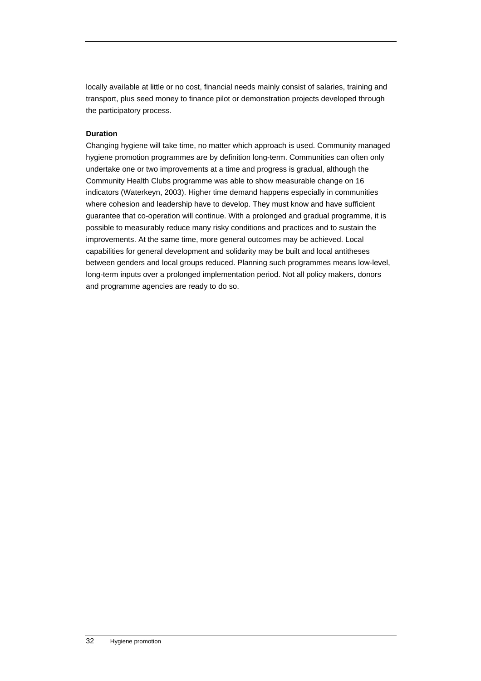locally available at little or no cost, financial needs mainly consist of salaries, training and transport, plus seed money to finance pilot or demonstration projects developed through the participatory process.

### **Duration**

Changing hygiene will take time, no matter which approach is used. Community managed hygiene promotion programmes are by definition long-term. Communities can often only undertake one or two improvements at a time and progress is gradual, although the Community Health Clubs programme was able to show measurable change on 16 indicators (Waterkeyn, 2003). Higher time demand happens especially in communities where cohesion and leadership have to develop. They must know and have sufficient guarantee that co-operation will continue. With a prolonged and gradual programme, it is possible to measurably reduce many risky conditions and practices and to sustain the improvements. At the same time, more general outcomes may be achieved. Local capabilities for general development and solidarity may be built and local antitheses between genders and local groups reduced. Planning such programmes means low-level, long-term inputs over a prolonged implementation period. Not all policy makers, donors and programme agencies are ready to do so.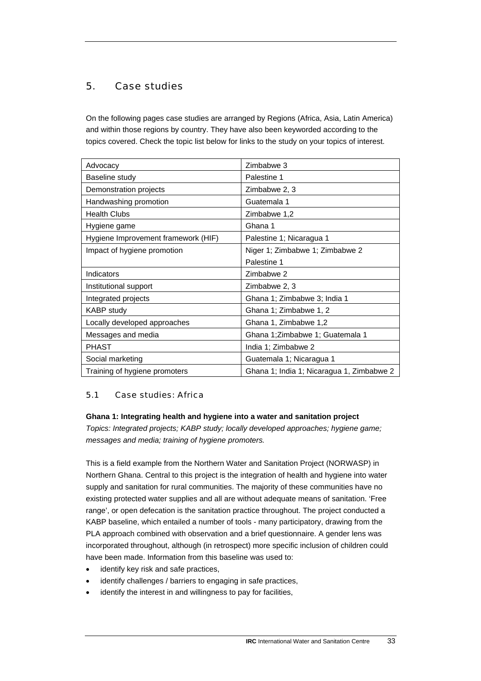# <span id="page-34-0"></span>5. Case studies

On the following pages case studies are arranged by Regions (Africa, Asia, Latin America) and within those regions by country. They have also been keyworded according to the topics covered. Check the topic list below for links to the study on your topics of interest.

| Advocacy                            | Zimbabwe 3                                |  |
|-------------------------------------|-------------------------------------------|--|
| Baseline study                      | Palestine 1                               |  |
| Demonstration projects              | Zimbabwe 2, 3                             |  |
| Handwashing promotion               | Guatemala 1                               |  |
| <b>Health Clubs</b>                 | Zimbabwe 1,2                              |  |
| Hygiene game                        | Ghana 1                                   |  |
| Hygiene Improvement framework (HIF) | Palestine 1; Nicaragua 1                  |  |
| Impact of hygiene promotion         | Niger 1; Zimbabwe 1; Zimbabwe 2           |  |
|                                     | Palestine 1                               |  |
| Indicators                          | Zimbabwe 2                                |  |
| Institutional support               | Zimbabwe 2, 3                             |  |
| Integrated projects                 | Ghana 1; Zimbabwe 3; India 1              |  |
| <b>KABP</b> study                   | Ghana 1; Zimbabwe 1, 2                    |  |
| Locally developed approaches        | Ghana 1, Zimbabwe 1,2                     |  |
| Messages and media                  | Ghana 1; Zimbabwe 1; Guatemala 1          |  |
| <b>PHAST</b>                        | India 1; Zimbabwe 2                       |  |
| Social marketing                    | Guatemala 1; Nicaragua 1                  |  |
| Training of hygiene promoters       | Ghana 1; India 1; Nicaragua 1, Zimbabwe 2 |  |

## 5.1 Case studies: Africa

### **Ghana 1: Integrating health and hygiene into a water and sanitation project**

*Topics: Integrated projects; KABP study; locally developed approaches; hygiene game; messages and media; training of hygiene promoters.* 

This is a field example from the Northern Water and Sanitation Project (NORWASP) in Northern Ghana. Central to this project is the integration of health and hygiene into water supply and sanitation for rural communities. The majority of these communities have no existing protected water supplies and all are without adequate means of sanitation. 'Free range', or open defecation is the sanitation practice throughout. The project conducted a KABP baseline, which entailed a number of tools - many participatory, drawing from the PLA approach combined with observation and a brief questionnaire. A gender lens was incorporated throughout, although (in retrospect) more specific inclusion of children could have been made. Information from this baseline was used to:

- identify key risk and safe practices,
- identify challenges / barriers to engaging in safe practices,
- identify the interest in and willingness to pay for facilities,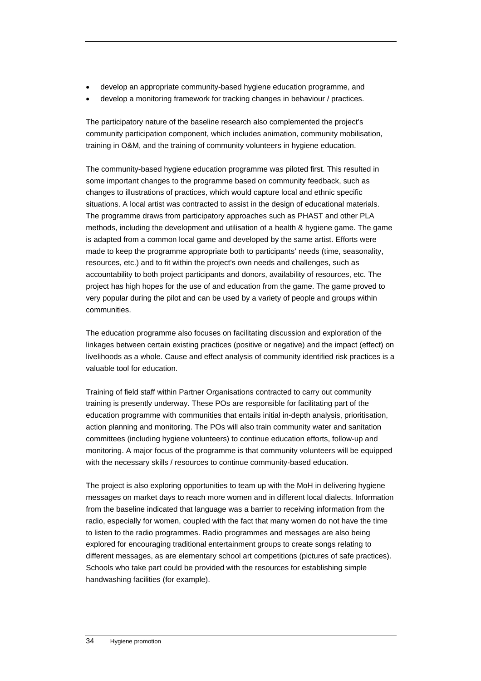- develop an appropriate community-based hygiene education programme, and
- develop a monitoring framework for tracking changes in behaviour / practices.

The participatory nature of the baseline research also complemented the project's community participation component, which includes animation, community mobilisation, training in O&M, and the training of community volunteers in hygiene education.

The community-based hygiene education programme was piloted first. This resulted in some important changes to the programme based on community feedback, such as changes to illustrations of practices, which would capture local and ethnic specific situations. A local artist was contracted to assist in the design of educational materials. The programme draws from participatory approaches such as PHAST and other PLA methods, including the development and utilisation of a health & hygiene game. The game is adapted from a common local game and developed by the same artist. Efforts were made to keep the programme appropriate both to participants' needs (time, seasonality, resources, etc.) and to fit within the project's own needs and challenges, such as accountability to both project participants and donors, availability of resources, etc. The project has high hopes for the use of and education from the game. The game proved to very popular during the pilot and can be used by a variety of people and groups within communities.

The education programme also focuses on facilitating discussion and exploration of the linkages between certain existing practices (positive or negative) and the impact (effect) on livelihoods as a whole. Cause and effect analysis of community identified risk practices is a valuable tool for education.

Training of field staff within Partner Organisations contracted to carry out community training is presently underway. These POs are responsible for facilitating part of the education programme with communities that entails initial in-depth analysis, prioritisation, action planning and monitoring. The POs will also train community water and sanitation committees (including hygiene volunteers) to continue education efforts, follow-up and monitoring. A major focus of the programme is that community volunteers will be equipped with the necessary skills / resources to continue community-based education.

The project is also exploring opportunities to team up with the MoH in delivering hygiene messages on market days to reach more women and in different local dialects. Information from the baseline indicated that language was a barrier to receiving information from the radio, especially for women, coupled with the fact that many women do not have the time to listen to the radio programmes. Radio programmes and messages are also being explored for encouraging traditional entertainment groups to create songs relating to different messages, as are elementary school art competitions (pictures of safe practices). Schools who take part could be provided with the resources for establishing simple handwashing facilities (for example).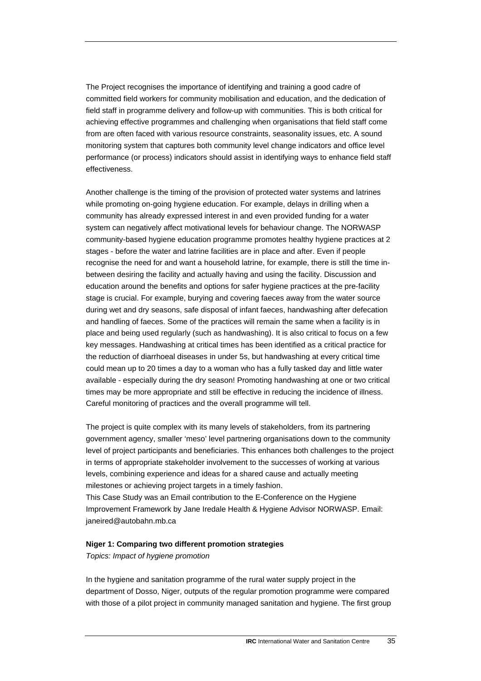The Project recognises the importance of identifying and training a good cadre of committed field workers for community mobilisation and education, and the dedication of field staff in programme delivery and follow-up with communities. This is both critical for achieving effective programmes and challenging when organisations that field staff come from are often faced with various resource constraints, seasonality issues, etc. A sound monitoring system that captures both community level change indicators and office level performance (or process) indicators should assist in identifying ways to enhance field staff effectiveness.

Another challenge is the timing of the provision of protected water systems and latrines while promoting on-going hygiene education. For example, delays in drilling when a community has already expressed interest in and even provided funding for a water system can negatively affect motivational levels for behaviour change. The NORWASP community-based hygiene education programme promotes healthy hygiene practices at 2 stages - before the water and latrine facilities are in place and after. Even if people recognise the need for and want a household latrine, for example, there is still the time inbetween desiring the facility and actually having and using the facility. Discussion and education around the benefits and options for safer hygiene practices at the pre-facility stage is crucial. For example, burying and covering faeces away from the water source during wet and dry seasons, safe disposal of infant faeces, handwashing after defecation and handling of faeces. Some of the practices will remain the same when a facility is in place and being used regularly (such as handwashing). It is also critical to focus on a few key messages. Handwashing at critical times has been identified as a critical practice for the reduction of diarrhoeal diseases in under 5s, but handwashing at every critical time could mean up to 20 times a day to a woman who has a fully tasked day and little water available - especially during the dry season! Promoting handwashing at one or two critical times may be more appropriate and still be effective in reducing the incidence of illness. Careful monitoring of practices and the overall programme will tell.

The project is quite complex with its many levels of stakeholders, from its partnering government agency, smaller 'meso' level partnering organisations down to the community level of project participants and beneficiaries. This enhances both challenges to the project in terms of appropriate stakeholder involvement to the successes of working at various levels, combining experience and ideas for a shared cause and actually meeting milestones or achieving project targets in a timely fashion. This Case Study was an Email contribution to the E-Conference on the Hygiene

Improvement Framework by Jane Iredale Health & Hygiene Advisor NORWASP. Email: janeired@autobahn.mb.ca

#### **Niger 1: Comparing two different promotion strategies**

*Topics: Impact of hygiene promotion* 

In the hygiene and sanitation programme of the rural water supply project in the department of Dosso, Niger, outputs of the regular promotion programme were compared with those of a pilot project in community managed sanitation and hygiene. The first group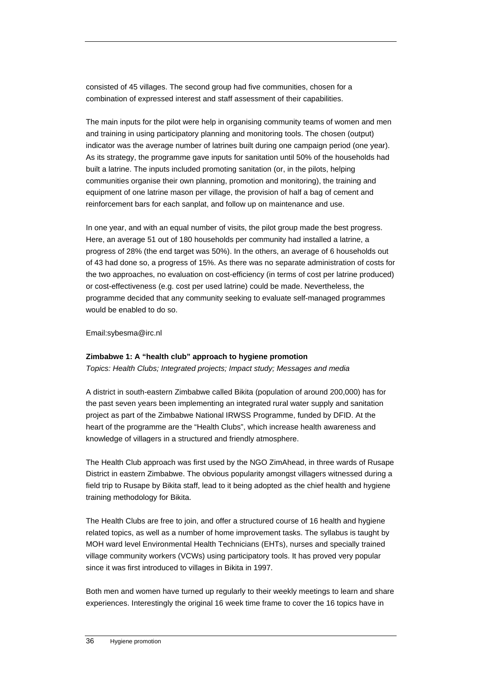consisted of 45 villages. The second group had five communities, chosen for a combination of expressed interest and staff assessment of their capabilities.

The main inputs for the pilot were help in organising community teams of women and men and training in using participatory planning and monitoring tools. The chosen (output) indicator was the average number of latrines built during one campaign period (one year). As its strategy, the programme gave inputs for sanitation until 50% of the households had built a latrine. The inputs included promoting sanitation (or, in the pilots, helping communities organise their own planning, promotion and monitoring), the training and equipment of one latrine mason per village, the provision of half a bag of cement and reinforcement bars for each sanplat, and follow up on maintenance and use.

In one year, and with an equal number of visits, the pilot group made the best progress. Here, an average 51 out of 180 households per community had installed a latrine, a progress of 28% (the end target was 50%). In the others, an average of 6 households out of 43 had done so, a progress of 15%. As there was no separate administration of costs for the two approaches, no evaluation on cost-efficiency (in terms of cost per latrine produced) or cost-effectiveness (e.g. cost per used latrine) could be made. Nevertheless, the programme decided that any community seeking to evaluate self-managed programmes would be enabled to do so.

Email:sybesma@irc.nl

#### **Zimbabwe 1: A "health club" approach to hygiene promotion**

*Topics: Health Clubs; Integrated projects; Impact study; Messages and media* 

A district in south-eastern Zimbabwe called Bikita (population of around 200,000) has for the past seven years been implementing an integrated rural water supply and sanitation project as part of the Zimbabwe National IRWSS Programme, funded by DFID. At the heart of the programme are the "Health Clubs", which increase health awareness and knowledge of villagers in a structured and friendly atmosphere.

The Health Club approach was first used by the NGO ZimAhead, in three wards of Rusape District in eastern Zimbabwe. The obvious popularity amongst villagers witnessed during a field trip to Rusape by Bikita staff, lead to it being adopted as the chief health and hygiene training methodology for Bikita.

The Health Clubs are free to join, and offer a structured course of 16 health and hygiene related topics, as well as a number of home improvement tasks. The syllabus is taught by MOH ward level Environmental Health Technicians (EHTs), nurses and specially trained village community workers (VCWs) using participatory tools. It has proved very popular since it was first introduced to villages in Bikita in 1997.

Both men and women have turned up regularly to their weekly meetings to learn and share experiences. Interestingly the original 16 week time frame to cover the 16 topics have in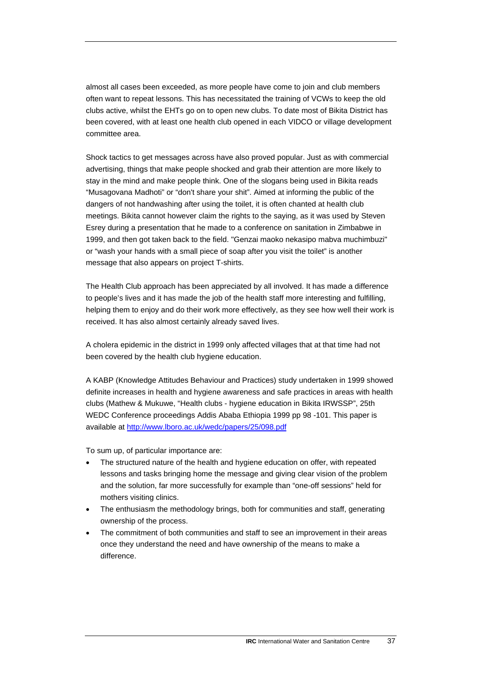almost all cases been exceeded, as more people have come to join and club members often want to repeat lessons. This has necessitated the training of VCWs to keep the old clubs active, whilst the EHTs go on to open new clubs. To date most of Bikita District has been covered, with at least one health club opened in each VIDCO or village development committee area.

Shock tactics to get messages across have also proved popular. Just as with commercial advertising, things that make people shocked and grab their attention are more likely to stay in the mind and make people think. One of the slogans being used in Bikita reads "Musagovana Madhoti" or "don't share your shit". Aimed at informing the public of the dangers of not handwashing after using the toilet, it is often chanted at health club meetings. Bikita cannot however claim the rights to the saying, as it was used by Steven Esrey during a presentation that he made to a conference on sanitation in Zimbabwe in 1999, and then got taken back to the field. "Genzai maoko nekasipo mabva muchimbuzi" or "wash your hands with a small piece of soap after you visit the toilet" is another message that also appears on project T-shirts.

The Health Club approach has been appreciated by all involved. It has made a difference to people's lives and it has made the job of the health staff more interesting and fulfilling, helping them to enjoy and do their work more effectively, as they see how well their work is received. It has also almost certainly already saved lives.

A cholera epidemic in the district in 1999 only affected villages that at that time had not been covered by the health club hygiene education.

A KABP (Knowledge Attitudes Behaviour and Practices) study undertaken in 1999 showed definite increases in health and hygiene awareness and safe practices in areas with health clubs (Mathew & Mukuwe, "Health clubs - hygiene education in Bikita IRWSSP", 25th WEDC Conference proceedings Addis Ababa Ethiopia 1999 pp 98 -101. This paper is available at <http://www.lboro.ac.uk/wedc/papers/25/098.pdf>

To sum up, of particular importance are:

- The structured nature of the health and hygiene education on offer, with repeated lessons and tasks bringing home the message and giving clear vision of the problem and the solution, far more successfully for example than "one-off sessions" held for mothers visiting clinics.
- The enthusiasm the methodology brings, both for communities and staff, generating ownership of the process.
- The commitment of both communities and staff to see an improvement in their areas once they understand the need and have ownership of the means to make a difference.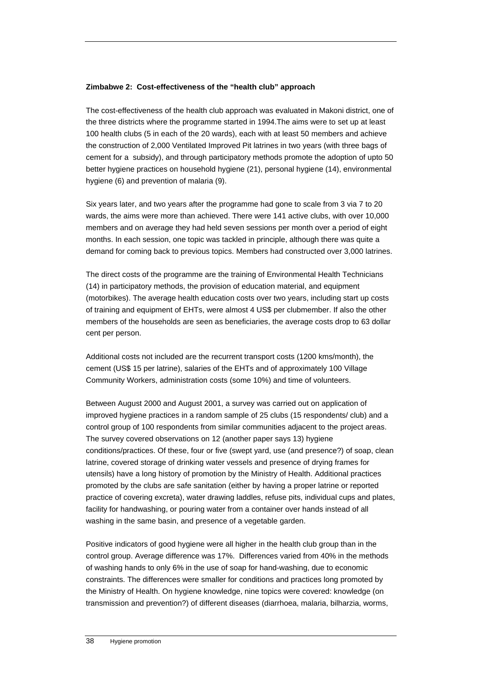#### **Zimbabwe 2: Cost-effectiveness of the "health club" approach**

The cost-effectiveness of the health club approach was evaluated in Makoni district, one of the three districts where the programme started in 1994.The aims were to set up at least 100 health clubs (5 in each of the 20 wards), each with at least 50 members and achieve the construction of 2,000 Ventilated Improved Pit latrines in two years (with three bags of cement for a subsidy), and through participatory methods promote the adoption of upto 50 better hygiene practices on household hygiene (21), personal hygiene (14), environmental hygiene (6) and prevention of malaria (9).

Six years later, and two years after the programme had gone to scale from 3 via 7 to 20 wards, the aims were more than achieved. There were 141 active clubs, with over 10,000 members and on average they had held seven sessions per month over a period of eight months. In each session, one topic was tackled in principle, although there was quite a demand for coming back to previous topics. Members had constructed over 3,000 latrines.

The direct costs of the programme are the training of Environmental Health Technicians (14) in participatory methods, the provision of education material, and equipment (motorbikes). The average health education costs over two years, including start up costs of training and equipment of EHTs, were almost 4 US\$ per clubmember. If also the other members of the households are seen as beneficiaries, the average costs drop to 63 dollar cent per person.

Additional costs not included are the recurrent transport costs (1200 kms/month), the cement (US\$ 15 per latrine), salaries of the EHTs and of approximately 100 Village Community Workers, administration costs (some 10%) and time of volunteers.

Between August 2000 and August 2001, a survey was carried out on application of improved hygiene practices in a random sample of 25 clubs (15 respondents/ club) and a control group of 100 respondents from similar communities adjacent to the project areas. The survey covered observations on 12 (another paper says 13) hygiene conditions/practices. Of these, four or five (swept yard, use (and presence?) of soap, clean latrine, covered storage of drinking water vessels and presence of drying frames for utensils) have a long history of promotion by the Ministry of Health. Additional practices promoted by the clubs are safe sanitation (either by having a proper latrine or reported practice of covering excreta), water drawing laddles, refuse pits, individual cups and plates, facility for handwashing, or pouring water from a container over hands instead of all washing in the same basin, and presence of a vegetable garden.

Positive indicators of good hygiene were all higher in the health club group than in the control group. Average difference was 17%. Differences varied from 40% in the methods of washing hands to only 6% in the use of soap for hand-washing, due to economic constraints. The differences were smaller for conditions and practices long promoted by the Ministry of Health. On hygiene knowledge, nine topics were covered: knowledge (on transmission and prevention?) of different diseases (diarrhoea, malaria, bilharzia, worms,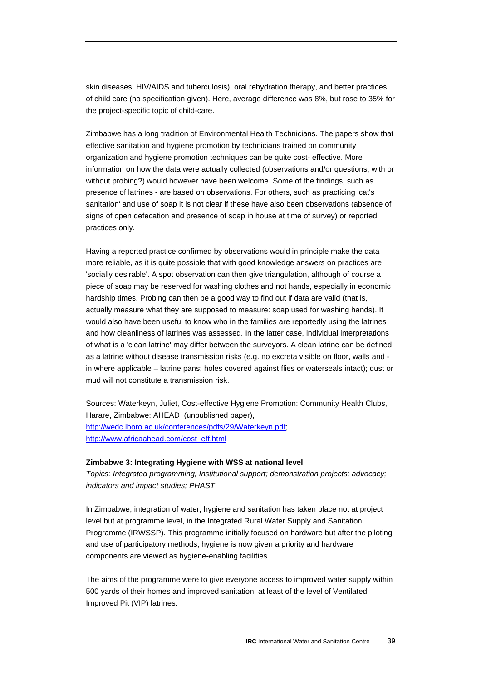skin diseases, HIV/AIDS and tuberculosis), oral rehydration therapy, and better practices of child care (no specification given). Here, average difference was 8%, but rose to 35% for the project-specific topic of child-care.

Zimbabwe has a long tradition of Environmental Health Technicians. The papers show that effective sanitation and hygiene promotion by technicians trained on community organization and hygiene promotion techniques can be quite cost- effective. More information on how the data were actually collected (observations and/or questions, with or without probing?) would however have been welcome. Some of the findings, such as presence of latrines - are based on observations. For others, such as practicing 'cat's sanitation' and use of soap it is not clear if these have also been observations (absence of signs of open defecation and presence of soap in house at time of survey) or reported practices only.

Having a reported practice confirmed by observations would in principle make the data more reliable, as it is quite possible that with good knowledge answers on practices are 'socially desirable'. A spot observation can then give triangulation, although of course a piece of soap may be reserved for washing clothes and not hands, especially in economic hardship times. Probing can then be a good way to find out if data are valid (that is, actually measure what they are supposed to measure: soap used for washing hands). It would also have been useful to know who in the families are reportedly using the latrines and how cleanliness of latrines was assessed. In the latter case, individual interpretations of what is a 'clean latrine' may differ between the surveyors. A clean latrine can be defined as a latrine without disease transmission risks (e.g. no excreta visible on floor, walls and in where applicable – latrine pans; holes covered against flies or waterseals intact); dust or mud will not constitute a transmission risk.

Sources: Waterkeyn, Juliet, Cost-effective Hygiene Promotion: Community Health Clubs, Harare, Zimbabwe: AHEAD (unpublished paper), <http://wedc.lboro.ac.uk/conferences/pdfs/29/Waterkeyn.pdf>; [http://www.africaahead.com/cost\\_eff.html](http://www.africaahead.com/cost_eff.html)

#### **Zimbabwe 3: Integrating Hygiene with WSS at national level**

*Topics: Integrated programming; Institutional support; demonstration projects; advocacy; indicators and impact studies; PHAST* 

In Zimbabwe, integration of water, hygiene and sanitation has taken place not at project level but at programme level, in the Integrated Rural Water Supply and Sanitation Programme (IRWSSP). This programme initially focused on hardware but after the piloting and use of participatory methods, hygiene is now given a priority and hardware components are viewed as hygiene-enabling facilities.

The aims of the programme were to give everyone access to improved water supply within 500 yards of their homes and improved sanitation, at least of the level of Ventilated Improved Pit (VIP) latrines.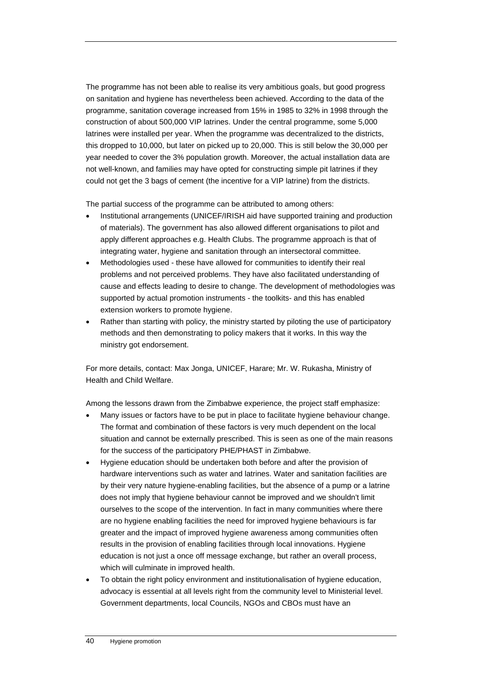The programme has not been able to realise its very ambitious goals, but good progress on sanitation and hygiene has nevertheless been achieved. According to the data of the programme, sanitation coverage increased from 15% in 1985 to 32% in 1998 through the construction of about 500,000 VIP latrines. Under the central programme, some 5,000 latrines were installed per year. When the programme was decentralized to the districts, this dropped to 10,000, but later on picked up to 20,000. This is still below the 30,000 per year needed to cover the 3% population growth. Moreover, the actual installation data are not well-known, and families may have opted for constructing simple pit latrines if they could not get the 3 bags of cement (the incentive for a VIP latrine) from the districts.

The partial success of the programme can be attributed to among others:

- Institutional arrangements (UNICEF/IRISH aid have supported training and production of materials). The government has also allowed different organisations to pilot and apply different approaches e.g. Health Clubs. The programme approach is that of integrating water, hygiene and sanitation through an intersectoral committee.
- Methodologies used these have allowed for communities to identify their real problems and not perceived problems. They have also facilitated understanding of cause and effects leading to desire to change. The development of methodologies was supported by actual promotion instruments - the toolkits- and this has enabled extension workers to promote hygiene.
- Rather than starting with policy, the ministry started by piloting the use of participatory methods and then demonstrating to policy makers that it works. In this way the ministry got endorsement.

For more details, contact: Max Jonga, UNICEF, Harare; Mr. W. Rukasha, Ministry of Health and Child Welfare.

Among the lessons drawn from the Zimbabwe experience, the project staff emphasize:

- Many issues or factors have to be put in place to facilitate hygiene behaviour change. The format and combination of these factors is very much dependent on the local situation and cannot be externally prescribed. This is seen as one of the main reasons for the success of the participatory PHE/PHAST in Zimbabwe.
- Hygiene education should be undertaken both before and after the provision of hardware interventions such as water and latrines. Water and sanitation facilities are by their very nature hygiene-enabling facilities, but the absence of a pump or a latrine does not imply that hygiene behaviour cannot be improved and we shouldn't limit ourselves to the scope of the intervention. In fact in many communities where there are no hygiene enabling facilities the need for improved hygiene behaviours is far greater and the impact of improved hygiene awareness among communities often results in the provision of enabling facilities through local innovations. Hygiene education is not just a once off message exchange, but rather an overall process, which will culminate in improved health.
- To obtain the right policy environment and institutionalisation of hygiene education, advocacy is essential at all levels right from the community level to Ministerial level. Government departments, local Councils, NGOs and CBOs must have an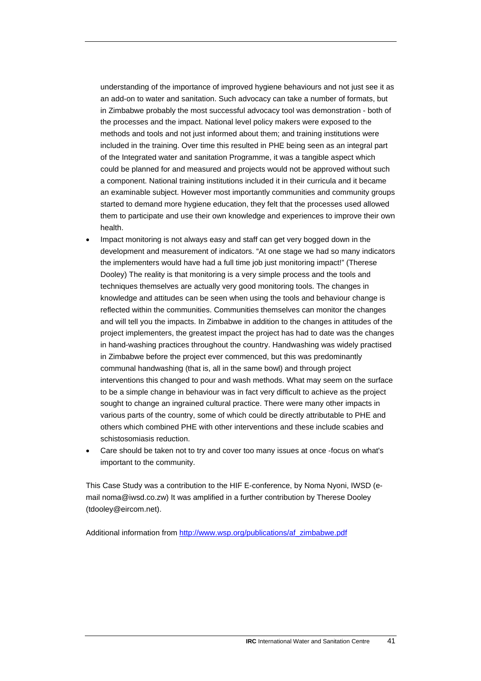understanding of the importance of improved hygiene behaviours and not just see it as an add-on to water and sanitation. Such advocacy can take a number of formats, but in Zimbabwe probably the most successful advocacy tool was demonstration - both of the processes and the impact. National level policy makers were exposed to the methods and tools and not just informed about them; and training institutions were included in the training. Over time this resulted in PHE being seen as an integral part of the Integrated water and sanitation Programme, it was a tangible aspect which could be planned for and measured and projects would not be approved without such a component. National training institutions included it in their curricula and it became an examinable subject. However most importantly communities and community groups started to demand more hygiene education, they felt that the processes used allowed them to participate and use their own knowledge and experiences to improve their own health.

- Impact monitoring is not always easy and staff can get very bogged down in the development and measurement of indicators. "At one stage we had so many indicators the implementers would have had a full time job just monitoring impact!" (Therese Dooley) The reality is that monitoring is a very simple process and the tools and techniques themselves are actually very good monitoring tools. The changes in knowledge and attitudes can be seen when using the tools and behaviour change is reflected within the communities. Communities themselves can monitor the changes and will tell you the impacts. In Zimbabwe in addition to the changes in attitudes of the project implementers, the greatest impact the project has had to date was the changes in hand-washing practices throughout the country. Handwashing was widely practised in Zimbabwe before the project ever commenced, but this was predominantly communal handwashing (that is, all in the same bowl) and through project interventions this changed to pour and wash methods. What may seem on the surface to be a simple change in behaviour was in fact very difficult to achieve as the project sought to change an ingrained cultural practice. There were many other impacts in various parts of the country, some of which could be directly attributable to PHE and others which combined PHE with other interventions and these include scabies and schistosomiasis reduction.
- Care should be taken not to try and cover too many issues at once -focus on what's important to the community.

This Case Study was a contribution to the HIF E-conference, by Noma Nyoni, IWSD (email noma@iwsd.co.zw) It was amplified in a further contribution by Therese Dooley (tdooley@eircom.net).

Additional information from [http://www.wsp.org/publications/af\\_zimbabwe.pdf](http://www.wsp.org/publications/af_zimbabwe.pdf)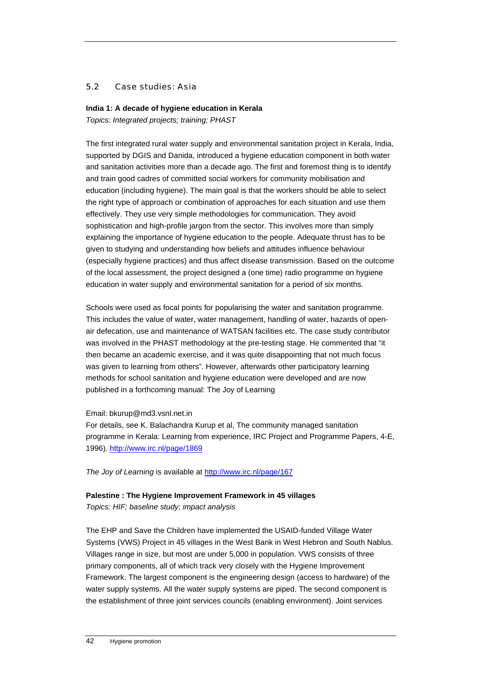## 5.2 Case studies: Asia

## **India 1: A decade of hygiene education in Kerala**

*Topics: Integrated projects; training; PHAST* 

The first integrated rural water supply and environmental sanitation project in Kerala, India, supported by DGIS and Danida, introduced a hygiene education component in both water and sanitation activities more than a decade ago. The first and foremost thing is to identify and train good cadres of committed social workers for community mobilisation and education (including hygiene). The main goal is that the workers should be able to select the right type of approach or combination of approaches for each situation and use them effectively. They use very simple methodologies for communication. They avoid sophistication and high-profile jargon from the sector. This involves more than simply explaining the importance of hygiene education to the people. Adequate thrust has to be given to studying and understanding how beliefs and attitudes influence behaviour (especially hygiene practices) and thus affect disease transmission. Based on the outcome of the local assessment, the project designed a (one time) radio programme on hygiene education in water supply and environmental sanitation for a period of six months.

Schools were used as focal points for popularising the water and sanitation programme. This includes the value of water, water management, handling of water, hazards of openair defecation, use and maintenance of WATSAN facilities etc. The case study contributor was involved in the PHAST methodology at the pre-testing stage. He commented that "it then became an academic exercise, and it was quite disappointing that not much focus was given to learning from others". However, afterwards other participatory learning methods for school sanitation and hygiene education were developed and are now published in a forthcoming manual: The Joy of Learning

## Email: bkurup@md3.vsnl.net.in

For details, see K. Balachandra Kurup et al, The community managed sanitation programme in Kerala: Learning from experience, IRC Project and Programme Papers, 4-E, 1996). <http://www.irc.nl/page/1869>

*The Joy of Learning* is available at<http://www.irc.nl/page/167>

## **Palestine : The Hygiene Improvement Framework in 45 villages**

*Topics: HIF; baseline study; impact analysis* 

The EHP and Save the Children have implemented the USAID-funded Village Water Systems (VWS) Project in 45 villages in the West Bank in West Hebron and South Nablus. Villages range in size, but most are under 5,000 in population. VWS consists of three primary components, all of which track very closely with the Hygiene Improvement Framework. The largest component is the engineering design (access to hardware) of the water supply systems. All the water supply systems are piped. The second component is the establishment of three joint services councils (enabling environment). Joint services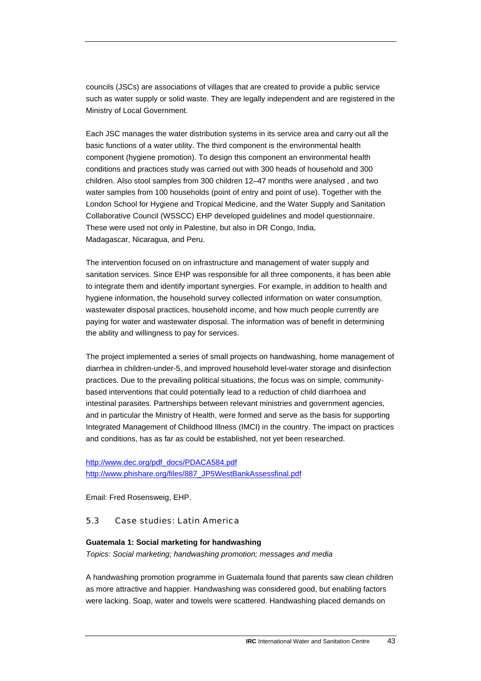councils (JSCs) are associations of villages that are created to provide a public service such as water supply or solid waste. They are legally independent and are registered in the Ministry of Local Government.

Each JSC manages the water distribution systems in its service area and carry out all the basic functions of a water utility. The third component is the environmental health component (hygiene promotion). To design this component an environmental health conditions and practices study was carried out with 300 heads of household and 300 children. Also stool samples from 300 children 12–47 months were analysed , and two water samples from 100 households (point of entry and point of use). Together with the London School for Hygiene and Tropical Medicine, and the Water Supply and Sanitation Collaborative Council (WSSCC) EHP developed guidelines and model questionnaire. These were used not only in Palestine, but also in DR Congo, India, Madagascar, Nicaragua, and Peru.

The intervention focused on on infrastructure and management of water supply and sanitation services. Since EHP was responsible for all three components, it has been able to integrate them and identify important synergies. For example, in addition to health and hygiene information, the household survey collected information on water consumption, wastewater disposal practices, household income, and how much people currently are paying for water and wastewater disposal. The information was of benefit in determining the ability and willingness to pay for services.

The project implemented a series of small projects on handwashing, home management of diarrhea in children-under-5, and improved household level-water storage and disinfection practices. Due to the prevailing political situations, the focus was on simple, communitybased interventions that could potentially lead to a reduction of child diarrhoea and intestinal parasites. Partnerships between relevant ministries and government agencies, and in particular the Ministry of Health, were formed and serve as the basis for supporting Integrated Management of Childhood Illness (IMCI) in the country. The impact on practices and conditions, has as far as could be established, not yet been researched.

[http://www.dec.org/pdf\\_docs/PDACA584.pdf](http://www.dec.org/pdf_docs/PDACA584.pdf) [http://www.phishare.org/files/887\\_JP5WestBankAssessfinal.pdf](http://www.phishare.org/files/887_JP5WestBankAssessfinal.pdf) 

Email: Fred Rosensweig, EHP.

## 5.3 Case studies: Latin America

#### **Guatemala 1: Social marketing for handwashing**

*Topics: Social marketing; handwashing promotion; messages and media* 

A handwashing promotion programme in Guatemala found that parents saw clean children as more attractive and happier. Handwashing was considered good, but enabling factors were lacking. Soap, water and towels were scattered. Handwashing placed demands on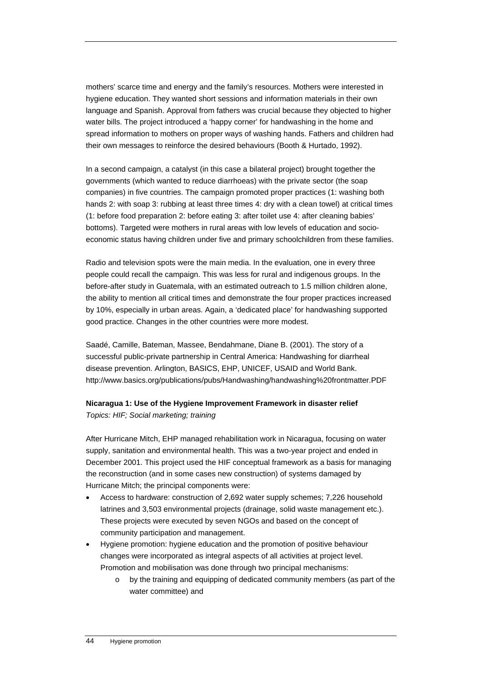mothers' scarce time and energy and the family's resources. Mothers were interested in hygiene education. They wanted short sessions and information materials in their own language and Spanish. Approval from fathers was crucial because they objected to higher water bills. The project introduced a 'happy corner' for handwashing in the home and spread information to mothers on proper ways of washing hands. Fathers and children had their own messages to reinforce the desired behaviours (Booth & Hurtado, 1992).

In a second campaign, a catalyst (in this case a bilateral project) brought together the governments (which wanted to reduce diarrhoeas) with the private sector (the soap companies) in five countries. The campaign promoted proper practices (1: washing both hands 2: with soap 3: rubbing at least three times 4: dry with a clean towel) at critical times (1: before food preparation 2: before eating 3: after toilet use 4: after cleaning babies' bottoms). Targeted were mothers in rural areas with low levels of education and socioeconomic status having children under five and primary schoolchildren from these families.

Radio and television spots were the main media. In the evaluation, one in every three people could recall the campaign. This was less for rural and indigenous groups. In the before-after study in Guatemala, with an estimated outreach to 1.5 million children alone, the ability to mention all critical times and demonstrate the four proper practices increased by 10%, especially in urban areas. Again, a 'dedicated place' for handwashing supported good practice. Changes in the other countries were more modest.

Saadé, Camille, Bateman, Massee, Bendahmane, Diane B. (2001). The story of a successful public-private partnership in Central America: Handwashing for diarrheal disease prevention. Arlington, BASICS, EHP, UNICEF, USAID and World Bank. http://www.basics.org/publications/pubs/Handwashing/handwashing%20frontmatter.PDF

## **Nicaragua 1: Use of the Hygiene Improvement Framework in disaster relief**  *Topics: HIF; Social marketing; training*

After Hurricane Mitch, EHP managed rehabilitation work in Nicaragua, focusing on water supply, sanitation and environmental health. This was a two-year project and ended in December 2001. This project used the HIF conceptual framework as a basis for managing the reconstruction (and in some cases new construction) of systems damaged by Hurricane Mitch; the principal components were:

- Access to hardware: construction of 2,692 water supply schemes; 7,226 household latrines and 3,503 environmental projects (drainage, solid waste management etc.). These projects were executed by seven NGOs and based on the concept of community participation and management.
- Hygiene promotion: hygiene education and the promotion of positive behaviour changes were incorporated as integral aspects of all activities at project level. Promotion and mobilisation was done through two principal mechanisms:
	- o by the training and equipping of dedicated community members (as part of the water committee) and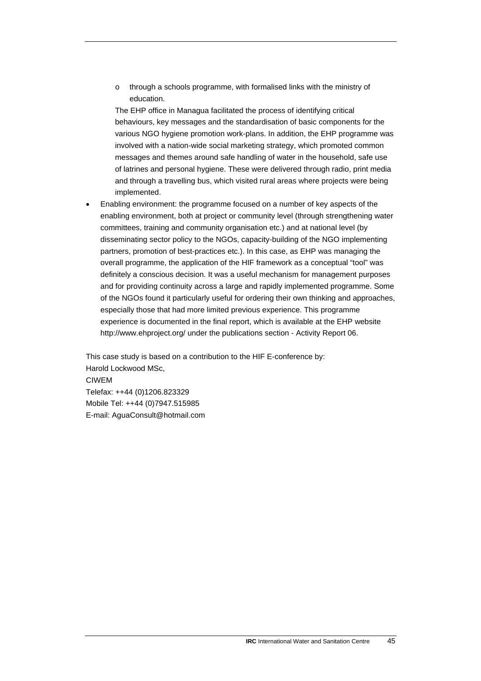o through a schools programme, with formalised links with the ministry of education.

The EHP office in Managua facilitated the process of identifying critical behaviours, key messages and the standardisation of basic components for the various NGO hygiene promotion work-plans. In addition, the EHP programme was involved with a nation-wide social marketing strategy, which promoted common messages and themes around safe handling of water in the household, safe use of latrines and personal hygiene. These were delivered through radio, print media and through a travelling bus, which visited rural areas where projects were being implemented.

• Enabling environment: the programme focused on a number of key aspects of the enabling environment, both at project or community level (through strengthening water committees, training and community organisation etc.) and at national level (by disseminating sector policy to the NGOs, capacity-building of the NGO implementing partners, promotion of best-practices etc.). In this case, as EHP was managing the overall programme, the application of the HIF framework as a conceptual "tool" was definitely a conscious decision. It was a useful mechanism for management purposes and for providing continuity across a large and rapidly implemented programme. Some of the NGOs found it particularly useful for ordering their own thinking and approaches, especially those that had more limited previous experience. This programme experience is documented in the final report, which is available at the EHP website http://www.ehproject.org/ under the publications section - Activity Report 06.

This case study is based on a contribution to the HIF E-conference by: Harold Lockwood MSc, CIWEM Telefax: ++44 (0)1206.823329 Mobile Tel: ++44 (0)7947.515985 E-mail: AguaConsult@hotmail.com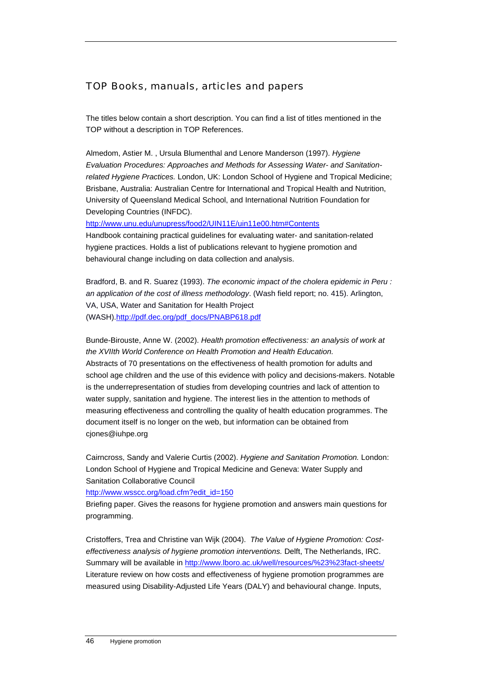# TOP Books, manuals, articles and papers

The titles below contain a short description. You can find a list of titles mentioned in the TOP without a description in TOP References.

Almedom, Astier M. , Ursula Blumenthal and Lenore Manderson (1997). *Hygiene Evaluation Procedures: Approaches and Methods for Assessing Water- and Sanitationrelated Hygiene Practices.* London, UK: London School of Hygiene and Tropical Medicine; Brisbane, Australia: Australian Centre for International and Tropical Health and Nutrition, University of Queensland Medical School, and International Nutrition Foundation for Developing Countries (INFDC).

<http://www.unu.edu/unupress/food2/UIN11E/uin11e00.htm#Contents>

Handbook containing practical guidelines for evaluating water- and sanitation-related hygiene practices. Holds a list of publications relevant to hygiene promotion and behavioural change including on data collection and analysis.

Bradford, B. and R. Suarez (1993). *The economic impact of the cholera epidemic in Peru : an application of the cost of illness methodology*. (Wash field report; no. 415). Arlington, VA, USA, Water and Sanitation for Health Project (WASH).[http://pdf.dec.org/pdf\\_docs/PNABP618.pdf](http://pdf.dec.org/pdf_docs/PNABP618.pdf)

Bunde-Birouste, Anne W. (2002). *Health promotion effectiveness: an analysis of work at the XVIIth World Conference on Health Promotion and Health Education.*  Abstracts of 70 presentations on the effectiveness of health promotion for adults and school age children and the use of this evidence with policy and decisions-makers. Notable is the underrepresentation of studies from developing countries and lack of attention to water supply, sanitation and hygiene. The interest lies in the attention to methods of measuring effectiveness and controlling the quality of health education programmes. The document itself is no longer on the web, but information can be obtained from cjones@iuhpe.org

Cairncross, Sandy and Valerie Curtis (2002). *Hygiene and Sanitation Promotion.* London: London School of Hygiene and Tropical Medicine and Geneva: Water Supply and Sanitation Collaborative Council

http://www.wsscc.org/load.cfm?edit\_id=150

Briefing paper. Gives the reasons for hygiene promotion and answers main questions for programming.

Cristoffers, Trea and Christine van Wijk (2004). *The Value of Hygiene Promotion: Costeffectiveness analysis of hygiene promotion interventions.* Delft, The Netherlands, IRC. Summary will be available in <http://www.lboro.ac.uk/well/resources/%23%23fact-sheets/> Literature review on how costs and effectiveness of hygiene promotion programmes are measured using Disability-Adjusted Life Years (DALY) and behavioural change. Inputs,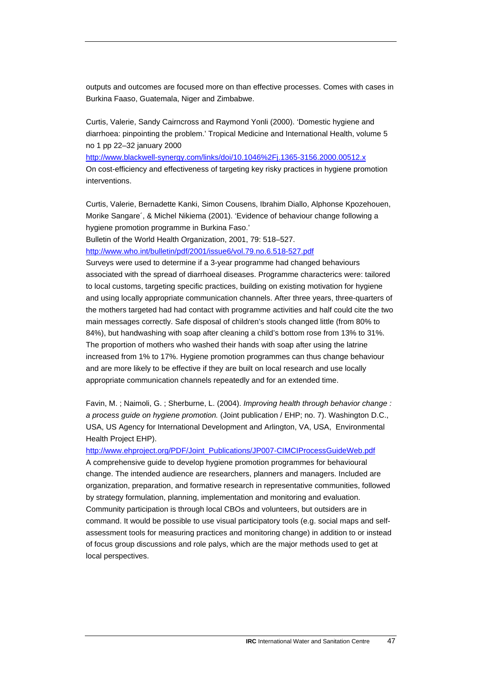outputs and outcomes are focused more on than effective processes. Comes with cases in Burkina Faaso, Guatemala, Niger and Zimbabwe.

Curtis, Valerie, Sandy Cairncross and Raymond Yonli (2000). 'Domestic hygiene and diarrhoea: pinpointing the problem.' Tropical Medicine and International Health, volume 5 no 1 pp 22–32 january 2000

<http://www.blackwell-synergy.com/links/doi/10.1046%2Fj.1365-3156.2000.00512.x> On cost-efficiency and effectiveness of targeting key risky practices in hygiene promotion interventions.

Curtis, Valerie, Bernadette Kanki, Simon Cousens, Ibrahim Diallo, Alphonse Kpozehouen, Morike Sangare´, & Michel Nikiema (2001). 'Evidence of behaviour change following a hygiene promotion programme in Burkina Faso.'

Bulletin of the World Health Organization, 2001, 79: 518–527.

<http://www.who.int/bulletin/pdf/2001/issue6/vol.79.no.6.518-527.pdf>

Surveys were used to determine if a 3-year programme had changed behaviours associated with the spread of diarrhoeal diseases. Programme characterics were: tailored to local customs, targeting specific practices, building on existing motivation for hygiene and using locally appropriate communication channels. After three years, three-quarters of the mothers targeted had had contact with programme activities and half could cite the two main messages correctly. Safe disposal of children's stools changed little (from 80% to 84%), but handwashing with soap after cleaning a child's bottom rose from 13% to 31%. The proportion of mothers who washed their hands with soap after using the latrine increased from 1% to 17%. Hygiene promotion programmes can thus change behaviour and are more likely to be effective if they are built on local research and use locally appropriate communication channels repeatedly and for an extended time.

Favin, M. ; Naimoli, G. ; Sherburne, L. (2004). *Improving health through behavior change : a process guide on hygiene promotion.* (Joint publication / EHP; no. 7). Washington D.C., USA, US Agency for International Development and Arlington, VA, USA, Environmental Health Project EHP).

[http://www.ehproject.org/PDF/Joint\\_Publications/JP007-CIMCIProcessGuideWeb.pdf](http://www.ehproject.org/PDF/Joint_Publications/JP007-CIMCIProcessGuideWeb.pdf)

A comprehensive guide to develop hygiene promotion programmes for behavioural change. The intended audience are researchers, planners and managers. Included are organization, preparation, and formative research in representative communities, followed by strategy formulation, planning, implementation and monitoring and evaluation. Community participation is through local CBOs and volunteers, but outsiders are in command. It would be possible to use visual participatory tools (e.g. social maps and selfassessment tools for measuring practices and monitoring change) in addition to or instead of focus group discussions and role palys, which are the major methods used to get at local perspectives.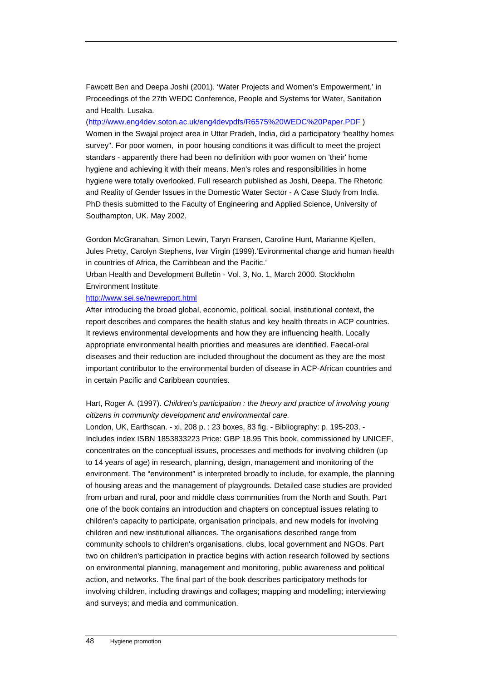Fawcett Ben and Deepa Joshi (2001). 'Water Projects and Women's Empowerment.' in Proceedings of the 27th WEDC Conference, People and Systems for Water, Sanitation and Health. Lusaka.

#### (<http://www.eng4dev.soton.ac.uk/eng4devpdfs/R6575%20WEDC%20Paper.PDF>)

Women in the Swajal project area in Uttar Pradeh, India, did a participatory 'healthy homes survey". For poor women, in poor housing conditions it was difficult to meet the project standars - apparently there had been no definition with poor women on 'their' home hygiene and achieving it with their means. Men's roles and responsibilities in home hygiene were totally overlooked. Full research published as Joshi, Deepa. The Rhetoric and Reality of Gender Issues in the Domestic Water Sector - A Case Study from India. PhD thesis submitted to the Faculty of Engineering and Applied Science, University of Southampton, UK. May 2002.

Gordon McGranahan, Simon Lewin, Taryn Fransen, Caroline Hunt, Marianne Kjellen, Jules Pretty, Carolyn Stephens, Ivar Virgin (1999).'Evironmental change and human health in countries of Africa, the Carribbean and the Pacific.'

Urban Health and Development Bulletin - Vol. 3, No. 1, March 2000. Stockholm Environment Institute

## <http://www.sei.se/newreport.html>

After introducing the broad global, economic, political, social, institutional context, the report describes and compares the health status and key health threats in ACP countries. It reviews environmental developments and how they are influencing health. Locally appropriate environmental health priorities and measures are identified. Faecal-oral diseases and their reduction are included throughout the document as they are the most important contributor to the environmental burden of disease in ACP-African countries and in certain Pacific and Caribbean countries.

## Hart, Roger A. (1997). *Children's participation : the theory and practice of involving young citizens in community development and environmental care.*

London, UK, Earthscan. - xi, 208 p. : 23 boxes, 83 fig. - Bibliography: p. 195-203. - Includes index ISBN 1853833223 Price: GBP 18.95 This book, commissioned by UNICEF, concentrates on the conceptual issues, processes and methods for involving children (up to 14 years of age) in research, planning, design, management and monitoring of the environment. The "environment" is interpreted broadly to include, for example, the planning of housing areas and the management of playgrounds. Detailed case studies are provided from urban and rural, poor and middle class communities from the North and South. Part one of the book contains an introduction and chapters on conceptual issues relating to children's capacity to participate, organisation principals, and new models for involving children and new institutional alliances. The organisations described range from community schools to children's organisations, clubs, local government and NGOs. Part two on children's participation in practice begins with action research followed by sections on environmental planning, management and monitoring, public awareness and political action, and networks. The final part of the book describes participatory methods for involving children, including drawings and collages; mapping and modelling; interviewing and surveys; and media and communication.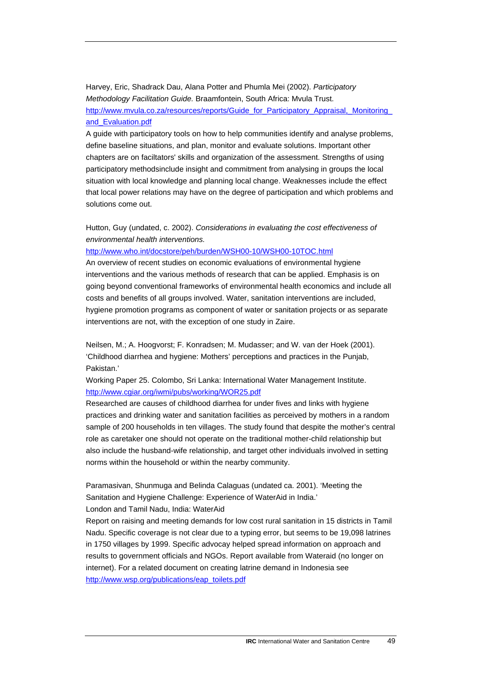Harvey, Eric, Shadrack Dau, Alana Potter and Phumla Mei (2002). *Participatory Methodology Facilitation Guide.* Braamfontein, South Africa: Mvula Trust. [http://www.mvula.co.za/resources/reports/Guide\\_for\\_Participatory\\_Appraisal,\\_Monitoring\\_](http://www.mvula.co.za/resources/reports/Guide_for_Participatory_Appraisal,_Monitoring_and_Evaluation.pdf) [and\\_Evaluation.pdf](http://www.mvula.co.za/resources/reports/Guide_for_Participatory_Appraisal,_Monitoring_and_Evaluation.pdf) 

A guide with participatory tools on how to help communities identify and analyse problems, define baseline situations, and plan, monitor and evaluate solutions. Important other chapters are on faciltators' skills and organization of the assessment. Strengths of using participatory methodsinclude insight and commitment from analysing in groups the local situation with local knowledge and planning local change. Weaknesses include the effect that local power relations may have on the degree of participation and which problems and solutions come out.

## Hutton, Guy (undated, c. 2002). *Considerations in evaluating the cost effectiveness of environmental health interventions.*

#### <http://www.who.int/docstore/peh/burden/WSH00-10/WSH00-10TOC.html>

An overview of recent studies on economic evaluations of environmental hygiene interventions and the various methods of research that can be applied. Emphasis is on going beyond conventional frameworks of environmental health economics and include all costs and benefits of all groups involved. Water, sanitation interventions are included, hygiene promotion programs as component of water or sanitation projects or as separate interventions are not, with the exception of one study in Zaire.

Neilsen, M.; A. Hoogvorst; F. Konradsen; M. Mudasser; and W. van der Hoek (2001). 'Childhood diarrhea and hygiene: Mothers' perceptions and practices in the Punjab, Pakistan.'

Working Paper 25. Colombo, Sri Lanka: International Water Management Institute. <http://www.cgiar.org/iwmi/pubs/working/WOR25.pdf>

Researched are causes of childhood diarrhea for under fives and links with hygiene practices and drinking water and sanitation facilities as perceived by mothers in a random sample of 200 households in ten villages. The study found that despite the mother's central role as caretaker one should not operate on the traditional mother-child relationship but also include the husband-wife relationship, and target other individuals involved in setting norms within the household or within the nearby community.

Paramasivan, Shunmuga and Belinda Calaguas (undated ca. 2001). 'Meeting the Sanitation and Hygiene Challenge: Experience of WaterAid in India.' London and Tamil Nadu, India: WaterAid

Report on raising and meeting demands for low cost rural sanitation in 15 districts in Tamil Nadu. Specific coverage is not clear due to a typing error, but seems to be 19,098 latrines in 1750 villages by 1999. Specific advocay helped spread information on approach and results to government officials and NGOs. Report available from Wateraid (no longer on internet). For a related document on creating latrine demand in Indonesia see [http://www.wsp.org/publications/eap\\_toilets.pdf](http://www.wsp.org/publications/eap_toilets.pdf)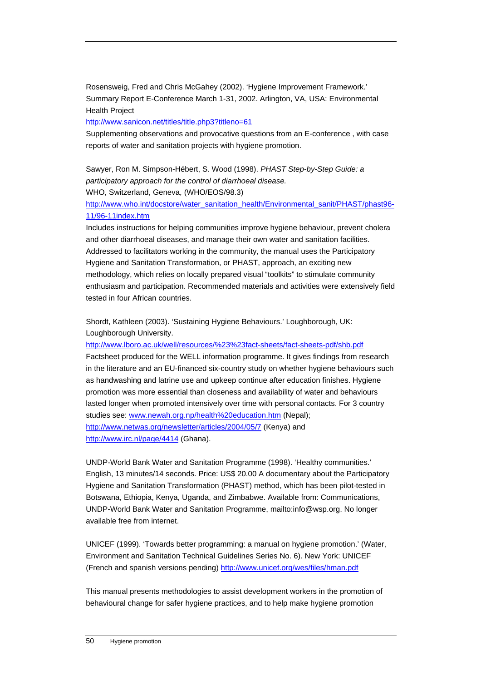Rosensweig, Fred and Chris McGahey (2002). 'Hygiene Improvement Framework.' Summary Report E-Conference March 1-31, 2002. Arlington, VA, USA: Environmental Health Project

<http://www.sanicon.net/titles/title.php3?titleno=61>

Supplementing observations and provocative questions from an E-conference , with case reports of water and sanitation projects with hygiene promotion.

Sawyer, Ron M. Simpson-Hébert, S. Wood (1998). *PHAST Step-by-Step Guide: a participatory approach for the control of diarrhoeal disease.*  WHO, Switzerland, Geneva, (WHO/EOS/98.3)

[http://www.who.int/docstore/water\\_sanitation\\_health/Environmental\\_sanit/PHAST/phast96-](http://www.who.int/docstore/water_sanitation_health/Environmental_sanit/PHAST/phast96-11/96-11index.htm) [11/96-11index.htm](http://www.who.int/docstore/water_sanitation_health/Environmental_sanit/PHAST/phast96-11/96-11index.htm)

Includes instructions for helping communities improve hygiene behaviour, prevent cholera and other diarrhoeal diseases, and manage their own water and sanitation facilities. Addressed to facilitators working in the community, the manual uses the Participatory Hygiene and Sanitation Transformation, or PHAST, approach, an exciting new methodology, which relies on locally prepared visual "toolkits" to stimulate community enthusiasm and participation. Recommended materials and activities were extensively field tested in four African countries.

Shordt, Kathleen (2003). 'Sustaining Hygiene Behaviours.' Loughborough, UK: Loughborough University.

<http://www.lboro.ac.uk/well/resources/%23%23fact-sheets/fact-sheets-pdf/shb.pdf>

Factsheet produced for the WELL information programme. It gives findings from research in the literature and an EU-financed six-country study on whether hygiene behaviours such as handwashing and latrine use and upkeep continue after education finishes. Hygiene promotion was more essential than closeness and availability of water and behaviours lasted longer when promoted intensively over time with personal contacts. For 3 country studies see: [www.newah.org.np/health%20education.htm](http://www.newah.org.np/health%20education.htm) (Nepal); <http://www.netwas.org/newsletter/articles/2004/05/7> (Kenya) and <http://www.irc.nl/page/4414>(Ghana).

UNDP-World Bank Water and Sanitation Programme (1998). 'Healthy communities.' English, 13 minutes/14 seconds. Price: US\$ 20.00 A documentary about the Participatory Hygiene and Sanitation Transformation (PHAST) method, which has been pilot-tested in Botswana, Ethiopia, Kenya, Uganda, and Zimbabwe. Available from: Communications, UNDP-World Bank Water and Sanitation Programme, mailto:info@wsp.org. No longer available free from internet.

UNICEF (1999). 'Towards better programming: a manual on hygiene promotion.' (Water, Environment and Sanitation Technical Guidelines Series No. 6). New York: UNICEF (French and spanish versions pending)<http://www.unicef.org/wes/files/hman.pdf>

This manual presents methodologies to assist development workers in the promotion of behavioural change for safer hygiene practices, and to help make hygiene promotion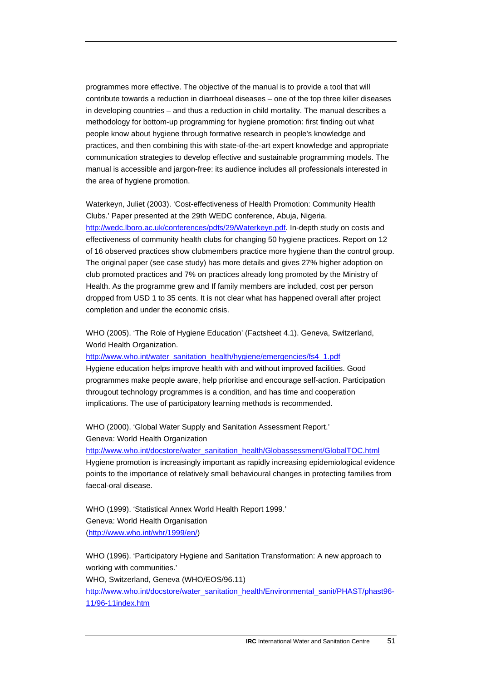programmes more effective. The objective of the manual is to provide a tool that will contribute towards a reduction in diarrhoeal diseases – one of the top three killer diseases in developing countries – and thus a reduction in child mortality. The manual describes a methodology for bottom-up programming for hygiene promotion: first finding out what people know about hygiene through formative research in people's knowledge and practices, and then combining this with state-of-the-art expert knowledge and appropriate communication strategies to develop effective and sustainable programming models. The manual is accessible and jargon-free: its audience includes all professionals interested in the area of hygiene promotion.

Waterkeyn, Juliet (2003). 'Cost-effectiveness of Health Promotion: Community Health Clubs.' Paper presented at the 29th WEDC conference, Abuja, Nigeria. <http://wedc.lboro.ac.uk/conferences/pdfs/29/Waterkeyn.pdf>. In-depth study on costs and effectiveness of community health clubs for changing 50 hygiene practices. Report on 12 of 16 observed practices show clubmembers practice more hygiene than the control group. The original paper (see case study) has more details and gives 27% higher adoption on club promoted practices and 7% on practices already long promoted by the Ministry of Health. As the programme grew and If family members are included, cost per person dropped from USD 1 to 35 cents. It is not clear what has happened overall after project completion and under the economic crisis.

WHO (2005). 'The Role of Hygiene Education' (Factsheet 4.1). Geneva, Switzerland, World Health Organization.

[http://www.who.int/water\\_sanitation\\_health/hygiene/emergencies/fs4\\_1.pdf](http://www.who.int/water_sanitation_health/hygiene/emergencies/fs4_1.pdf)

Hygiene education helps improve health with and without improved facilities. Good programmes make people aware, help prioritise and encourage self-action. Participation througout technology programmes is a condition, and has time and cooperation implications. The use of participatory learning methods is recommended.

WHO (2000). 'Global Water Supply and Sanitation Assessment Report.' Geneva: World Health Organization

http://www.who.int/docstore/water\_sanitation\_health/Globassessment/GlobalTOC.html Hygiene promotion is increasingly important as rapidly increasing epidemiological evidence points to the importance of relatively small behavioural changes in protecting families from faecal-oral disease.

WHO (1999). 'Statistical Annex World Health Report 1999.' Geneva: World Health Organisation (<http://www.who.int/whr/1999/en/>)

WHO (1996). 'Participatory Hygiene and Sanitation Transformation: A new approach to working with communities.' WHO, Switzerland, Geneva (WHO/EOS/96.11) [http://www.who.int/docstore/water\\_sanitation\\_health/Environmental\\_sanit/PHAST/phast96-](http://www.who.int/docstore/water_sanitation_health/Environmental_sanit/PHAST/phast96-11/96-11index.htm) [11/96-11index.htm](http://www.who.int/docstore/water_sanitation_health/Environmental_sanit/PHAST/phast96-11/96-11index.htm)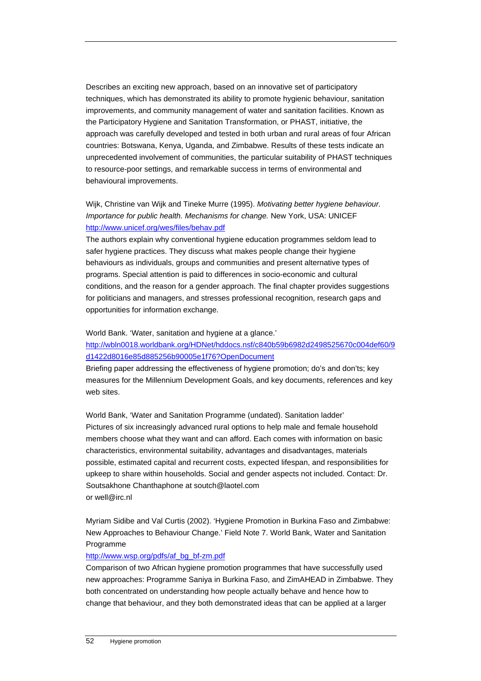Describes an exciting new approach, based on an innovative set of participatory techniques, which has demonstrated its ability to promote hygienic behaviour, sanitation improvements, and community management of water and sanitation facilities. Known as the Participatory Hygiene and Sanitation Transformation, or PHAST, initiative, the approach was carefully developed and tested in both urban and rural areas of four African countries: Botswana, Kenya, Uganda, and Zimbabwe. Results of these tests indicate an unprecedented involvement of communities, the particular suitability of PHAST techniques to resource-poor settings, and remarkable success in terms of environmental and behavioural improvements.

Wijk, Christine van Wijk and Tineke Murre (1995). *Motivating better hygiene behaviour. Importance for public health. Mechanisms for change.* New York, USA: UNICEF <http://www.unicef.org/wes/files/behav.pdf>

The authors explain why conventional hygiene education programmes seldom lead to safer hygiene practices. They discuss what makes people change their hygiene behaviours as individuals, groups and communities and present alternative types of programs. Special attention is paid to differences in socio-economic and cultural conditions, and the reason for a gender approach. The final chapter provides suggestions for politicians and managers, and stresses professional recognition, research gaps and opportunities for information exchange.

World Bank. 'Water, sanitation and hygiene at a glance.' [http://wbln0018.worldbank.org/HDNet/hddocs.nsf/c840b59b6982d2498525670c004def60/9](http://wbln0018.worldbank.org/HDNet/hddocs.nsf/c840b59b6982d2498525670c004def60/9d1422d8016e85d885256b90005e1f76?OpenDocument) [d1422d8016e85d885256b90005e1f76?OpenDocument](http://wbln0018.worldbank.org/HDNet/hddocs.nsf/c840b59b6982d2498525670c004def60/9d1422d8016e85d885256b90005e1f76?OpenDocument)

Briefing paper addressing the effectiveness of hygiene promotion; do's and don'ts; key measures for the Millennium Development Goals, and key documents, references and key web sites.

World Bank, 'Water and Sanitation Programme (undated). Sanitation ladder' Pictures of six increasingly advanced rural options to help male and female household members choose what they want and can afford. Each comes with information on basic characteristics, environmental suitability, advantages and disadvantages, materials possible, estimated capital and recurrent costs, expected lifespan, and responsibilities for upkeep to share within households. Social and gender aspects not included. Contact: Dr. Soutsakhone Chanthaphone at soutch@laotel.com or well@irc.nl

Myriam Sidibe and Val Curtis (2002). 'Hygiene Promotion in Burkina Faso and Zimbabwe: New Approaches to Behaviour Change.' Field Note 7. World Bank, Water and Sanitation Programme

#### [http://www.wsp.org/pdfs/af\\_bg\\_bf-zm.pdf](http://www.wsp.org/pdfs/af_bg_bf-zm.pdf)

Comparison of two African hygiene promotion programmes that have successfully used new approaches: Programme Saniya in Burkina Faso, and ZimAHEAD in Zimbabwe. They both concentrated on understanding how people actually behave and hence how to change that behaviour, and they both demonstrated ideas that can be applied at a larger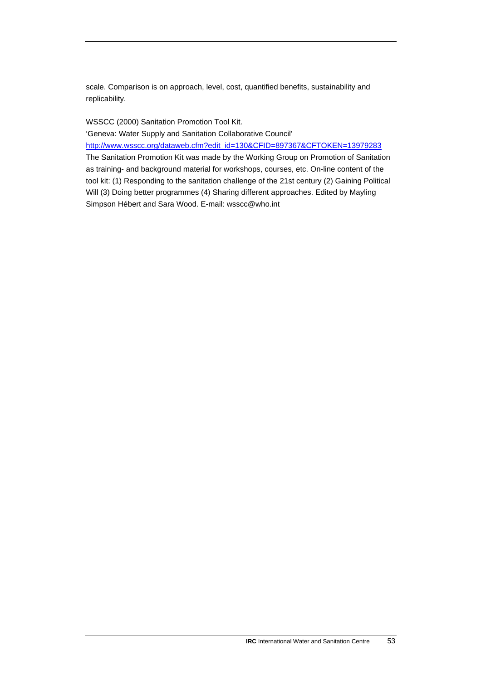scale. Comparison is on approach, level, cost, quantified benefits, sustainability and replicability.

WSSCC (2000) Sanitation Promotion Tool Kit.

'Geneva: Water Supply and Sanitation Collaborative Council'

[http://www.wsscc.org/dataweb.cfm?edit\\_id=130&CFID=897367&CFTOKEN=13979283](http://www.wsscc.org/dataweb.cfm?edit_id=130&CFID=897367&CFTOKEN=13979283) The Sanitation Promotion Kit was made by the Working Group on Promotion of Sanitation as training- and background material for workshops, courses, etc. On-line content of the tool kit: (1) Responding to the sanitation challenge of the 21st century (2) Gaining Political Will (3) Doing better programmes (4) Sharing different approaches. Edited by Mayling Simpson Hébert and Sara Wood. E-mail: wsscc@who.int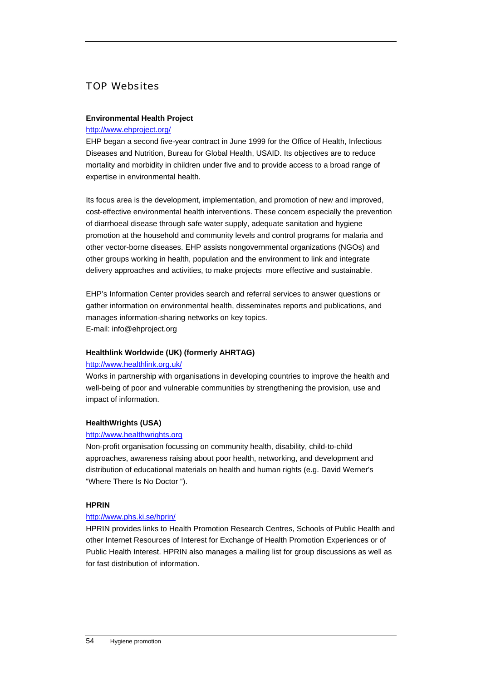# TOP Websites

## **Environmental Health Project**

### <http://www.ehproject.org/>

EHP began a second five-year contract in June 1999 for the Office of Health, Infectious Diseases and Nutrition, Bureau for Global Health, USAID. Its objectives are to reduce mortality and morbidity in children under five and to provide access to a broad range of expertise in environmental health.

Its focus area is the development, implementation, and promotion of new and improved, cost-effective environmental health interventions. These concern especially the prevention of diarrhoeal disease through safe water supply, adequate sanitation and hygiene promotion at the household and community levels and control programs for malaria and other vector-borne diseases. EHP assists nongovernmental organizations (NGOs) and other groups working in health, population and the environment to link and integrate delivery approaches and activities, to make projects more effective and sustainable.

EHP's Information Center provides search and referral services to answer questions or gather information on environmental health, disseminates reports and publications, and manages information-sharing networks on key topics. E-mail: info@ehproject.org

## **Healthlink Worldwide (UK) (formerly AHRTAG)**

#### <http://www.healthlink.org.uk/>

Works in partnership with organisations in developing countries to improve the health and well-being of poor and vulnerable communities by strengthening the provision, use and impact of information.

#### **HealthWrights (USA)**

#### [http://www.healthwrights.org](http://www.healthwrights.org/)

Non-profit organisation focussing on community health, disability, child-to-child approaches, awareness raising about poor health, networking, and development and distribution of educational materials on health and human rights (e.g. David Werner's "Where There Is No Doctor ").

#### **HPRIN**

#### <http://www.phs.ki.se/hprin/>

HPRIN provides links to Health Promotion Research Centres, Schools of Public Health and other Internet Resources of Interest for Exchange of Health Promotion Experiences or of Public Health Interest. HPRIN also manages a mailing list for group discussions as well as for fast distribution of information.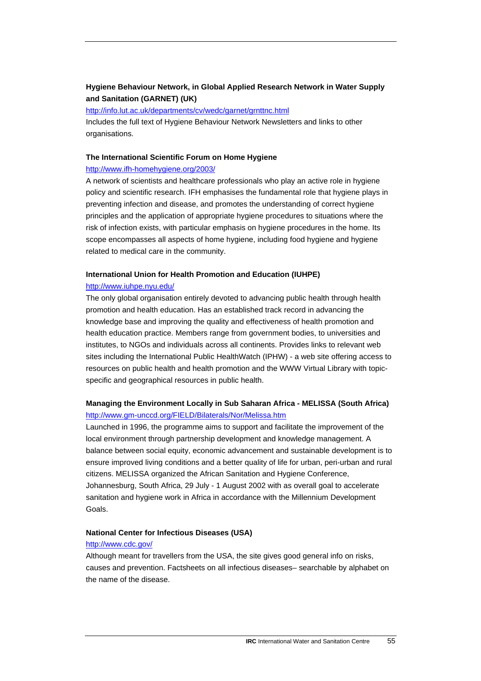## **Hygiene Behaviour Network, in Global Applied Research Network in Water Supply and Sanitation (GARNET) (UK)**

#### <http://info.lut.ac.uk/departments/cv/wedc/garnet/grnttnc.html>

Includes the full text of Hygiene Behaviour Network Newsletters and links to other organisations.

#### **The International Scientific Forum on Home Hygiene**

#### <http://www.ifh-homehygiene.org/2003/>

A network of scientists and healthcare professionals who play an active role in hygiene policy and scientific research. IFH emphasises the fundamental role that hygiene plays in preventing infection and disease, and promotes the understanding of correct hygiene principles and the application of appropriate hygiene procedures to situations where the risk of infection exists, with particular emphasis on hygiene procedures in the home. Its scope encompasses all aspects of home hygiene, including food hygiene and hygiene related to medical care in the community.

#### **International Union for Health Promotion and Education (IUHPE)**

#### <http://www.iuhpe.nyu.edu/>

The only global organisation entirely devoted to advancing public health through health promotion and health education. Has an established track record in advancing the knowledge base and improving the quality and effectiveness of health promotion and health education practice. Members range from government bodies, to universities and institutes, to NGOs and individuals across all continents. Provides links to relevant web sites including the International Public HealthWatch (IPHW) - a web site offering access to resources on public health and health promotion and the WWW Virtual Library with topicspecific and geographical resources in public health.

## **Managing the Environment Locally in Sub Saharan Africa - MELISSA (South Africa)**  <http://www.gm-unccd.org/FIELD/Bilaterals/Nor/Melissa.htm>

Launched in 1996, the programme aims to support and facilitate the improvement of the local environment through partnership development and knowledge management. A balance between social equity, economic advancement and sustainable development is to ensure improved living conditions and a better quality of life for urban, peri-urban and rural citizens. MELISSA organized the African Sanitation and Hygiene Conference, Johannesburg, South Africa, 29 July - 1 August 2002 with as overall goal to accelerate sanitation and hygiene work in Africa in accordance with the Millennium Development Goals.

#### **National Center for Infectious Diseases (USA)**

#### <http://www.cdc.gov/>

Although meant for travellers from the USA, the site gives good general info on risks, causes and prevention. Factsheets on all infectious diseases– searchable by alphabet on the name of the disease.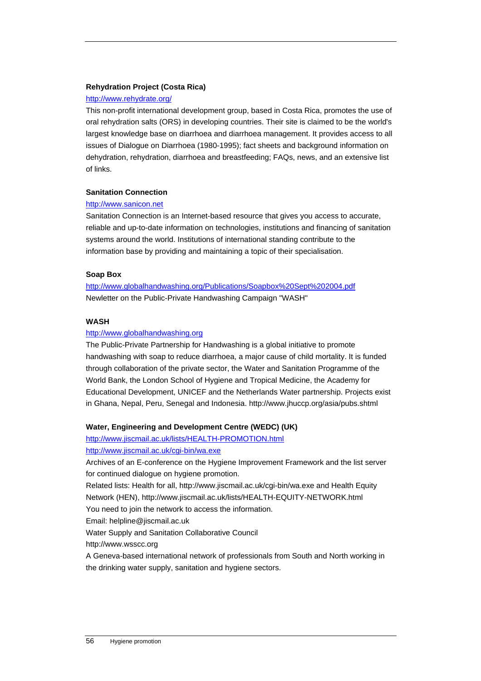## **Rehydration Project (Costa Rica)**

### <http://www.rehydrate.org/>

This non-profit international development group, based in Costa Rica, promotes the use of oral rehydration salts (ORS) in developing countries. Their site is claimed to be the world's largest knowledge base on diarrhoea and diarrhoea management. It provides access to all issues of Dialogue on Diarrhoea (1980-1995); fact sheets and background information on dehydration, rehydration, diarrhoea and breastfeeding; FAQs, news, and an extensive list of links.

## **Sanitation Connection**

#### [http://www.sanicon.net](http://www.sanicon.net/)

Sanitation Connection is an Internet-based resource that gives you access to accurate, reliable and up-to-date information on technologies, institutions and financing of sanitation systems around the world. Institutions of international standing contribute to the information base by providing and maintaining a topic of their specialisation.

## **Soap Box**

<http://www.globalhandwashing.org/Publications/Soapbox%20Sept%202004.pdf> Newletter on the Public-Private Handwashing Campaign "WASH"

## **WASH**

## [http://www.globalhandwashing.org](http://www.globalhandwashing.org/)

The Public-Private Partnership for Handwashing is a global initiative to promote handwashing with soap to reduce diarrhoea, a major cause of child mortality. It is funded through collaboration of the private sector, the Water and Sanitation Programme of the World Bank, the London School of Hygiene and Tropical Medicine, the Academy for Educational Development, UNICEF and the Netherlands Water partnership. Projects exist in Ghana, Nepal, Peru, Senegal and Indonesia. http://www.jhuccp.org/asia/pubs.shtml

### **Water, Engineering and Development Centre (WEDC) (UK)**

<http://www.jiscmail.ac.uk/lists/HEALTH-PROMOTION.html> <http://www.jiscmail.ac.uk/cgi-bin/wa.exe>

Archives of an E-conference on the Hygiene Improvement Framework and the list server for continued dialogue on hygiene promotion.

Related lists: Health for all, http://www.jiscmail.ac.uk/cgi-bin/wa.exe and Health Equity Network (HEN), http://www.jiscmail.ac.uk/lists/HEALTH-EQUITY-NETWORK.html You need to join the network to access the information.

Email: helpline@jiscmail.ac.uk

Water Supply and Sanitation Collaborative Council

http://www.wsscc.org

A Geneva-based international network of professionals from South and North working in the drinking water supply, sanitation and hygiene sectors.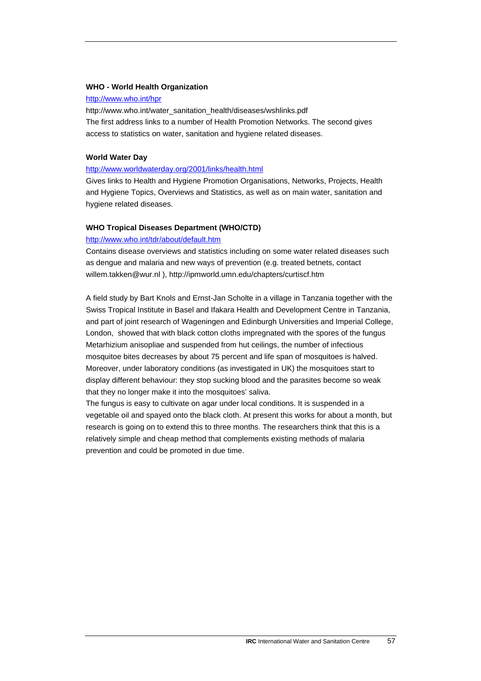#### **WHO - World Health Organization**

#### <http://www.who.int/hpr>

http://www.who.int/water\_sanitation\_health/diseases/wshlinks.pdf The first address links to a number of Health Promotion Networks. The second gives access to statistics on water, sanitation and hygiene related diseases.

#### **World Water Day**

#### <http://www.worldwaterday.org/2001/links/health.html>

Gives links to Health and Hygiene Promotion Organisations, Networks, Projects, Health and Hygiene Topics, Overviews and Statistics, as well as on main water, sanitation and hygiene related diseases.

## **WHO Tropical Diseases Department (WHO/CTD)**

#### <http://www.who.int/tdr/about/default.htm>

Contains disease overviews and statistics including on some water related diseases such as dengue and malaria and new ways of prevention (e.g. treated betnets, contact willem.takken@wur.nl ), http://ipmworld.umn.edu/chapters/curtiscf.htm

A field study by Bart Knols and Ernst-Jan Scholte in a village in Tanzania together with the Swiss Tropical Institute in Basel and Ifakara Health and Development Centre in Tanzania, and part of joint research of Wageningen and Edinburgh Universities and Imperial College, London, showed that with black cotton cloths impregnated with the spores of the fungus Metarhizium anisopliae and suspended from hut ceilings, the number of infectious mosquitoe bites decreases by about 75 percent and life span of mosquitoes is halved. Moreover, under laboratory conditions (as investigated in UK) the mosquitoes start to display different behaviour: they stop sucking blood and the parasites become so weak that they no longer make it into the mosquitoes' saliva.

The fungus is easy to cultivate on agar under local conditions. It is suspended in a vegetable oil and spayed onto the black cloth. At present this works for about a month, but research is going on to extend this to three months. The researchers think that this is a relatively simple and cheap method that complements existing methods of malaria prevention and could be promoted in due time.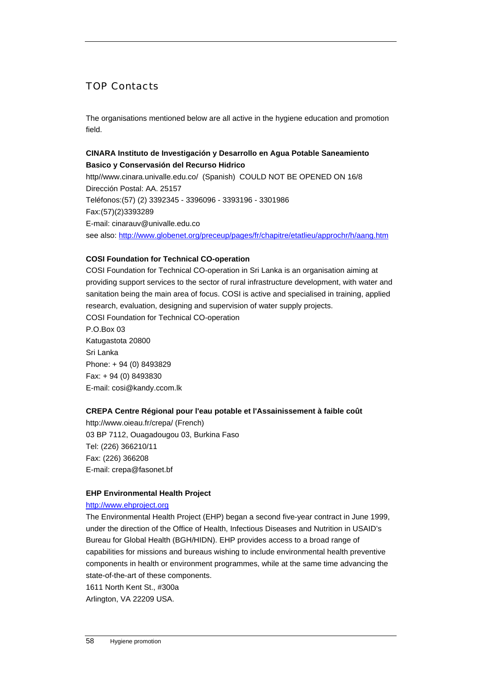# TOP Contacts

The organisations mentioned below are all active in the hygiene education and promotion field.

## **CINARA Instituto de Investigación y Desarrollo en Agua Potable Saneamiento Basico y Conservasión del Recurso Hidrico**

http//www.cinara.univalle.edu.co/ (Spanish) COULD NOT BE OPENED ON 16/8 Dirección Postal: AA. 25157 Teléfonos:(57) (2) 3392345 - 3396096 - 3393196 - 3301986 Fax:(57)(2)3393289 E-mail: cinarauv@univalle.edu.co see also: <http://www.globenet.org/preceup/pages/fr/chapitre/etatlieu/approchr/h/aang.htm>

## **COSI Foundation for Technical CO-operation**

COSI Foundation for Technical CO-operation in Sri Lanka is an organisation aiming at providing support services to the sector of rural infrastructure development, with water and sanitation being the main area of focus. COSI is active and specialised in training, applied research, evaluation, designing and supervision of water supply projects. COSI Foundation for Technical CO-operation P.O.Box 03 Katugastota 20800 Sri Lanka Phone: + 94 (0) 8493829 Fax: + 94 (0) 8493830 E-mail: cosi@kandy.ccom.lk

## **CREPA Centre Régional pour l'eau potable et l'Assainissement à faible coût**

http://www.oieau.fr/crepa/ (French) 03 BP 7112, Ouagadougou 03, Burkina Faso Tel: (226) 366210/11 Fax: (226) 366208 E-mail: crepa@fasonet.bf

## **EHP Environmental Health Project**

## [http://www.ehproject.org](http://www.ehproject.org/)

The Environmental Health Project (EHP) began a second five-year contract in June 1999, under the direction of the Office of Health, Infectious Diseases and Nutrition in USAID's Bureau for Global Health (BGH/HIDN). EHP provides access to a broad range of capabilities for missions and bureaus wishing to include environmental health preventive components in health or environment programmes, while at the same time advancing the state-of-the-art of these components.

1611 North Kent St., #300a

Arlington, VA 22209 USA.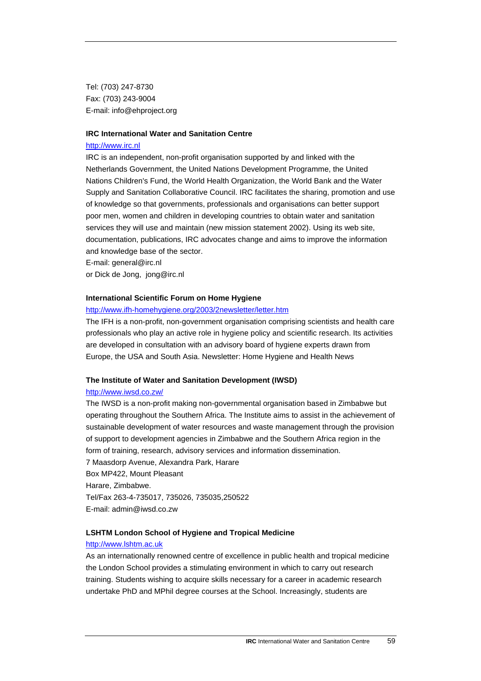Tel: (703) 247-8730 Fax: (703) 243-9004 E-mail: info@ehproject.org

#### **IRC International Water and Sanitation Centre**

#### [http://www.irc.nl](http://www.irc.nl/)

IRC is an independent, non-profit organisation supported by and linked with the Netherlands Government, the United Nations Development Programme, the United Nations Children's Fund, the World Health Organization, the World Bank and the Water Supply and Sanitation Collaborative Council. IRC facilitates the sharing, promotion and use of knowledge so that governments, professionals and organisations can better support poor men, women and children in developing countries to obtain water and sanitation services they will use and maintain (new mission statement 2002). Using its web site, documentation, publications, IRC advocates change and aims to improve the information and knowledge base of the sector.

E-mail: general@irc.nl

or Dick de Jong, jong@irc.nl

#### **International Scientific Forum on Home Hygiene**

#### <http://www.ifh-homehygiene.org/2003/2newsletter/letter.htm>

The IFH is a non-profit, non-government organisation comprising scientists and health care professionals who play an active role in hygiene policy and scientific research. Its activities are developed in consultation with an advisory board of hygiene experts drawn from Europe, the USA and South Asia. Newsletter: Home Hygiene and Health News

#### **The Institute of Water and Sanitation Development (IWSD)**

#### <http://www.iwsd.co.zw/>

The IWSD is a non-profit making non-governmental organisation based in Zimbabwe but operating throughout the Southern Africa. The Institute aims to assist in the achievement of sustainable development of water resources and waste management through the provision of support to development agencies in Zimbabwe and the Southern Africa region in the form of training, research, advisory services and information dissemination.

7 Maasdorp Avenue, Alexandra Park, Harare Box MP422, Mount Pleasant Harare, Zimbabwe. Tel/Fax 263-4-735017, 735026, 735035,250522 E-mail: admin@iwsd.co.zw

#### **LSHTM London School of Hygiene and Tropical Medicine**

#### [http://www.lshtm.ac.uk](http://www.lshtm.ac.uk/)

As an internationally renowned centre of excellence in public health and tropical medicine the London School provides a stimulating environment in which to carry out research training. Students wishing to acquire skills necessary for a career in academic research undertake PhD and MPhil degree courses at the School. Increasingly, students are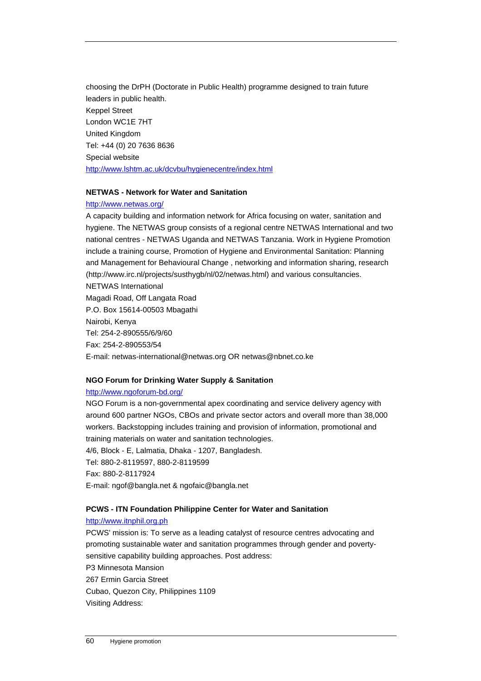choosing the DrPH (Doctorate in Public Health) programme designed to train future leaders in public health. Keppel Street London WC1E 7HT United Kingdom Tel: +44 (0) 20 7636 8636 Special website <http://www.lshtm.ac.uk/dcvbu/hygienecentre/index.html>

#### **NETWAS - Network for Water and Sanitation**

#### <http://www.netwas.org/>

A capacity building and information network for Africa focusing on water, sanitation and hygiene. The NETWAS group consists of a regional centre NETWAS International and two national centres - NETWAS Uganda and NETWAS Tanzania. Work in Hygiene Promotion include a training course, Promotion of Hygiene and Environmental Sanitation: Planning and Management for Behavioural Change , networking and information sharing, research (http://www.irc.nl/projects/susthygb/nl/02/netwas.html) and various consultancies.

NETWAS International Magadi Road, Off Langata Road P.O. Box 15614-00503 Mbagathi Nairobi, Kenya Tel: 254-2-890555/6/9/60 Fax: 254-2-890553/54 E-mail: netwas-international@netwas.org OR netwas@nbnet.co.ke

## **NGO Forum for Drinking Water Supply & Sanitation**

#### <http://www.ngoforum-bd.org/>

NGO Forum is a non-governmental apex coordinating and service delivery agency with around 600 partner NGOs, CBOs and private sector actors and overall more than 38,000 workers. Backstopping includes training and provision of information, promotional and training materials on water and sanitation technologies. 4/6, Block - E, Lalmatia, Dhaka - 1207, Bangladesh. Tel: 880-2-8119597, 880-2-8119599 Fax: 880-2-8117924 E-mail: ngof@bangla.net & ngofaic@bangla.net

## **PCWS - ITN Foundation Philippine Center for Water and Sanitation**

## [http://www.itnphil.org.ph](http://www.itnphil.org.ph/)

PCWS' mission is: To serve as a leading catalyst of resource centres advocating and promoting sustainable water and sanitation programmes through gender and povertysensitive capability building approaches. Post address: P3 Minnesota Mansion 267 Ermin Garcia Street Cubao, Quezon City, Philippines 1109 Visiting Address: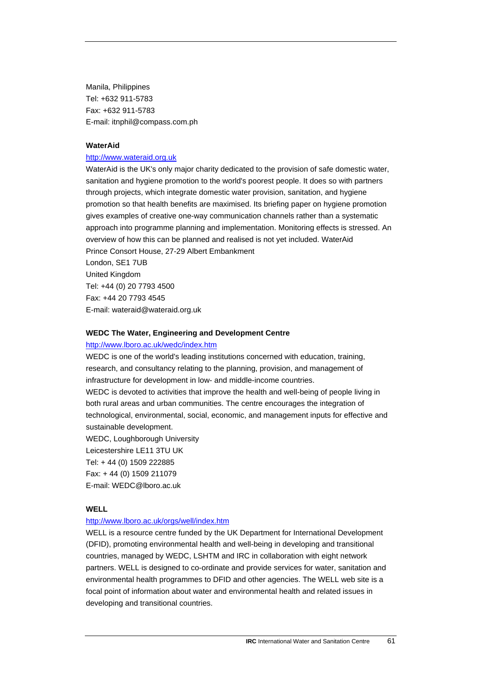Manila, Philippines Tel: +632 911-5783 Fax: +632 911-5783 E-mail: itnphil@compass.com.ph

#### **WaterAid**

#### [http://www.wateraid.org.uk](http://www.wateraid.org.uk/)

WaterAid is the UK's only major charity dedicated to the provision of safe domestic water, sanitation and hygiene promotion to the world's poorest people. It does so with partners through projects, which integrate domestic water provision, sanitation, and hygiene promotion so that health benefits are maximised. Its briefing paper on hygiene promotion gives examples of creative one-way communication channels rather than a systematic approach into programme planning and implementation. Monitoring effects is stressed. An overview of how this can be planned and realised is not yet included. WaterAid Prince Consort House, 27-29 Albert Embankment London, SE1 7UB United Kingdom Tel: +44 (0) 20 7793 4500 Fax: +44 20 7793 4545 E-mail: wateraid@wateraid.org.uk

#### **WEDC The Water, Engineering and Development Centre**

#### <http://www.lboro.ac.uk/wedc/index.htm>

WEDC is one of the world's leading institutions concerned with education, training, research, and consultancy relating to the planning, provision, and management of infrastructure for development in low- and middle-income countries.

WEDC is devoted to activities that improve the health and well-being of people living in both rural areas and urban communities. The centre encourages the integration of technological, environmental, social, economic, and management inputs for effective and sustainable development.

WEDC, Loughborough University Leicestershire LE11 3TU UK Tel: + 44 (0) 1509 222885 Fax: + 44 (0) 1509 211079 E-mail: WEDC@lboro.ac.uk

### **WELL**

#### <http://www.lboro.ac.uk/orgs/well/index.htm>

WELL is a resource centre funded by the UK Department for International Development (DFID), promoting environmental health and well-being in developing and transitional countries, managed by WEDC, LSHTM and IRC in collaboration with eight network partners. WELL is designed to co-ordinate and provide services for water, sanitation and environmental health programmes to DFID and other agencies. The WELL web site is a focal point of information about water and environmental health and related issues in developing and transitional countries.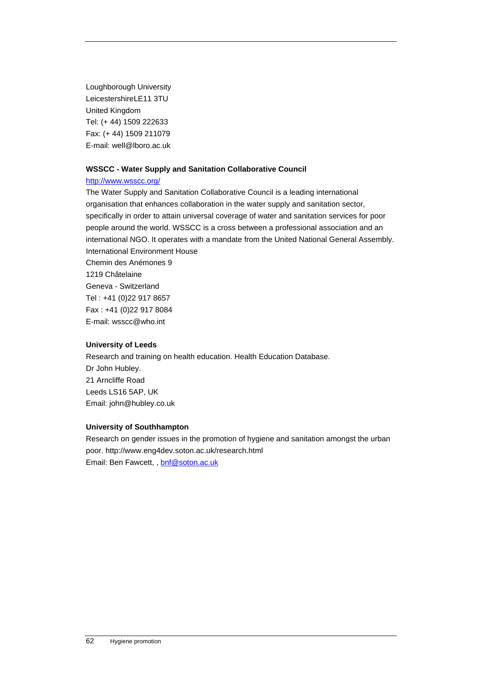Loughborough University LeicestershireLE11 3TU United Kingdom Tel: (+ 44) 1509 222633 Fax: (+ 44) 1509 211079 E-mail: well@lboro.ac.uk

## **WSSCC - Water Supply and Sanitation Collaborative Council**

## <http://www.wsscc.org/>

The Water Supply and Sanitation Collaborative Council is a leading international organisation that enhances collaboration in the water supply and sanitation sector, specifically in order to attain universal coverage of water and sanitation services for poor people around the world. WSSCC is a cross between a professional association and an international NGO. It operates with a mandate from the United National General Assembly. International Environment House Chemin des Anémones 9 1219 Châtelaine Geneva - Switzerland Tel : +41 (0)22 917 8657 Fax : +41 (0)22 917 8084 E-mail: wsscc@who.int

## **University of Leeds**

Research and training on health education. Health Education Database. Dr John Hubley. 21 Arncliffe Road Leeds LS16 5AP, UK Email: john@hubley.co.uk

## **University of Southhampton**

Research on gender issues in the promotion of hygiene and sanitation amongst the urban poor. http://www.eng4dev.soton.ac.uk/research.html Email: Ben Fawcett, , [bnf@soton.ac.uk](mailto:bnf@soton.ac.uk)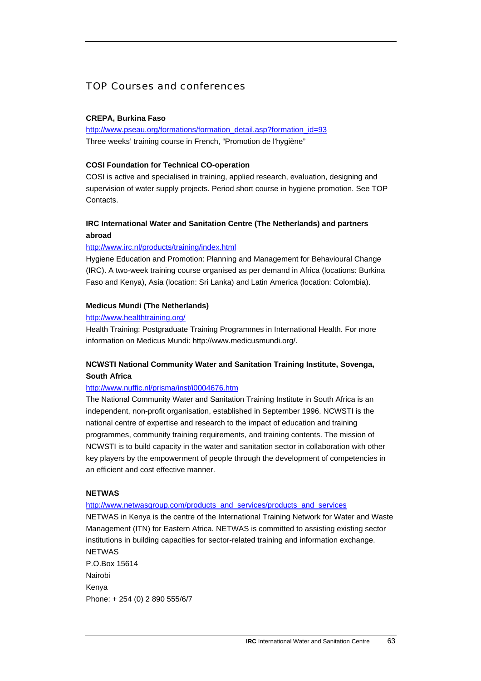# TOP Courses and conferences

## **CREPA, Burkina Faso**

[http://www.pseau.org/formations/formation\\_detail.asp?formation\\_id=93](http://www.pseau.org/formations/formation_detail.asp?formation_id=93) Three weeks' training course in French, "Promotion de l'hygiène"

## **COSI Foundation for Technical CO-operation**

COSI is active and specialised in training, applied research, evaluation, designing and supervision of water supply projects. Period short course in hygiene promotion. See TOP Contacts.

## **IRC International Water and Sanitation Centre (The Netherlands) and partners abroad**

## <http://www.irc.nl/products/training/index.html>

Hygiene Education and Promotion: Planning and Management for Behavioural Change (IRC). A two-week training course organised as per demand in Africa (locations: Burkina Faso and Kenya), Asia (location: Sri Lanka) and Latin America (location: Colombia).

#### **Medicus Mundi (The Netherlands)**

## <http://www.healthtraining.org/>

Health Training: Postgraduate Training Programmes in International Health. For more information on Medicus Mundi: http://www.medicusmundi.org/.

## **NCWSTI National Community Water and Sanitation Training Institute, Sovenga, South Africa**

#### <http://www.nuffic.nl/prisma/inst/i0004676.htm>

The National Community Water and Sanitation Training Institute in South Africa is an independent, non-profit organisation, established in September 1996. NCWSTI is the national centre of expertise and research to the impact of education and training programmes, community training requirements, and training contents. The mission of NCWSTI is to build capacity in the water and sanitation sector in collaboration with other key players by the empowerment of people through the development of competencies in an efficient and cost effective manner.

#### **NETWAS**

#### http://www.netwasgroup.com/products\_and\_services/products\_and\_services

NETWAS in Kenya is the centre of the International Training Network for Water and Waste Management (ITN) for Eastern Africa. NETWAS is committed to assisting existing sector institutions in building capacities for sector-related training and information exchange. NETWAS P.O.Box 15614 Nairobi Kenya Phone: + 254 (0) 2 890 555/6/7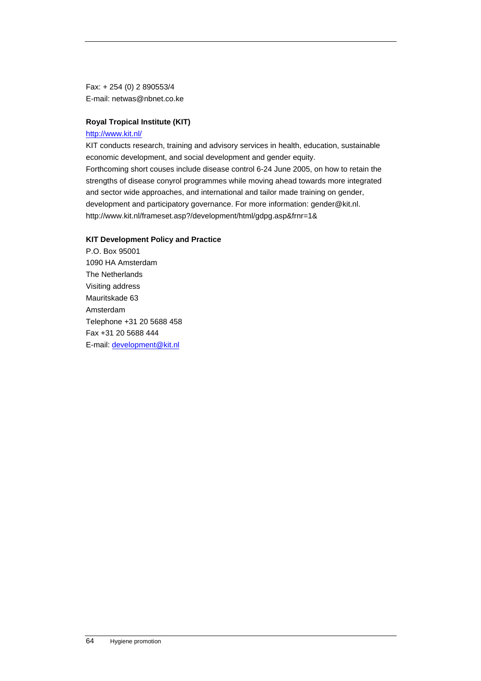Fax: + 254 (0) 2 890553/4 E-mail: netwas@nbnet.co.ke

## **Royal Tropical Institute (KIT)**

#### <http://www.kit.nl/>

KIT conducts research, training and advisory services in health, education, sustainable economic development, and social development and gender equity. Forthcoming short couses include disease control 6-24 June 2005, on how to retain the strengths of disease conyrol programmes while moving ahead towards more integrated and sector wide approaches, and international and tailor made training on gender, development and participatory governance. For more information: gender@kit.nl. http://www.kit.nl/frameset.asp?/development/html/gdpg.asp&frnr=1&

## **KIT Development Policy and Practice**

P.O. Box 95001 1090 HA Amsterdam The Netherlands Visiting address Mauritskade 63 Amsterdam Telephone +31 20 5688 458 Fax +31 20 5688 444 E-mail: [development@kit.nl](mailto:development@kit.nl)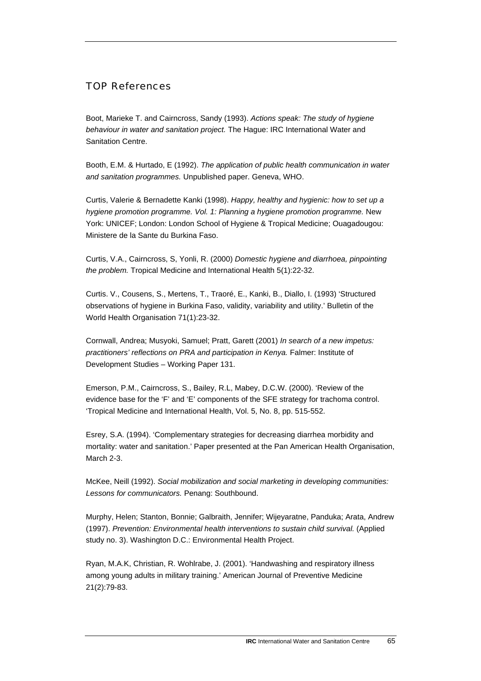# TOP References

Boot, Marieke T. and Cairncross, Sandy (1993). *Actions speak: The study of hygiene behaviour in water and sanitation project.* The Hague: IRC International Water and Sanitation Centre.

Booth, E.M. & Hurtado, E (1992). *The application of public health communication in water and sanitation programmes.* Unpublished paper. Geneva, WHO.

Curtis, Valerie & Bernadette Kanki (1998). *Happy, healthy and hygienic: how to set up a hygiene promotion programme. Vol. 1: Planning a hygiene promotion programme.* New York: UNICEF; London: London School of Hygiene & Tropical Medicine; Ouagadougou: Ministere de la Sante du Burkina Faso.

Curtis, V.A., Cairncross, S, Yonli, R. (2000) *Domestic hygiene and diarrhoea, pinpointing the problem.* Tropical Medicine and International Health 5(1):22-32.

Curtis. V., Cousens, S., Mertens, T., Traoré, E., Kanki, B., Diallo, I. (1993) 'Structured observations of hygiene in Burkina Faso, validity, variability and utility.' Bulletin of the World Health Organisation 71(1):23-32.

Cornwall, Andrea; Musyoki, Samuel; Pratt, Garett (2001) *In search of a new impetus: practitioners' reflections on PRA and participation in Kenya.* Falmer: Institute of Development Studies – Working Paper 131.

Emerson, P.M., Cairncross, S., Bailey, R.L, Mabey, D.C.W. (2000). 'Review of the evidence base for the 'F' and 'E' components of the SFE strategy for trachoma control. 'Tropical Medicine and International Health, Vol. 5, No. 8, pp. 515-552.

Esrey, S.A. (1994). 'Complementary strategies for decreasing diarrhea morbidity and mortality: water and sanitation.' Paper presented at the Pan American Health Organisation, March 2-3.

McKee, Neill (1992). *Social mobilization and social marketing in developing communities: Lessons for communicators.* Penang: Southbound.

Murphy, Helen; Stanton, Bonnie; Galbraith, Jennifer; Wijeyaratne, Panduka; Arata, Andrew (1997). *Prevention: Environmental health interventions to sustain child survival.* (Applied study no. 3). Washington D.C.: Environmental Health Project.

Ryan, M.A.K, Christian, R. Wohlrabe, J. (2001). 'Handwashing and respiratory illness among young adults in military training.' American Journal of Preventive Medicine 21(2):79-83.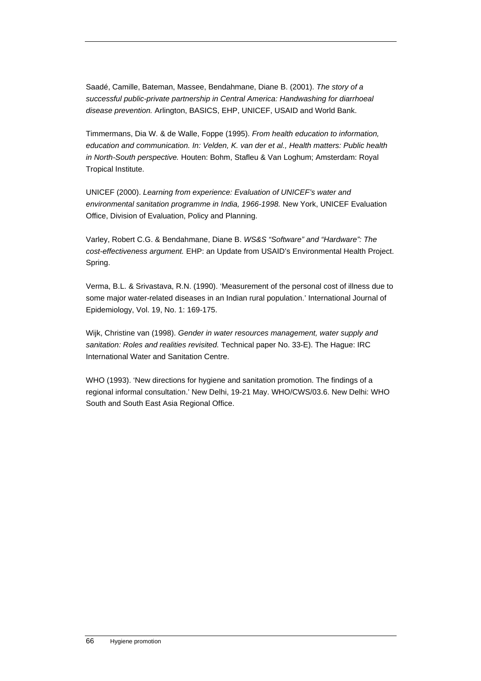Saadé, Camille, Bateman, Massee, Bendahmane, Diane B. (2001). *The story of a successful public-private partnership in Central America: Handwashing for diarrhoeal disease prevention.* Arlington, BASICS, EHP, UNICEF, USAID and World Bank.

Timmermans, Dia W. & de Walle, Foppe (1995). *From health education to information, education and communication. In: Velden, K. van der et al., Health matters: Public health in North-South perspective.* Houten: Bohm, Stafleu & Van Loghum; Amsterdam: Royal Tropical Institute.

UNICEF (2000). *Learning from experience: Evaluation of UNICEF's water and environmental sanitation programme in India, 1966-1998.* New York, UNICEF Evaluation Office, Division of Evaluation, Policy and Planning.

Varley, Robert C.G. & Bendahmane, Diane B. *WS&S "Software" and "Hardware": The cost-effectiveness argument.* EHP: an Update from USAID's Environmental Health Project. Spring.

Verma, B.L. & Srivastava, R.N. (1990). 'Measurement of the personal cost of illness due to some major water-related diseases in an Indian rural population.' International Journal of Epidemiology, Vol. 19, No. 1: 169-175.

Wijk, Christine van (1998). *Gender in water resources management, water supply and sanitation: Roles and realities revisited.* Technical paper No. 33-E). The Hague: IRC International Water and Sanitation Centre.

WHO (1993). 'New directions for hygiene and sanitation promotion. The findings of a regional informal consultation.' New Delhi, 19-21 May. WHO/CWS/03.6. New Delhi: WHO South and South East Asia Regional Office.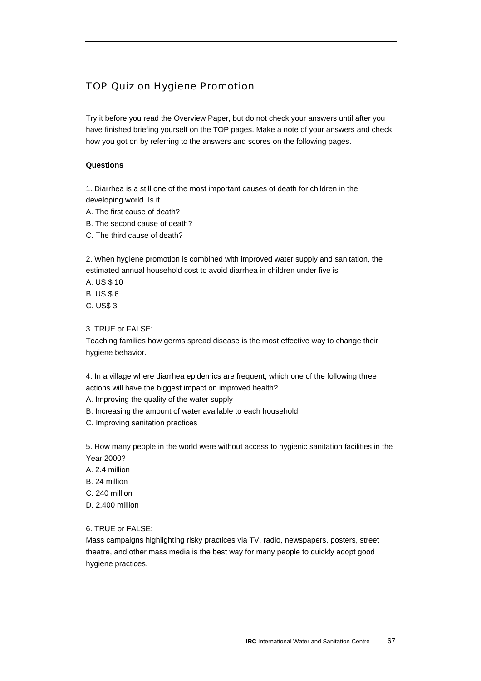# TOP Quiz on Hygiene Promotion

Try it before you read the Overview Paper, but do not check your answers until after you have finished briefing yourself on the TOP pages. Make a note of your answers and check how you got on by referring to the answers and scores on the following pages.

## **Questions**

1. Diarrhea is a still one of the most important causes of death for children in the developing world. Is it

- A. The first cause of death?
- B. The second cause of death?
- C. The third cause of death?

2. When hygiene promotion is combined with improved water supply and sanitation, the estimated annual household cost to avoid diarrhea in children under five is

- A. US \$ 10
- B. US \$ 6
- C. US\$ 3

## 3. TRUE or FALSE:

Teaching families how germs spread disease is the most effective way to change their hygiene behavior.

4. In a village where diarrhea epidemics are frequent, which one of the following three actions will have the biggest impact on improved health?

- A. Improving the quality of the water supply
- B. Increasing the amount of water available to each household
- C. Improving sanitation practices

5. How many people in the world were without access to hygienic sanitation facilities in the Year 2000?

- A. 2.4 million
- B. 24 million
- C. 240 million
- D. 2,400 million

## 6. TRUE or FALSE:

Mass campaigns highlighting risky practices via TV, radio, newspapers, posters, street theatre, and other mass media is the best way for many people to quickly adopt good hygiene practices.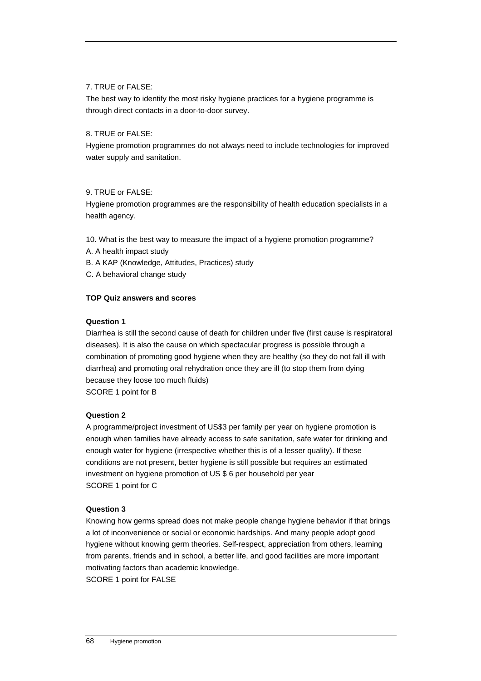## 7. TRUE or FALSE:

The best way to identify the most risky hygiene practices for a hygiene programme is through direct contacts in a door-to-door survey.

## 8. TRUE or FALSE:

Hygiene promotion programmes do not always need to include technologies for improved water supply and sanitation.

## 9. TRUE or FALSE:

Hygiene promotion programmes are the responsibility of health education specialists in a health agency.

10. What is the best way to measure the impact of a hygiene promotion programme?

- A. A health impact study
- B. A KAP (Knowledge, Attitudes, Practices) study
- C. A behavioral change study

## **TOP Quiz answers and scores**

## **Question 1**

Diarrhea is still the second cause of death for children under five (first cause is respiratoral diseases). It is also the cause on which spectacular progress is possible through a combination of promoting good hygiene when they are healthy (so they do not fall ill with diarrhea) and promoting oral rehydration once they are ill (to stop them from dying because they loose too much fluids) SCORE 1 point for B

## **Question 2**

A programme/project investment of US\$3 per family per year on hygiene promotion is enough when families have already access to safe sanitation, safe water for drinking and enough water for hygiene (irrespective whether this is of a lesser quality). If these conditions are not present, better hygiene is still possible but requires an estimated investment on hygiene promotion of US \$ 6 per household per year SCORE 1 point for C

## **Question 3**

Knowing how germs spread does not make people change hygiene behavior if that brings a lot of inconvenience or social or economic hardships. And many people adopt good hygiene without knowing germ theories. Self-respect, appreciation from others, learning from parents, friends and in school, a better life, and good facilities are more important motivating factors than academic knowledge.

SCORE 1 point for FALSE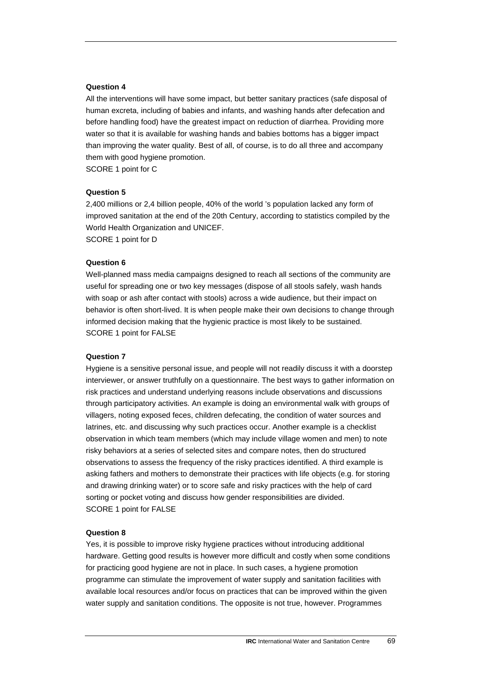#### **Question 4**

All the interventions will have some impact, but better sanitary practices (safe disposal of human excreta, including of babies and infants, and washing hands after defecation and before handling food) have the greatest impact on reduction of diarrhea. Providing more water so that it is available for washing hands and babies bottoms has a bigger impact than improving the water quality. Best of all, of course, is to do all three and accompany them with good hygiene promotion.

SCORE 1 point for C

#### **Question 5**

2,400 millions or 2,4 billion people, 40% of the world 's population lacked any form of improved sanitation at the end of the 20th Century, according to statistics compiled by the World Health Organization and UNICEF. SCORE 1 point for D

## **Question 6**

Well-planned mass media campaigns designed to reach all sections of the community are useful for spreading one or two key messages (dispose of all stools safely, wash hands with soap or ash after contact with stools) across a wide audience, but their impact on behavior is often short-lived. It is when people make their own decisions to change through informed decision making that the hygienic practice is most likely to be sustained. SCORE 1 point for FALSE

#### **Question 7**

Hygiene is a sensitive personal issue, and people will not readily discuss it with a doorstep interviewer, or answer truthfully on a questionnaire. The best ways to gather information on risk practices and understand underlying reasons include observations and discussions through participatory activities. An example is doing an environmental walk with groups of villagers, noting exposed feces, children defecating, the condition of water sources and latrines, etc. and discussing why such practices occur. Another example is a checklist observation in which team members (which may include village women and men) to note risky behaviors at a series of selected sites and compare notes, then do structured observations to assess the frequency of the risky practices identified. A third example is asking fathers and mothers to demonstrate their practices with life objects (e.g. for storing and drawing drinking water) or to score safe and risky practices with the help of card sorting or pocket voting and discuss how gender responsibilities are divided. SCORE 1 point for FALSE

#### **Question 8**

Yes, it is possible to improve risky hygiene practices without introducing additional hardware. Getting good results is however more difficult and costly when some conditions for practicing good hygiene are not in place. In such cases, a hygiene promotion programme can stimulate the improvement of water supply and sanitation facilities with available local resources and/or focus on practices that can be improved within the given water supply and sanitation conditions. The opposite is not true, however. Programmes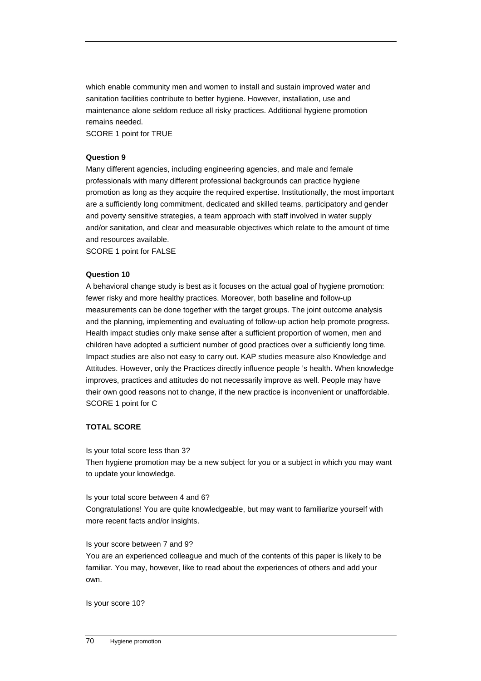which enable community men and women to install and sustain improved water and sanitation facilities contribute to better hygiene. However, installation, use and maintenance alone seldom reduce all risky practices. Additional hygiene promotion remains needed.

SCORE 1 point for TRUE

## **Question 9**

Many different agencies, including engineering agencies, and male and female professionals with many different professional backgrounds can practice hygiene promotion as long as they acquire the required expertise. Institutionally, the most important are a sufficiently long commitment, dedicated and skilled teams, participatory and gender and poverty sensitive strategies, a team approach with staff involved in water supply and/or sanitation, and clear and measurable objectives which relate to the amount of time and resources available.

SCORE 1 point for FALSE

## **Question 10**

A behavioral change study is best as it focuses on the actual goal of hygiene promotion: fewer risky and more healthy practices. Moreover, both baseline and follow-up measurements can be done together with the target groups. The joint outcome analysis and the planning, implementing and evaluating of follow-up action help promote progress. Health impact studies only make sense after a sufficient proportion of women, men and children have adopted a sufficient number of good practices over a sufficiently long time. Impact studies are also not easy to carry out. KAP studies measure also Knowledge and Attitudes. However, only the Practices directly influence people 's health. When knowledge improves, practices and attitudes do not necessarily improve as well. People may have their own good reasons not to change, if the new practice is inconvenient or unaffordable. SCORE 1 point for C

## **TOTAL SCORE**

Is your total score less than 3?

Then hygiene promotion may be a new subject for you or a subject in which you may want to update your knowledge.

Is your total score between 4 and 6?

Congratulations! You are quite knowledgeable, but may want to familiarize yourself with more recent facts and/or insights.

Is your score between 7 and 9?

You are an experienced colleague and much of the contents of this paper is likely to be familiar. You may, however, like to read about the experiences of others and add your own.

Is your score 10?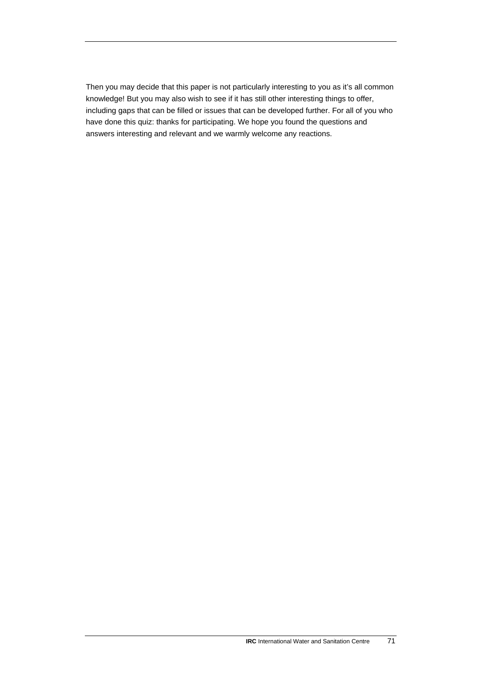Then you may decide that this paper is not particularly interesting to you as it's all common knowledge! But you may also wish to see if it has still other interesting things to offer, including gaps that can be filled or issues that can be developed further. For all of you who have done this quiz: thanks for participating. We hope you found the questions and answers interesting and relevant and we warmly welcome any reactions.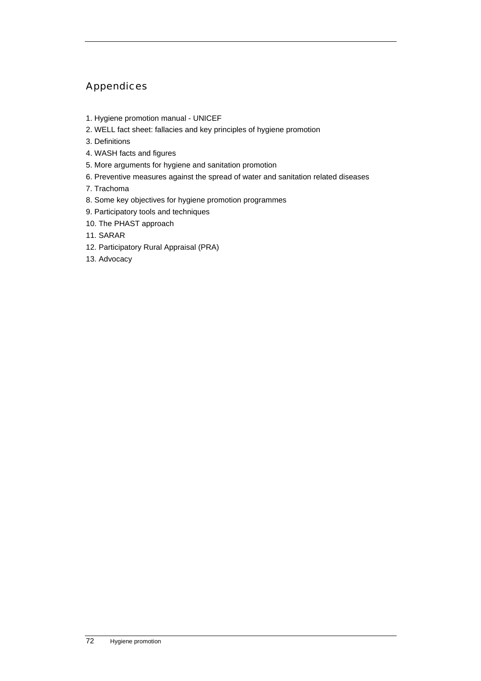# Appendices

- 1. Hygiene promotion manual UNICEF
- 2. WELL fact sheet: fallacies and key principles of hygiene promotion
- 3. Definitions
- 4. WASH facts and figures
- 5. More arguments for hygiene and sanitation promotion
- 6. Preventive measures against the spread of water and sanitation related diseases
- 7. Trachoma
- 8. Some key objectives for hygiene promotion programmes
- 9. Participatory tools and techniques
- 10. The PHAST approach
- 11. SARAR
- 12. Participatory Rural Appraisal (PRA)
- 13. Advocacy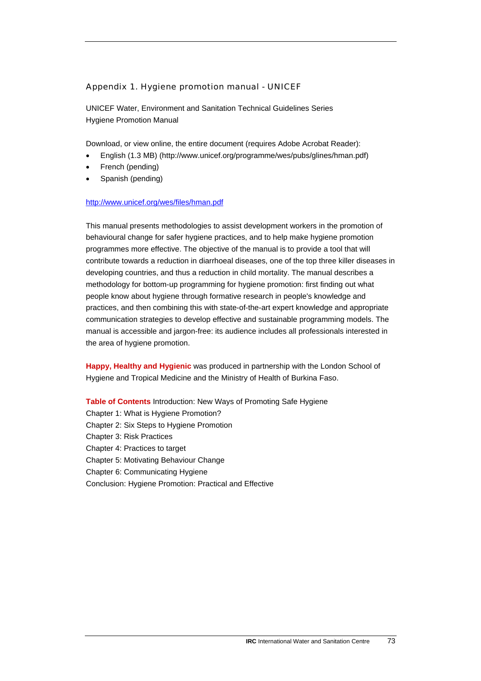### Appendix 1. Hygiene promotion manual - UNICEF

UNICEF Water, Environment and Sanitation Technical Guidelines Series Hygiene Promotion Manual

Download, or view online, the entire document (requires Adobe Acrobat Reader):

- English (1.3 MB) (http://www.unicef.org/programme/wes/pubs/glines/hman.pdf)
- French (pending)
- Spanish (pending)

#### <http://www.unicef.org/wes/files/hman.pdf>

This manual presents methodologies to assist development workers in the promotion of behavioural change for safer hygiene practices, and to help make hygiene promotion programmes more effective. The objective of the manual is to provide a tool that will contribute towards a reduction in diarrhoeal diseases, one of the top three killer diseases in developing countries, and thus a reduction in child mortality. The manual describes a methodology for bottom-up programming for hygiene promotion: first finding out what people know about hygiene through formative research in people's knowledge and practices, and then combining this with state-of-the-art expert knowledge and appropriate communication strategies to develop effective and sustainable programming models. The manual is accessible and jargon-free: its audience includes all professionals interested in the area of hygiene promotion.

**Happy, Healthy and Hygienic** was produced in partnership with the London School of Hygiene and Tropical Medicine and the Ministry of Health of Burkina Faso.

**Table of Contents** Introduction: New Ways of Promoting Safe Hygiene Chapter 1: What is Hygiene Promotion? Chapter 2: Six Steps to Hygiene Promotion Chapter 3: Risk Practices Chapter 4: Practices to target Chapter 5: Motivating Behaviour Change Chapter 6: Communicating Hygiene Conclusion: Hygiene Promotion: Practical and Effective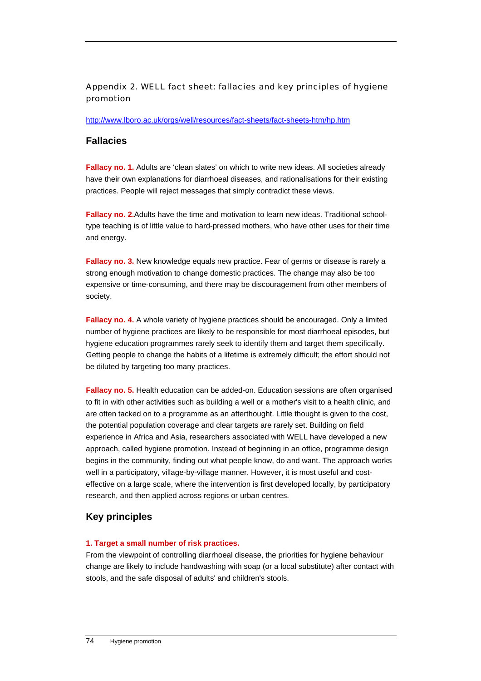# Appendix 2. WELL fact sheet: fallacies and key principles of hygiene promotion

### <http://www.lboro.ac.uk/orgs/well/resources/fact-sheets/fact-sheets-htm/hp.htm>

# **Fallacies**

**Fallacy no. 1.** Adults are 'clean slates' on which to write new ideas. All societies already have their own explanations for diarrhoeal diseases, and rationalisations for their existing practices. People will reject messages that simply contradict these views.

**Fallacy no. 2.**Adults have the time and motivation to learn new ideas. Traditional schooltype teaching is of little value to hard-pressed mothers, who have other uses for their time and energy.

**Fallacy no. 3.** New knowledge equals new practice. Fear of germs or disease is rarely a strong enough motivation to change domestic practices. The change may also be too expensive or time-consuming, and there may be discouragement from other members of society.

**Fallacy no. 4.** A whole variety of hygiene practices should be encouraged. Only a limited number of hygiene practices are likely to be responsible for most diarrhoeal episodes, but hygiene education programmes rarely seek to identify them and target them specifically. Getting people to change the habits of a lifetime is extremely difficult; the effort should not be diluted by targeting too many practices.

**Fallacy no. 5.** Health education can be added-on. Education sessions are often organised to fit in with other activities such as building a well or a mother's visit to a health clinic, and are often tacked on to a programme as an afterthought. Little thought is given to the cost, the potential population coverage and clear targets are rarely set. Building on field experience in Africa and Asia, researchers associated with WELL have developed a new approach, called hygiene promotion. Instead of beginning in an office, programme design begins in the community, finding out what people know, do and want. The approach works well in a participatory, village-by-village manner. However, it is most useful and costeffective on a large scale, where the intervention is first developed locally, by participatory research, and then applied across regions or urban centres.

# **Key principles**

### **1. Target a small number of risk practices.**

From the viewpoint of controlling diarrhoeal disease, the priorities for hygiene behaviour change are likely to include handwashing with soap (or a local substitute) after contact with stools, and the safe disposal of adults' and children's stools.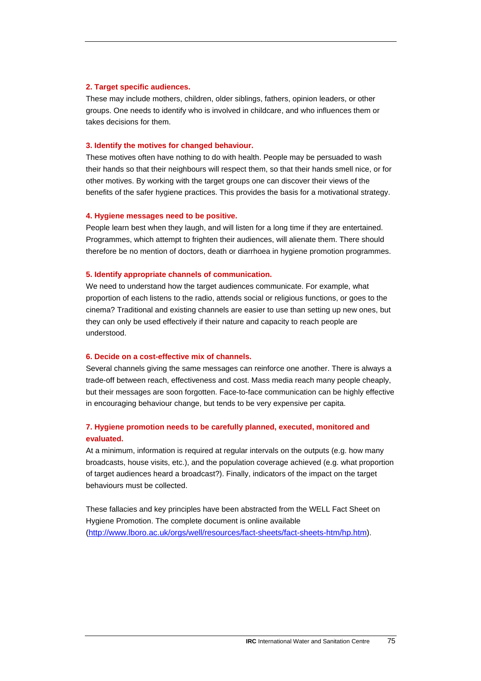#### **2. Target specific audiences.**

These may include mothers, children, older siblings, fathers, opinion leaders, or other groups. One needs to identify who is involved in childcare, and who influences them or takes decisions for them.

#### **3. Identify the motives for changed behaviour.**

These motives often have nothing to do with health. People may be persuaded to wash their hands so that their neighbours will respect them, so that their hands smell nice, or for other motives. By working with the target groups one can discover their views of the benefits of the safer hygiene practices. This provides the basis for a motivational strategy.

#### **4. Hygiene messages need to be positive.**

People learn best when they laugh, and will listen for a long time if they are entertained. Programmes, which attempt to frighten their audiences, will alienate them. There should therefore be no mention of doctors, death or diarrhoea in hygiene promotion programmes.

#### **5. Identify appropriate channels of communication.**

We need to understand how the target audiences communicate. For example, what proportion of each listens to the radio, attends social or religious functions, or goes to the cinema? Traditional and existing channels are easier to use than setting up new ones, but they can only be used effectively if their nature and capacity to reach people are understood.

#### **6. Decide on a cost-effective mix of channels.**

Several channels giving the same messages can reinforce one another. There is always a trade-off between reach, effectiveness and cost. Mass media reach many people cheaply, but their messages are soon forgotten. Face-to-face communication can be highly effective in encouraging behaviour change, but tends to be very expensive per capita.

# **7. Hygiene promotion needs to be carefully planned, executed, monitored and evaluated.**

At a minimum, information is required at regular intervals on the outputs (e.g. how many broadcasts, house visits, etc.), and the population coverage achieved (e.g. what proportion of target audiences heard a broadcast?). Finally, indicators of the impact on the target behaviours must be collected.

These fallacies and key principles have been abstracted from the WELL Fact Sheet on Hygiene Promotion. The complete document is online available ([http://www.lboro.ac.uk/orgs/well/resources/fact-sheets/fact-sheets-htm/hp.htm\)](http://www.lboro.ac.uk/orgs/well/resources/fact-sheets/fact-sheets-htm/hp.htm).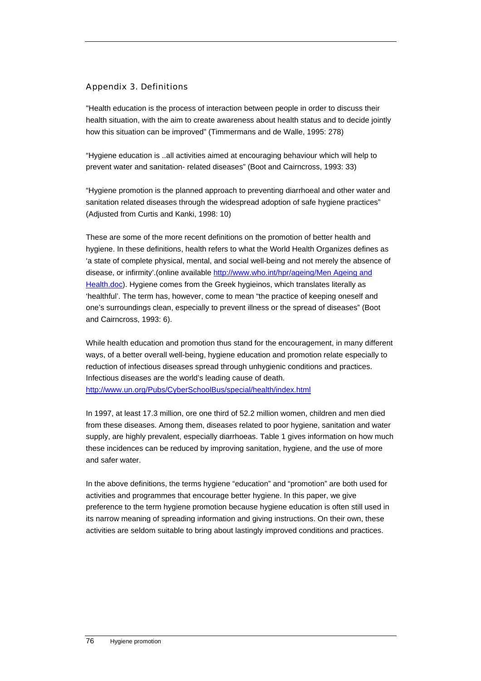### Appendix 3. Definitions

"Health education is the process of interaction between people in order to discuss their health situation, with the aim to create awareness about health status and to decide jointly how this situation can be improved" (Timmermans and de Walle, 1995: 278)

"Hygiene education is ..all activities aimed at encouraging behaviour which will help to prevent water and sanitation- related diseases" (Boot and Cairncross, 1993: 33)

"Hygiene promotion is the planned approach to preventing diarrhoeal and other water and sanitation related diseases through the widespread adoption of safe hygiene practices" (Adjusted from Curtis and Kanki, 1998: 10)

These are some of the more recent definitions on the promotion of better health and hygiene. In these definitions, health refers to what the World Health Organizes defines as 'a state of complete physical, mental, and social well-being and not merely the absence of disease, or infirmity'.(online available [http://www.who.int/hpr/ageing/Men Ageing and](http://www.who.int/hpr/ageing/Men%20Ageing%20and%20Health.doc)  [Health.doc\)](http://www.who.int/hpr/ageing/Men%20Ageing%20and%20Health.doc). Hygiene comes from the Greek hygieinos, which translates literally as 'healthful'. The term has, however, come to mean "the practice of keeping oneself and one's surroundings clean, especially to prevent illness or the spread of diseases" (Boot and Cairncross, 1993: 6).

While health education and promotion thus stand for the encouragement, in many different ways, of a better overall well-being, hygiene education and promotion relate especially to reduction of infectious diseases spread through unhygienic conditions and practices. Infectious diseases are the world's leading cause of death. <http://www.un.org/Pubs/CyberSchoolBus/special/health/index.html>

In 1997, at least 17.3 million, ore one third of 52.2 million women, children and men died from these diseases. Among them, diseases related to poor hygiene, sanitation and water supply, are highly prevalent, especially diarrhoeas. Table 1 gives information on how much these incidences can be reduced by improving sanitation, hygiene, and the use of more and safer water.

In the above definitions, the terms hygiene "education" and "promotion" are both used for activities and programmes that encourage better hygiene. In this paper, we give preference to the term hygiene promotion because hygiene education is often still used in its narrow meaning of spreading information and giving instructions. On their own, these activities are seldom suitable to bring about lastingly improved conditions and practices.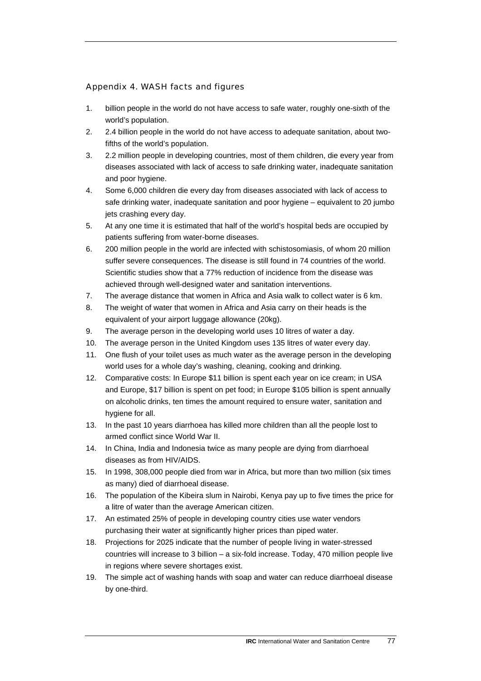# Appendix 4. WASH facts and figures

- 1. billion people in the world do not have access to safe water, roughly one-sixth of the world's population.
- 2. 2.4 billion people in the world do not have access to adequate sanitation, about twofifths of the world's population.
- 3. 2.2 million people in developing countries, most of them children, die every year from diseases associated with lack of access to safe drinking water, inadequate sanitation and poor hygiene.
- 4. Some 6,000 children die every day from diseases associated with lack of access to safe drinking water, inadequate sanitation and poor hygiene – equivalent to 20 jumbo jets crashing every day.
- 5. At any one time it is estimated that half of the world's hospital beds are occupied by patients suffering from water-borne diseases.
- 6. 200 million people in the world are infected with schistosomiasis, of whom 20 million suffer severe consequences. The disease is still found in 74 countries of the world. Scientific studies show that a 77% reduction of incidence from the disease was achieved through well-designed water and sanitation interventions.
- 7. The average distance that women in Africa and Asia walk to collect water is 6 km.
- 8. The weight of water that women in Africa and Asia carry on their heads is the equivalent of your airport luggage allowance (20kg).
- 9. The average person in the developing world uses 10 litres of water a day.
- 10. The average person in the United Kingdom uses 135 litres of water every day.
- 11. One flush of your toilet uses as much water as the average person in the developing world uses for a whole day's washing, cleaning, cooking and drinking.
- 12. Comparative costs: In Europe \$11 billion is spent each year on ice cream; in USA and Europe, \$17 billion is spent on pet food; in Europe \$105 billion is spent annually on alcoholic drinks, ten times the amount required to ensure water, sanitation and hygiene for all.
- 13. In the past 10 years diarrhoea has killed more children than all the people lost to armed conflict since World War II.
- 14. In China, India and Indonesia twice as many people are dying from diarrhoeal diseases as from HIV/AIDS.
- 15. In 1998, 308,000 people died from war in Africa, but more than two million (six times as many) died of diarrhoeal disease.
- 16. The population of the Kibeira slum in Nairobi, Kenya pay up to five times the price for a litre of water than the average American citizen.
- 17. An estimated 25% of people in developing country cities use water vendors purchasing their water at significantly higher prices than piped water.
- 18. Projections for 2025 indicate that the number of people living in water-stressed countries will increase to 3 billion – a six-fold increase. Today, 470 million people live in regions where severe shortages exist.
- 19. The simple act of washing hands with soap and water can reduce diarrhoeal disease by one-third.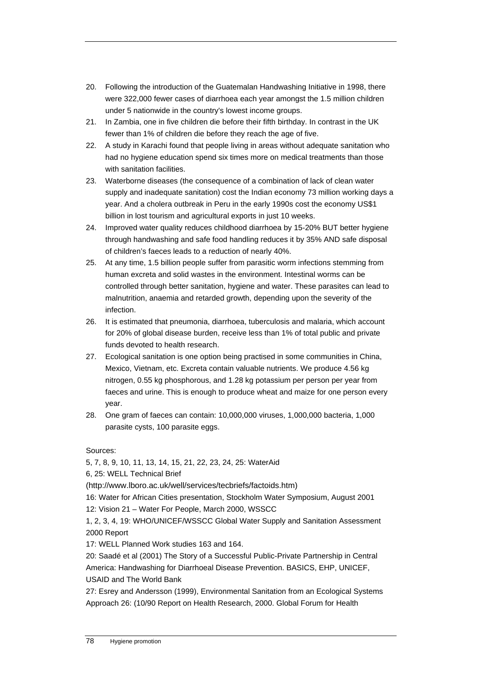- 20. Following the introduction of the Guatemalan Handwashing Initiative in 1998, there were 322,000 fewer cases of diarrhoea each year amongst the 1.5 million children under 5 nationwide in the country's lowest income groups.
- 21. In Zambia, one in five children die before their fifth birthday. In contrast in the UK fewer than 1% of children die before they reach the age of five.
- 22. A study in Karachi found that people living in areas without adequate sanitation who had no hygiene education spend six times more on medical treatments than those with sanitation facilities.
- 23. Waterborne diseases (the consequence of a combination of lack of clean water supply and inadequate sanitation) cost the Indian economy 73 million working days a year. And a cholera outbreak in Peru in the early 1990s cost the economy US\$1 billion in lost tourism and agricultural exports in just 10 weeks.
- 24. Improved water quality reduces childhood diarrhoea by 15-20% BUT better hygiene through handwashing and safe food handling reduces it by 35% AND safe disposal of children's faeces leads to a reduction of nearly 40%.
- 25. At any time, 1.5 billion people suffer from parasitic worm infections stemming from human excreta and solid wastes in the environment. Intestinal worms can be controlled through better sanitation, hygiene and water. These parasites can lead to malnutrition, anaemia and retarded growth, depending upon the severity of the infection.
- 26. It is estimated that pneumonia, diarrhoea, tuberculosis and malaria, which account for 20% of global disease burden, receive less than 1% of total public and private funds devoted to health research.
- 27. Ecological sanitation is one option being practised in some communities in China, Mexico, Vietnam, etc. Excreta contain valuable nutrients. We produce 4.56 kg nitrogen, 0.55 kg phosphorous, and 1.28 kg potassium per person per year from faeces and urine. This is enough to produce wheat and maize for one person every year.
- 28. One gram of faeces can contain: 10,000,000 viruses, 1,000,000 bacteria, 1,000 parasite cysts, 100 parasite eggs.

Sources:

5, 7, 8, 9, 10, 11, 13, 14, 15, 21, 22, 23, 24, 25: WaterAid

6, 25: WELL Technical Brief

([http://www.lboro.ac.uk/well/services/tecbriefs/factoids.htm\)](http://www.lboro.ac.uk/well/services/tecbriefs/factoids.htm)

16: Water for African Cities presentation, Stockholm Water Symposium, August 2001 12: Vision 21 – Water For People, March 2000, WSSCC

1, 2, 3, 4, 19: WHO/UNICEF/WSSCC Global Water Supply and Sanitation Assessment 2000 Report

17: WELL Planned Work studies 163 and 164.

20: Saadé et al (2001) The Story of a Successful Public-Private Partnership in Central America: Handwashing for Diarrhoeal Disease Prevention. BASICS, EHP, UNICEF, USAID and The World Bank

27: Esrey and Andersson (1999), Environmental Sanitation from an Ecological Systems Approach 26: (10/90 Report on Health Research, 2000. Global Forum for Health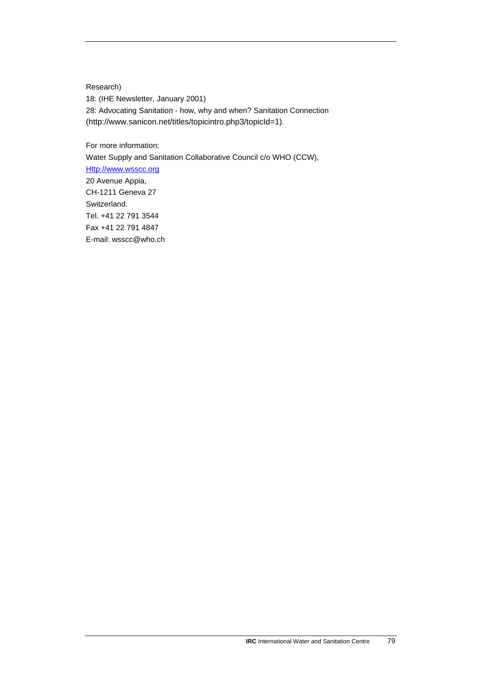Research) 18: (IHE Newsletter, January 2001) 28: Advocating Sanitation - how, why and when? Sanitation Connection (http://www.sanicon.net/titles/topicintro.php3/topicId=1).

For more information:

Water Supply and Sanitation Collaborative Council c/o WHO (CCW), [Http://www.wsscc.org](http://www.wsscc.org/) 20 Avenue Appia, CH-1211 Geneva 27 Switzerland. Tel. +41 22 791 3544 Fax +41 22 791 4847 E-mail: wsscc@who.ch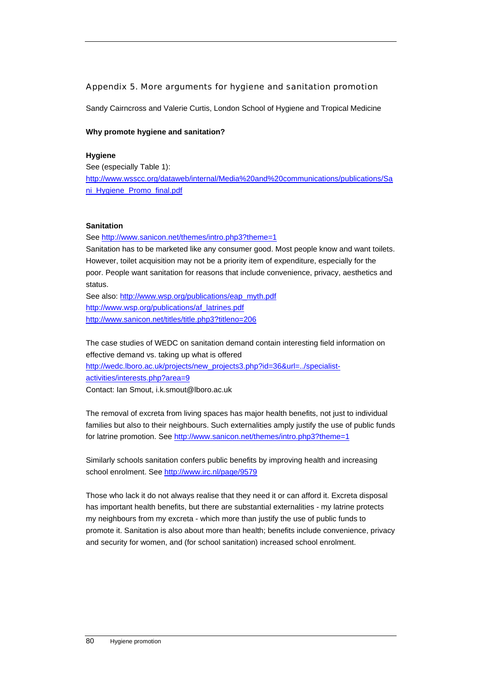### Appendix 5. More arguments for hygiene and sanitation promotion

Sandy Cairncross and Valerie Curtis, London School of Hygiene and Tropical Medicine

### **Why promote hygiene and sanitation?**

#### **Hygiene**

See (especially Table 1): [http://www.wsscc.org/dataweb/internal/Media%20and%20communications/publications/Sa](http://www.wsscc.org/dataweb/internal/Media%20and%20communications/publications/Sani_Hygiene_Promo_final.pdf) [ni\\_Hygiene\\_Promo\\_final.pdf](http://www.wsscc.org/dataweb/internal/Media%20and%20communications/publications/Sani_Hygiene_Promo_final.pdf) 

### **Sanitation**

See <http://www.sanicon.net/themes/intro.php3?theme=1>

Sanitation has to be marketed like any consumer good. Most people know and want toilets. However, toilet acquisition may not be a priority item of expenditure, especially for the poor. People want sanitation for reasons that include convenience, privacy, aesthetics and status.

See also: [http://www.wsp.org/publications/eap\\_myth.pdf](http://www.wsp.org/publications/eap_myth.pdf)  [http://www.wsp.org/publications/af\\_latrines.pdf](http://www.wsp.org/publications/af_latrines.pdf)  <http://www.sanicon.net/titles/title.php3?titleno=206>

The case studies of WEDC on sanitation demand contain interesting field information on effective demand vs. taking up what is offered [http://wedc.lboro.ac.uk/projects/new\\_projects3.php?id=36&url=../specialist](http://wedc.lboro.ac.uk/projects/new_projects3.php?id=36&url=../specialist-activities/interests.php?area=9)[activities/interests.php?area=9](http://wedc.lboro.ac.uk/projects/new_projects3.php?id=36&url=../specialist-activities/interests.php?area=9)  Contact: Ian Smout, i.k.smout@lboro.ac.uk

The removal of excreta from living spaces has major health benefits, not just to individual families but also to their neighbours. Such externalities amply justify the use of public funds for latrine promotion. See <http://www.sanicon.net/themes/intro.php3?theme=1>

Similarly schools sanitation confers public benefits by improving health and increasing school enrolment. See<http://www.irc.nl/page/9579>

Those who lack it do not always realise that they need it or can afford it. Excreta disposal has important health benefits, but there are substantial externalities - my latrine protects my neighbours from my excreta - which more than justify the use of public funds to promote it. Sanitation is also about more than health; benefits include convenience, privacy and security for women, and (for school sanitation) increased school enrolment.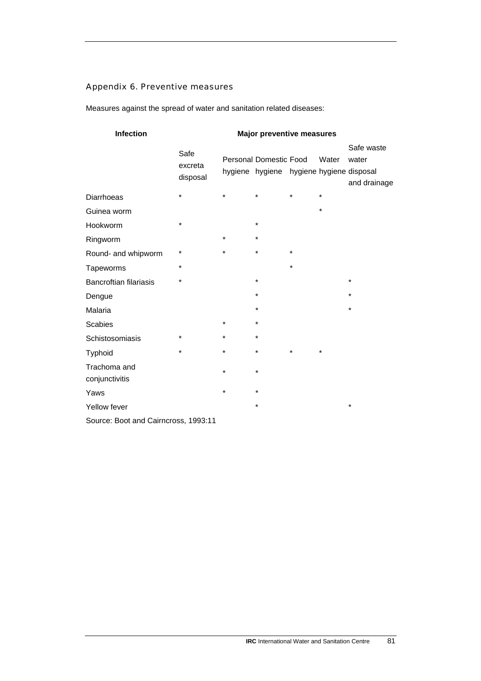# Appendix 6. Preventive measures

Measures against the spread of water and sanitation related diseases:

| Infection                            | <b>Major preventive measures</b> |         |                                                                           |         |         |                                     |
|--------------------------------------|----------------------------------|---------|---------------------------------------------------------------------------|---------|---------|-------------------------------------|
|                                      | Safe<br>excreta<br>disposal      |         | <b>Personal Domestic Food</b><br>hygiene hygiene hygiene hygiene disposal |         | Water   | Safe waste<br>water<br>and drainage |
| <b>Diarrhoeas</b>                    | $\star$                          | $\star$ | $\star$                                                                   | *       | $\star$ |                                     |
| Guinea worm                          |                                  |         |                                                                           |         | $\star$ |                                     |
| Hookworm                             | $\star$                          |         | $\star$                                                                   |         |         |                                     |
| Ringworm                             |                                  | $\star$ | $\star$                                                                   |         |         |                                     |
| Round- and whipworm                  | $^\star$                         | *       | $\star$                                                                   | $\star$ |         |                                     |
| Tapeworms                            | *                                |         |                                                                           | *       |         |                                     |
| <b>Bancroftian filariasis</b>        | $\star$                          |         | $\star$                                                                   |         |         | $\star$                             |
| Dengue                               |                                  |         | $\star$                                                                   |         |         | $\star$                             |
| Malaria                              |                                  |         | $\star$                                                                   |         |         | $\star$                             |
| <b>Scabies</b>                       |                                  | *       | $\star$                                                                   |         |         |                                     |
| Schistosomiasis                      | $\star$                          | $\star$ | $\star$                                                                   |         |         |                                     |
| Typhoid                              | $\star$                          | $\star$ | $\star$                                                                   | $\star$ | $\star$ |                                     |
| Trachoma and<br>conjunctivitis       |                                  | $\star$ | $\star$                                                                   |         |         |                                     |
| Yaws                                 |                                  | $\star$ | $\star$                                                                   |         |         |                                     |
| Yellow fever                         |                                  |         | *                                                                         |         |         | $\star$                             |
| Source: Boot and Cairncross, 1993:11 |                                  |         |                                                                           |         |         |                                     |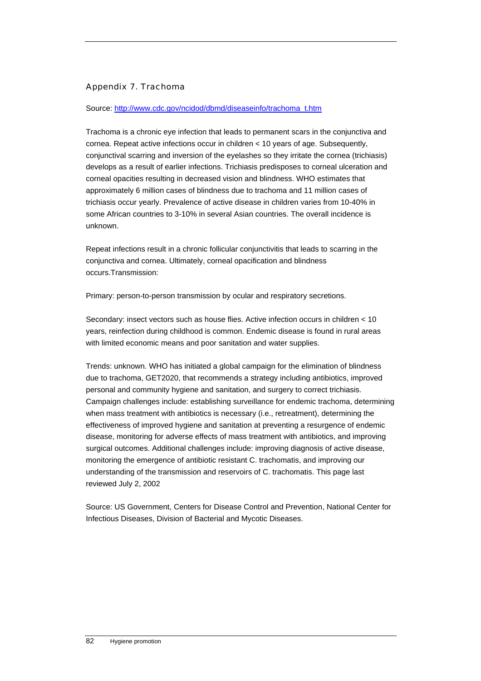# Appendix 7. Trachoma

### Source: [http://www.cdc.gov/ncidod/dbmd/diseaseinfo/trachoma\\_t.htm](http://www.cdc.gov/ncidod/dbmd/diseaseinfo/trachoma_t.htm)

Trachoma is a chronic eye infection that leads to permanent scars in the conjunctiva and cornea. Repeat active infections occur in children < 10 years of age. Subsequently, conjunctival scarring and inversion of the eyelashes so they irritate the cornea (trichiasis) develops as a result of earlier infections. Trichiasis predisposes to corneal ulceration and corneal opacities resulting in decreased vision and blindness. WHO estimates that approximately 6 million cases of blindness due to trachoma and 11 million cases of trichiasis occur yearly. Prevalence of active disease in children varies from 10-40% in some African countries to 3-10% in several Asian countries. The overall incidence is unknown.

Repeat infections result in a chronic follicular conjunctivitis that leads to scarring in the conjunctiva and cornea. Ultimately, corneal opacification and blindness occurs.Transmission:

Primary: person-to-person transmission by ocular and respiratory secretions.

Secondary: insect vectors such as house flies. Active infection occurs in children < 10 years, reinfection during childhood is common. Endemic disease is found in rural areas with limited economic means and poor sanitation and water supplies.

Trends: unknown. WHO has initiated a global campaign for the elimination of blindness due to trachoma, GET2020, that recommends a strategy including antibiotics, improved personal and community hygiene and sanitation, and surgery to correct trichiasis. Campaign challenges include: establishing surveillance for endemic trachoma, determining when mass treatment with antibiotics is necessary (i.e., retreatment), determining the effectiveness of improved hygiene and sanitation at preventing a resurgence of endemic disease, monitoring for adverse effects of mass treatment with antibiotics, and improving surgical outcomes. Additional challenges include: improving diagnosis of active disease, monitoring the emergence of antibiotic resistant C. trachomatis, and improving our understanding of the transmission and reservoirs of C. trachomatis. This page last reviewed July 2, 2002

Source: US Government, Centers for Disease Control and Prevention, National Center for Infectious Diseases, Division of Bacterial and Mycotic Diseases.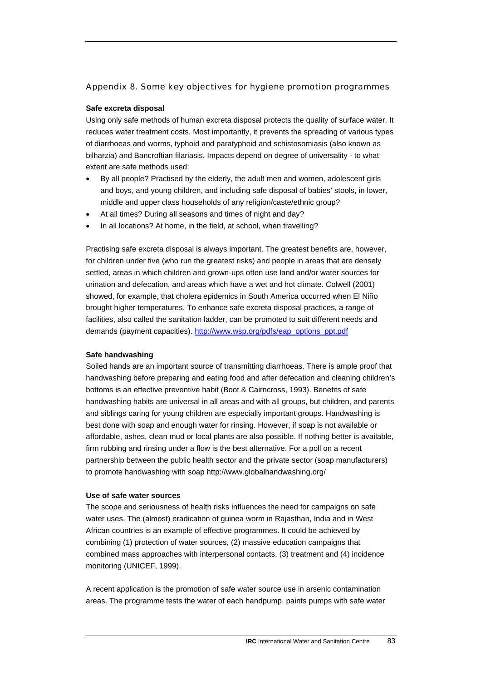### Appendix 8. Some key objectives for hygiene promotion programmes

#### **Safe excreta disposal**

Using only safe methods of human excreta disposal protects the quality of surface water. It reduces water treatment costs. Most importantly, it prevents the spreading of various types of diarrhoeas and worms, typhoid and paratyphoid and schistosomiasis (also known as bilharzia) and Bancroftian filariasis. Impacts depend on degree of universality - to what extent are safe methods used:

- By all people? Practised by the elderly, the adult men and women, adolescent girls and boys, and young children, and including safe disposal of babies' stools, in lower, middle and upper class households of any religion/caste/ethnic group?
- At all times? During all seasons and times of night and day?
- In all locations? At home, in the field, at school, when travelling?

Practising safe excreta disposal is always important. The greatest benefits are, however, for children under five (who run the greatest risks) and people in areas that are densely settled, areas in which children and grown-ups often use land and/or water sources for urination and defecation, and areas which have a wet and hot climate. Colwell (2001) showed, for example, that cholera epidemics in South America occurred when El Niño brought higher temperatures. To enhance safe excreta disposal practices, a range of facilities, also called the sanitation ladder, can be promoted to suit different needs and demands (payment capacities). [http://www.wsp.org/pdfs/eap\\_options\\_ppt.pdf](http://www.wsp.org/pdfs/eap_options_ppt.pdf) 

#### **Safe handwashing**

Soiled hands are an important source of transmitting diarrhoeas. There is ample proof that handwashing before preparing and eating food and after defecation and cleaning children's bottoms is an effective preventive habit (Boot & Cairncross, 1993). Benefits of safe handwashing habits are universal in all areas and with all groups, but children, and parents and siblings caring for young children are especially important groups. Handwashing is best done with soap and enough water for rinsing. However, if soap is not available or affordable, ashes, clean mud or local plants are also possible. If nothing better is available, firm rubbing and rinsing under a flow is the best alternative. For a poll on a recent partnership between the public health sector and the private sector (soap manufacturers) to promote handwashing with soap http://www.globalhandwashing.org/

#### **Use of safe water sources**

The scope and seriousness of health risks influences the need for campaigns on safe water uses. The (almost) eradication of guinea worm in Rajasthan, India and in West African countries is an example of effective programmes. It could be achieved by combining (1) protection of water sources, (2) massive education campaigns that combined mass approaches with interpersonal contacts, (3) treatment and (4) incidence monitoring (UNICEF, 1999).

A recent application is the promotion of safe water source use in arsenic contamination areas. The programme tests the water of each handpump, paints pumps with safe water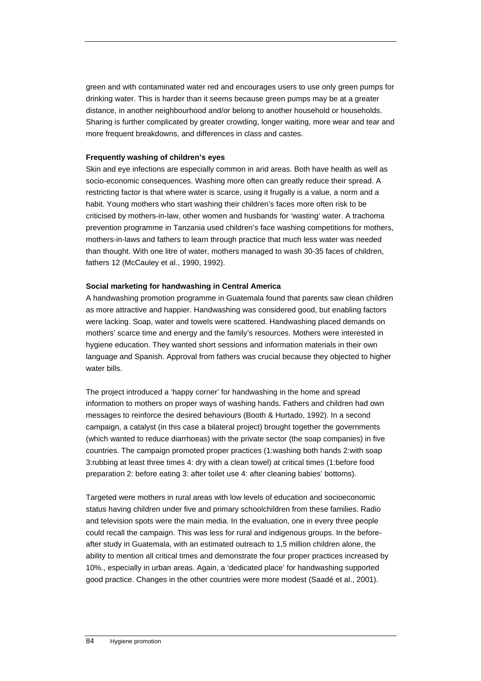green and with contaminated water red and encourages users to use only green pumps for drinking water. This is harder than it seems because green pumps may be at a greater distance, in another neighbourhood and/or belong to another household or households. Sharing is further complicated by greater crowding, longer waiting, more wear and tear and more frequent breakdowns, and differences in class and castes.

### **Frequently washing of children's eyes**

Skin and eye infections are especially common in arid areas. Both have health as well as socio-economic consequences. Washing more often can greatly reduce their spread. A restricting factor is that where water is scarce, using it frugally is a value, a norm and a habit. Young mothers who start washing their children's faces more often risk to be criticised by mothers-in-law, other women and husbands for 'wasting' water. A trachoma prevention programme in Tanzania used children's face washing competitions for mothers, mothers-in-laws and fathers to learn through practice that much less water was needed than thought. With one litre of water, mothers managed to wash 30-35 faces of children, fathers 12 (McCauley et al., 1990, 1992).

### **Social marketing for handwashing in Central America**

A handwashing promotion programme in Guatemala found that parents saw clean children as more attractive and happier. Handwashing was considered good, but enabling factors were lacking. Soap, water and towels were scattered. Handwashing placed demands on mothers' scarce time and energy and the family's resources. Mothers were interested in hygiene education. They wanted short sessions and information materials in their own language and Spanish. Approval from fathers was crucial because they objected to higher water bills.

The project introduced a 'happy corner' for handwashing in the home and spread information to mothers on proper ways of washing hands. Fathers and children had own messages to reinforce the desired behaviours (Booth & Hurtado, 1992). In a second campaign, a catalyst (in this case a bilateral project) brought together the governments (which wanted to reduce diarrhoeas) with the private sector (the soap companies) in five countries. The campaign promoted proper practices (1:washing both hands 2:with soap 3:rubbing at least three times 4: dry with a clean towel) at critical times (1:before food preparation 2: before eating 3: after toilet use 4: after cleaning babies' bottoms).

Targeted were mothers in rural areas with low levels of education and socioeconomic status having children under five and primary schoolchildren from these families. Radio and television spots were the main media. In the evaluation, one in every three people could recall the campaign. This was less for rural and indigenous groups. In the beforeafter study in Guatemala, with an estimated outreach to 1,5 million children alone, the ability to mention all critical times and demonstrate the four proper practices increased by 10%., especially in urban areas. Again, a 'dedicated place' for handwashing supported good practice. Changes in the other countries were more modest (Saadé et al., 2001).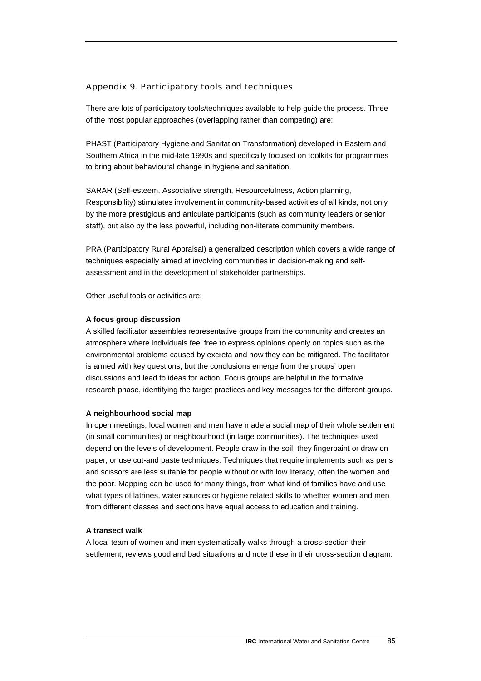### Appendix 9. Participatory tools and techniques

There are lots of participatory tools/techniques available to help guide the process. Three of the most popular approaches (overlapping rather than competing) are:

PHAST (Participatory Hygiene and Sanitation Transformation) developed in Eastern and Southern Africa in the mid-late 1990s and specifically focused on toolkits for programmes to bring about behavioural change in hygiene and sanitation.

SARAR (Self-esteem, Associative strength, Resourcefulness, Action planning, Responsibility) stimulates involvement in community-based activities of all kinds, not only by the more prestigious and articulate participants (such as community leaders or senior staff), but also by the less powerful, including non-literate community members.

PRA (Participatory Rural Appraisal) a generalized description which covers a wide range of techniques especially aimed at involving communities in decision-making and selfassessment and in the development of stakeholder partnerships.

Other useful tools or activities are:

#### **A focus group discussion**

A skilled facilitator assembles representative groups from the community and creates an atmosphere where individuals feel free to express opinions openly on topics such as the environmental problems caused by excreta and how they can be mitigated. The facilitator is armed with key questions, but the conclusions emerge from the groups' open discussions and lead to ideas for action. Focus groups are helpful in the formative research phase, identifying the target practices and key messages for the different groups.

#### **A neighbourhood social map**

In open meetings, local women and men have made a social map of their whole settlement (in small communities) or neighbourhood (in large communities). The techniques used depend on the levels of development. People draw in the soil, they fingerpaint or draw on paper, or use cut-and paste techniques. Techniques that require implements such as pens and scissors are less suitable for people without or with low literacy, often the women and the poor. Mapping can be used for many things, from what kind of families have and use what types of latrines, water sources or hygiene related skills to whether women and men from different classes and sections have equal access to education and training.

#### **A transect walk**

A local team of women and men systematically walks through a cross-section their settlement, reviews good and bad situations and note these in their cross-section diagram.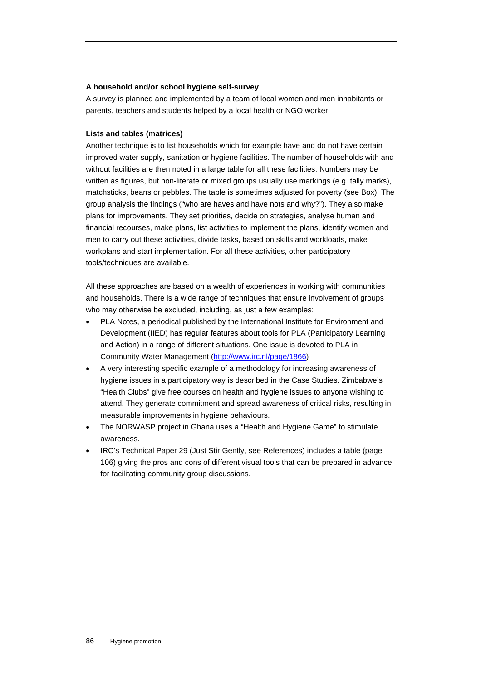#### **A household and/or school hygiene self-survey**

A survey is planned and implemented by a team of local women and men inhabitants or parents, teachers and students helped by a local health or NGO worker.

### **Lists and tables (matrices)**

Another technique is to list households which for example have and do not have certain improved water supply, sanitation or hygiene facilities. The number of households with and without facilities are then noted in a large table for all these facilities. Numbers may be written as figures, but non-literate or mixed groups usually use markings (e.g. tally marks), matchsticks, beans or pebbles. The table is sometimes adjusted for poverty (see Box). The group analysis the findings ("who are haves and have nots and why?"). They also make plans for improvements. They set priorities, decide on strategies, analyse human and financial recourses, make plans, list activities to implement the plans, identify women and men to carry out these activities, divide tasks, based on skills and workloads, make workplans and start implementation. For all these activities, other participatory tools/techniques are available.

All these approaches are based on a wealth of experiences in working with communities and households. There is a wide range of techniques that ensure involvement of groups who may otherwise be excluded, including, as just a few examples:

- PLA Notes, a periodical published by the International Institute for Environment and Development (IIED) has regular features about tools for PLA (Participatory Learning and Action) in a range of different situations. One issue is devoted to PLA in Community Water Management [\(http://www.irc.nl/page/1866\)](http://www.irc.nl/page/1866)
- A very interesting specific example of a methodology for increasing awareness of hygiene issues in a participatory way is described in the Case Studies. Zimbabwe's "Health Clubs" give free courses on health and hygiene issues to anyone wishing to attend. They generate commitment and spread awareness of critical risks, resulting in measurable improvements in hygiene behaviours.
- The NORWASP project in Ghana uses a "Health and Hygiene Game" to stimulate awareness.
- IRC's Technical Paper 29 (Just Stir Gently, see References) includes a table (page 106) giving the pros and cons of different visual tools that can be prepared in advance for facilitating community group discussions.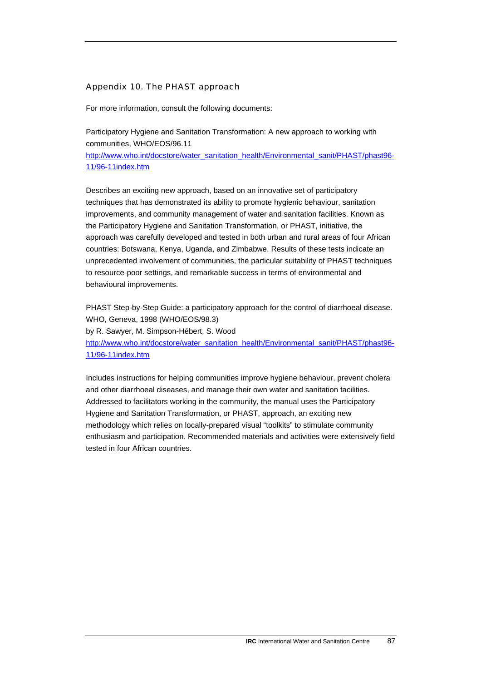### Appendix 10. The PHAST approach

For more information, consult the following documents:

Participatory Hygiene and Sanitation Transformation: A new approach to working with communities, WHO/EOS/96.11

[http://www.who.int/docstore/water\\_sanitation\\_health/Environmental\\_sanit/PHAST/phast96-](http://www.who.int/docstore/water_sanitation_health/Environmental_sanit/PHAST/phast96-11/96-11index.htm) [11/96-11index.htm](http://www.who.int/docstore/water_sanitation_health/Environmental_sanit/PHAST/phast96-11/96-11index.htm)

Describes an exciting new approach, based on an innovative set of participatory techniques that has demonstrated its ability to promote hygienic behaviour, sanitation improvements, and community management of water and sanitation facilities. Known as the Participatory Hygiene and Sanitation Transformation, or PHAST, initiative, the approach was carefully developed and tested in both urban and rural areas of four African countries: Botswana, Kenya, Uganda, and Zimbabwe. Results of these tests indicate an unprecedented involvement of communities, the particular suitability of PHAST techniques to resource-poor settings, and remarkable success in terms of environmental and behavioural improvements.

PHAST Step-by-Step Guide: a participatory approach for the control of diarrhoeal disease. WHO, Geneva, 1998 (WHO/EOS/98.3) by R. Sawyer, M. Simpson-Hébert, S. Wood [http://www.who.int/docstore/water\\_sanitation\\_health/Environmental\\_sanit/PHAST/phast96-](http://www.who.int/docstore/water_sanitation_health/Environmental_sanit/PHAST/phast96-11/96-11index.htm) [11/96-11index.htm](http://www.who.int/docstore/water_sanitation_health/Environmental_sanit/PHAST/phast96-11/96-11index.htm)

Includes instructions for helping communities improve hygiene behaviour, prevent cholera and other diarrhoeal diseases, and manage their own water and sanitation facilities. Addressed to facilitators working in the community, the manual uses the Participatory Hygiene and Sanitation Transformation, or PHAST, approach, an exciting new methodology which relies on locally-prepared visual "toolkits" to stimulate community enthusiasm and participation. Recommended materials and activities were extensively field tested in four African countries.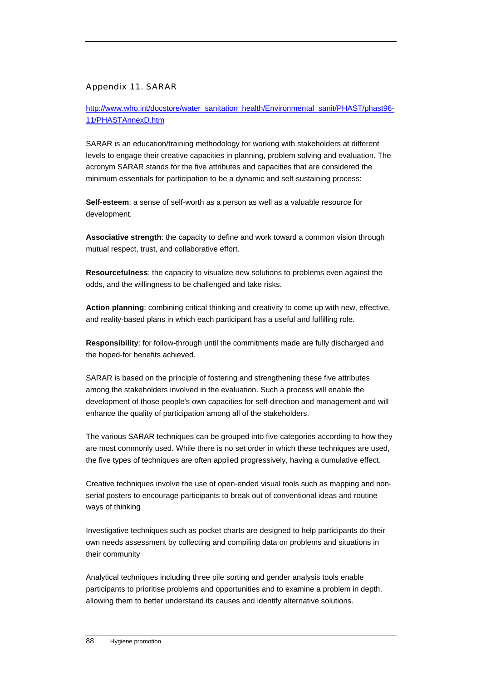### Appendix 11. SARAR

[http://www.who.int/docstore/water\\_sanitation\\_health/Environmental\\_sanit/PHAST/phast96-](http://www.who.int/docstore/water_sanitation_health/Environmental_sanit/PHAST/phast96-11/PHASTAnnexD.htm) [11/PHASTAnnexD.htm](http://www.who.int/docstore/water_sanitation_health/Environmental_sanit/PHAST/phast96-11/PHASTAnnexD.htm)

SARAR is an education/training methodology for working with stakeholders at different levels to engage their creative capacities in planning, problem solving and evaluation. The acronym SARAR stands for the five attributes and capacities that are considered the minimum essentials for participation to be a dynamic and self-sustaining process:

**Self-esteem**: a sense of self-worth as a person as well as a valuable resource for development.

**Associative strength**: the capacity to define and work toward a common vision through mutual respect, trust, and collaborative effort.

**Resourcefulness**: the capacity to visualize new solutions to problems even against the odds, and the willingness to be challenged and take risks.

**Action planning**: combining critical thinking and creativity to come up with new, effective, and reality-based plans in which each participant has a useful and fulfilling role.

**Responsibility**: for follow-through until the commitments made are fully discharged and the hoped-for benefits achieved.

SARAR is based on the principle of fostering and strengthening these five attributes among the stakeholders involved in the evaluation. Such a process will enable the development of those people's own capacities for self-direction and management and will enhance the quality of participation among all of the stakeholders.

The various SARAR techniques can be grouped into five categories according to how they are most commonly used. While there is no set order in which these techniques are used, the five types of techniques are often applied progressively, having a cumulative effect.

Creative techniques involve the use of open-ended visual tools such as mapping and nonserial posters to encourage participants to break out of conventional ideas and routine ways of thinking

Investigative techniques such as pocket charts are designed to help participants do their own needs assessment by collecting and compiling data on problems and situations in their community

Analytical techniques including three pile sorting and gender analysis tools enable participants to prioritise problems and opportunities and to examine a problem in depth, allowing them to better understand its causes and identify alternative solutions.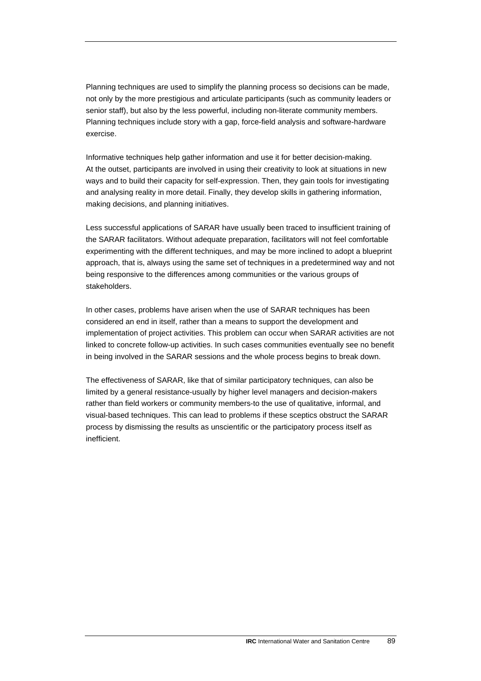Planning techniques are used to simplify the planning process so decisions can be made, not only by the more prestigious and articulate participants (such as community leaders or senior staff), but also by the less powerful, including non-literate community members. Planning techniques include story with a gap, force-field analysis and software-hardware exercise.

Informative techniques help gather information and use it for better decision-making. At the outset, participants are involved in using their creativity to look at situations in new ways and to build their capacity for self-expression. Then, they gain tools for investigating and analysing reality in more detail. Finally, they develop skills in gathering information, making decisions, and planning initiatives.

Less successful applications of SARAR have usually been traced to insufficient training of the SARAR facilitators. Without adequate preparation, facilitators will not feel comfortable experimenting with the different techniques, and may be more inclined to adopt a blueprint approach, that is, always using the same set of techniques in a predetermined way and not being responsive to the differences among communities or the various groups of stakeholders.

In other cases, problems have arisen when the use of SARAR techniques has been considered an end in itself, rather than a means to support the development and implementation of project activities. This problem can occur when SARAR activities are not linked to concrete follow-up activities. In such cases communities eventually see no benefit in being involved in the SARAR sessions and the whole process begins to break down.

The effectiveness of SARAR, like that of similar participatory techniques, can also be limited by a general resistance-usually by higher level managers and decision-makers rather than field workers or community members-to the use of qualitative, informal, and visual-based techniques. This can lead to problems if these sceptics obstruct the SARAR process by dismissing the results as unscientific or the participatory process itself as inefficient.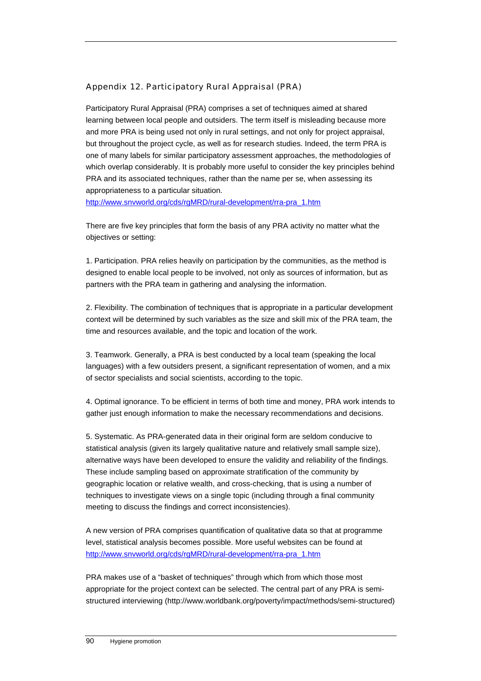### Appendix 12. Participatory Rural Appraisal (PRA)

Participatory Rural Appraisal (PRA) comprises a set of techniques aimed at shared learning between local people and outsiders. The term itself is misleading because more and more PRA is being used not only in rural settings, and not only for project appraisal, but throughout the project cycle, as well as for research studies. Indeed, the term PRA is one of many labels for similar participatory assessment approaches, the methodologies of which overlap considerably. It is probably more useful to consider the key principles behind PRA and its associated techniques, rather than the name per se, when assessing its appropriateness to a particular situation.

[http://www.snvworld.org/cds/rgMRD/rural-development/rra-pra\\_1.htm](http://www.snvworld.org/cds/rgMRD/rural-development/rra-pra_1.htm)

There are five key principles that form the basis of any PRA activity no matter what the objectives or setting:

1. Participation. PRA relies heavily on participation by the communities, as the method is designed to enable local people to be involved, not only as sources of information, but as partners with the PRA team in gathering and analysing the information.

2. Flexibility. The combination of techniques that is appropriate in a particular development context will be determined by such variables as the size and skill mix of the PRA team, the time and resources available, and the topic and location of the work.

3. Teamwork. Generally, a PRA is best conducted by a local team (speaking the local languages) with a few outsiders present, a significant representation of women, and a mix of sector specialists and social scientists, according to the topic.

4. Optimal ignorance. To be efficient in terms of both time and money, PRA work intends to gather just enough information to make the necessary recommendations and decisions.

5. Systematic. As PRA-generated data in their original form are seldom conducive to statistical analysis (given its largely qualitative nature and relatively small sample size), alternative ways have been developed to ensure the validity and reliability of the findings. These include sampling based on approximate stratification of the community by geographic location or relative wealth, and cross-checking, that is using a number of techniques to investigate views on a single topic (including through a final community meeting to discuss the findings and correct inconsistencies).

A new version of PRA comprises quantification of qualitative data so that at programme level, statistical analysis becomes possible. More useful websites can be found at [http://www.snvworld.org/cds/rgMRD/rural-development/rra-pra\\_1.htm](http://www.snvworld.org/cds/rgMRD/rural-development/rra-pra_1.htm) 

PRA makes use of a "basket of techniques" through which from which those most appropriate for the project context can be selected. The central part of any PRA is semistructured interviewing (http://www.worldbank.org/poverty/impact/methods/semi-structured)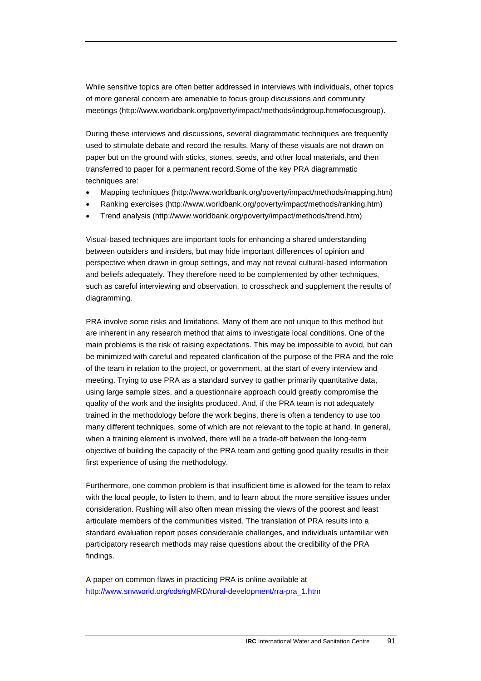While sensitive topics are often better addressed in interviews with individuals, other topics of more general concern are amenable to focus group discussions and community meetings (http://www.worldbank.org/poverty/impact/methods/indgroup.htm#focusgroup).

During these interviews and discussions, several diagrammatic techniques are frequently used to stimulate debate and record the results. Many of these visuals are not drawn on paper but on the ground with sticks, stones, seeds, and other local materials, and then transferred to paper for a permanent record.Some of the key PRA diagrammatic techniques are:

- Mapping techniques (http://www.worldbank.org/poverty/impact/methods/mapping.htm)
- Ranking exercises (http://www.worldbank.org/poverty/impact/methods/ranking.htm)
- Trend analysis (http://www.worldbank.org/poverty/impact/methods/trend.htm)

Visual-based techniques are important tools for enhancing a shared understanding between outsiders and insiders, but may hide important differences of opinion and perspective when drawn in group settings, and may not reveal cultural-based information and beliefs adequately. They therefore need to be complemented by other techniques, such as careful interviewing and observation, to crosscheck and supplement the results of diagramming.

PRA involve some risks and limitations. Many of them are not unique to this method but are inherent in any research method that aims to investigate local conditions. One of the main problems is the risk of raising expectations. This may be impossible to avoid, but can be minimized with careful and repeated clarification of the purpose of the PRA and the role of the team in relation to the project, or government, at the start of every interview and meeting. Trying to use PRA as a standard survey to gather primarily quantitative data, using large sample sizes, and a questionnaire approach could greatly compromise the quality of the work and the insights produced. And, if the PRA team is not adequately trained in the methodology before the work begins, there is often a tendency to use too many different techniques, some of which are not relevant to the topic at hand. In general, when a training element is involved, there will be a trade-off between the long-term objective of building the capacity of the PRA team and getting good quality results in their first experience of using the methodology.

Furthermore, one common problem is that insufficient time is allowed for the team to relax with the local people, to listen to them, and to learn about the more sensitive issues under consideration. Rushing will also often mean missing the views of the poorest and least articulate members of the communities visited. The translation of PRA results into a standard evaluation report poses considerable challenges, and individuals unfamiliar with participatory research methods may raise questions about the credibility of the PRA findings.

A paper on common flaws in practicing PRA is online available at [http://www.snvworld.org/cds/rgMRD/rural-development/rra-pra\\_1.htm](http://www.snvworld.org/cds/rgMRD/rural-development/rra-pra_1.htm)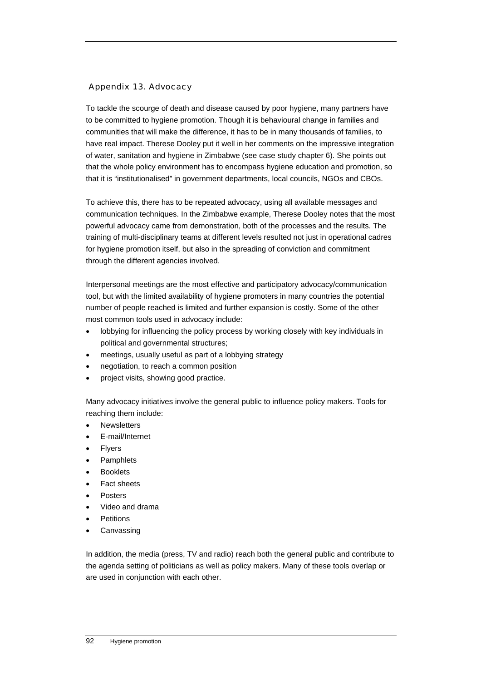### Appendix 13. Advocacy

To tackle the scourge of death and disease caused by poor hygiene, many partners have to be committed to hygiene promotion. Though it is behavioural change in families and communities that will make the difference, it has to be in many thousands of families, to have real impact. Therese Dooley put it well in her comments on the impressive integration of water, sanitation and hygiene in Zimbabwe (see case study chapter 6). She points out that the whole policy environment has to encompass hygiene education and promotion, so that it is "institutionalised" in government departments, local councils, NGOs and CBOs.

To achieve this, there has to be repeated advocacy, using all available messages and communication techniques. In the Zimbabwe example, Therese Dooley notes that the most powerful advocacy came from demonstration, both of the processes and the results. The training of multi-disciplinary teams at different levels resulted not just in operational cadres for hygiene promotion itself, but also in the spreading of conviction and commitment through the different agencies involved.

Interpersonal meetings are the most effective and participatory advocacy/communication tool, but with the limited availability of hygiene promoters in many countries the potential number of people reached is limited and further expansion is costly. Some of the other most common tools used in advocacy include:

- lobbying for influencing the policy process by working closely with key individuals in political and governmental structures;
- meetings, usually useful as part of a lobbying strategy
- negotiation, to reach a common position
- project visits, showing good practice.

Many advocacy initiatives involve the general public to influence policy makers. Tools for reaching them include:

- Newsletters
- E-mail/Internet
- **Flyers**
- Pamphlets
- **Booklets**
- Fact sheets
- Posters
- Video and drama
- **Petitions**
- Canvassing

In addition, the media (press, TV and radio) reach both the general public and contribute to the agenda setting of politicians as well as policy makers. Many of these tools overlap or are used in conjunction with each other.